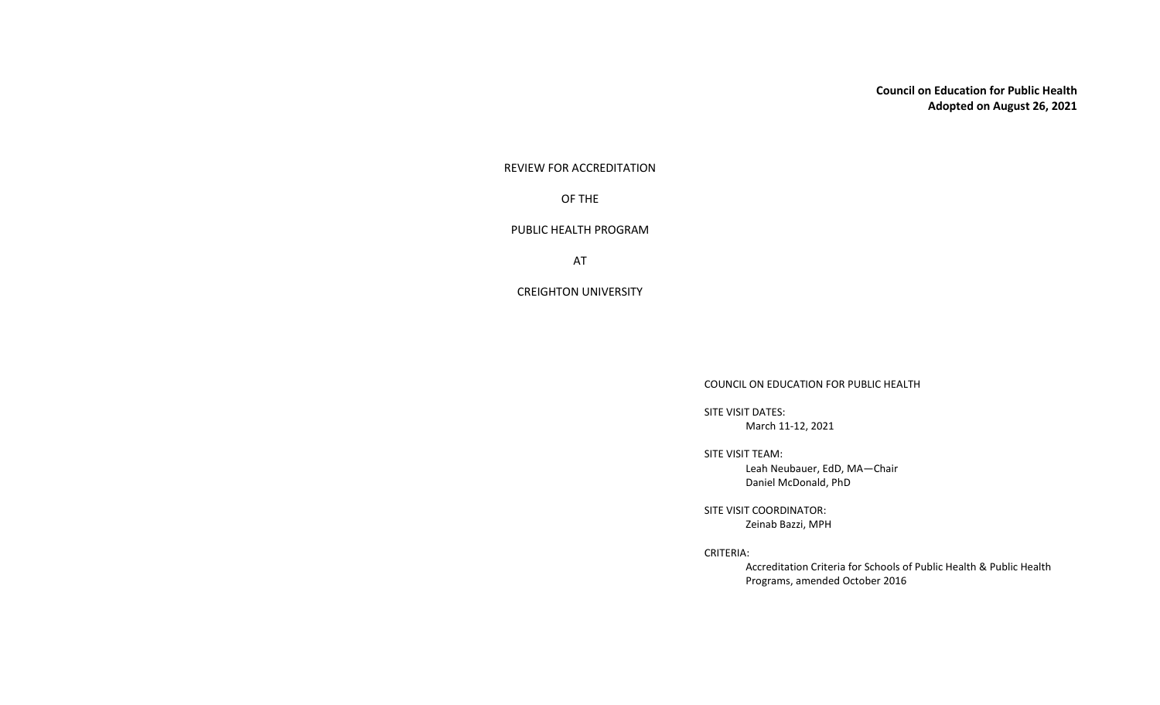**Council on Education for Public Health Adopted on August 26, 2021**

REVIEW FOR ACCREDITATION

OF THE

PUBLIC HEALTH PROGRAM

AT

CREIGHTON UNIVERSITY

COUNCIL ON EDUCATION FOR PUBLIC HEALTH

SITE VISIT DATES: March 11-12, 2021

SITE VISIT TEAM:

Leah Neubauer, EdD, MA―Chair Daniel McDonald, PhD

SITE VISIT COORDINATOR: Zeinab Bazzi, MPH

CRITERIA:

Accreditation Criteria for Schools of Public Health & Public Health Programs, amended October 2016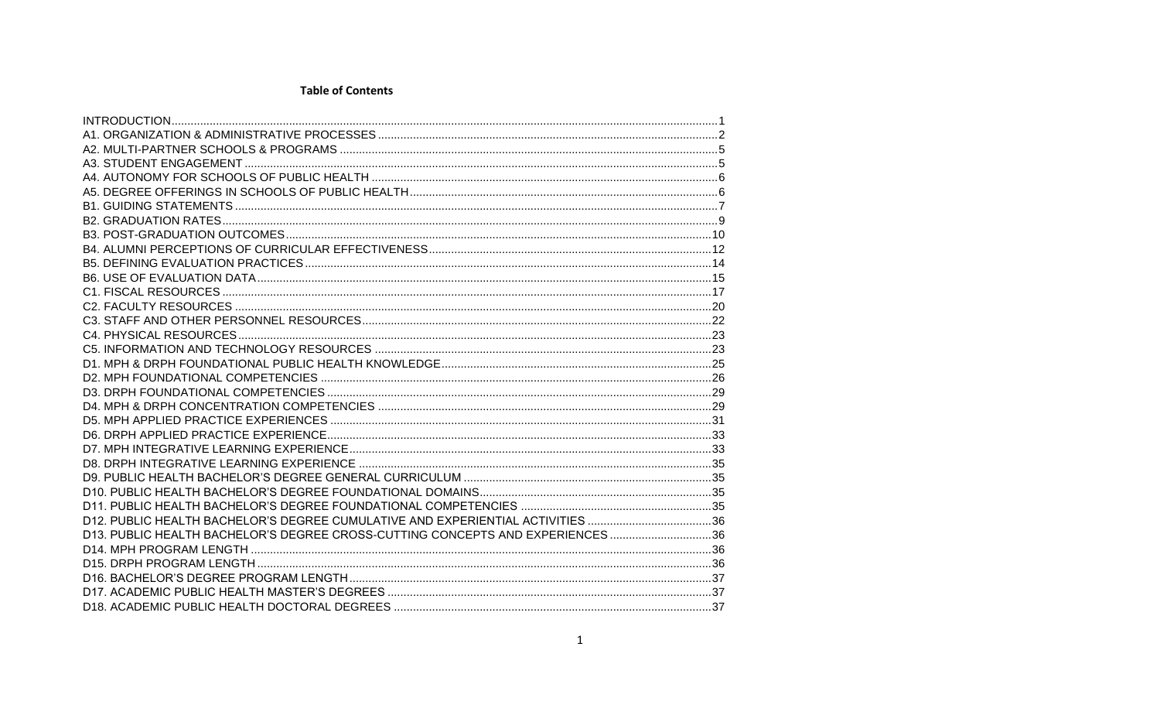## **Table of Contents**

| D12. PUBLIC HEALTH BACHELOR'S DEGREE CUMULATIVE AND EXPERIENTIAL ACTIVITIES 36 |  |
|--------------------------------------------------------------------------------|--|
| D13. PUBLIC HEALTH BACHELOR'S DEGREE CROSS-CUTTING CONCEPTS AND EXPERIENCES36  |  |
|                                                                                |  |
|                                                                                |  |
|                                                                                |  |
|                                                                                |  |
|                                                                                |  |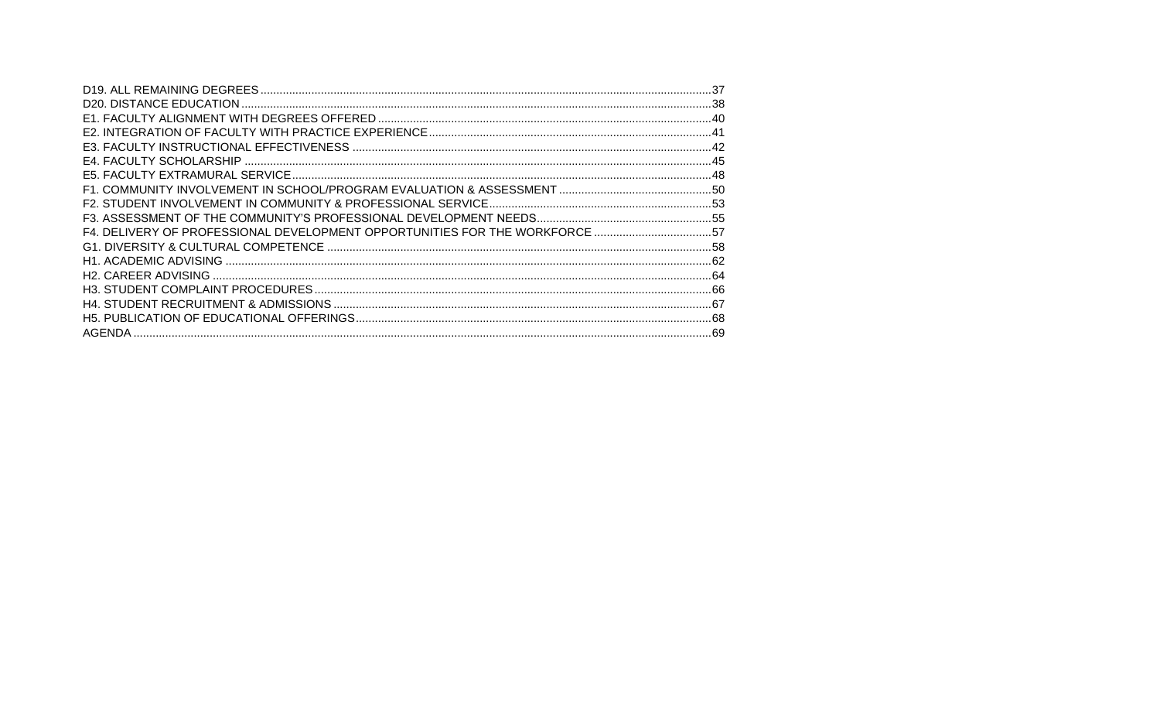| F4. DELIVERY OF PROFESSIONAL DEVELOPMENT OPPORTUNITIES FOR THE WORKFORCE 57 |  |
|-----------------------------------------------------------------------------|--|
|                                                                             |  |
|                                                                             |  |
|                                                                             |  |
|                                                                             |  |
|                                                                             |  |
|                                                                             |  |
|                                                                             |  |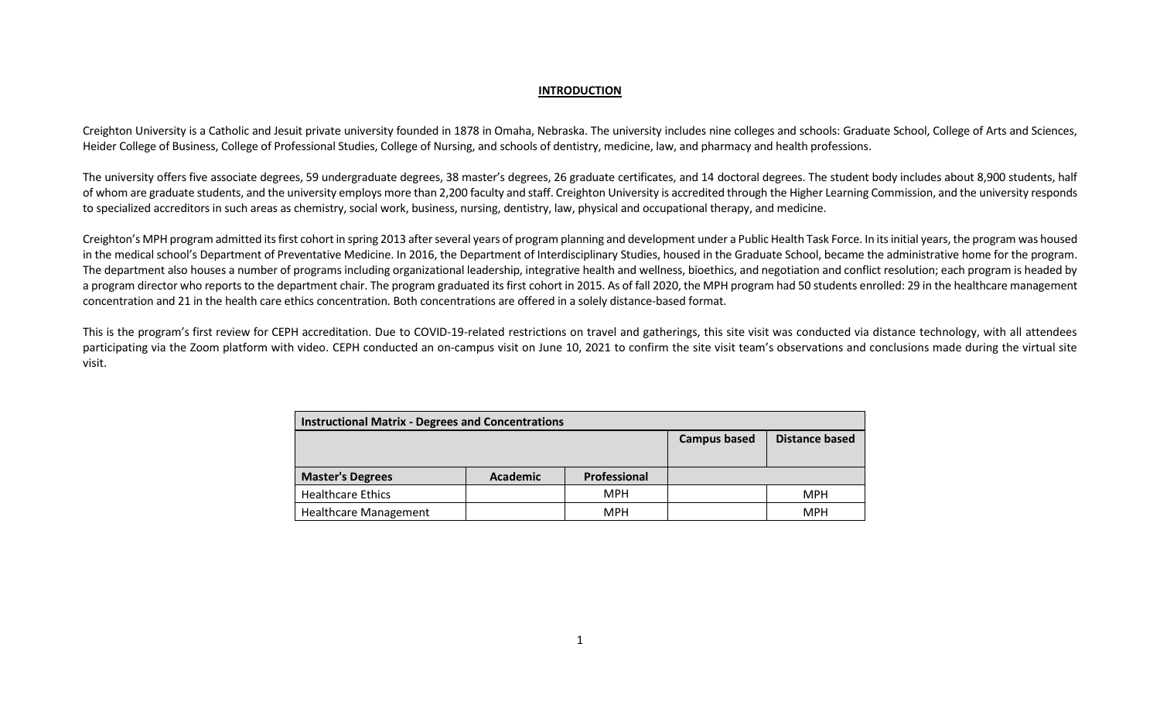#### **INTRODUCTION**

<span id="page-3-0"></span>Creighton University is a Catholic and Jesuit private university founded in 1878 in Omaha, Nebraska. The university includes nine colleges and schools: Graduate School, College of Arts and Sciences, Heider College of Business, College of Professional Studies, College of Nursing, and schools of dentistry, medicine, law, and pharmacy and health professions.

The university offers five associate degrees, 59 undergraduate degrees, 38 master's degrees, 26 graduate certificates, and 14 doctoral degrees. The student body includes about 8,900 students, half of whom are graduate students, and the university employs more than 2,200 faculty and staff. Creighton University is accredited through the Higher Learning Commission, and the university responds to specialized accreditors in such areas as chemistry, social work, business, nursing, dentistry, law, physical and occupational therapy, and medicine.

Creighton's MPH program admitted its first cohort in spring 2013 after several years of program planning and development under a Public Health Task Force. In its initial years, the program was housed in the medical school's Department of Preventative Medicine. In 2016, the Department of Interdisciplinary Studies, housed in the Graduate School, became the administrative home for the program. The department also houses a number of programs including organizational leadership, integrative health and wellness, bioethics, and negotiation and conflict resolution; each program is headed by a program director who reports to the department chair. The program graduated its first cohort in 2015. As of fall 2020, the MPH program had 50 students enrolled: 29 in the healthcare management concentration and 21 in the health care ethics concentration. Both concentrations are offered in a solely distance-based format.

This is the program's first review for CEPH accreditation. Due to COVID-19-related restrictions on travel and gatherings, this site visit was conducted via distance technology, with all attendees participating via the Zoom platform with video. CEPH conducted an on-campus visit on June 10, 2021 to confirm the site visit team's observations and conclusions made during the virtual site visit.

| <b>Instructional Matrix - Degrees and Concentrations</b> |                 |              |                     |                |  |  |
|----------------------------------------------------------|-----------------|--------------|---------------------|----------------|--|--|
|                                                          |                 |              | <b>Campus based</b> | Distance based |  |  |
| <b>Master's Degrees</b>                                  | <b>Academic</b> | Professional |                     |                |  |  |
| <b>Healthcare Ethics</b>                                 |                 | <b>MPH</b>   |                     | <b>MPH</b>     |  |  |
|                                                          |                 |              |                     |                |  |  |
| <b>Healthcare Management</b>                             |                 | <b>MPH</b>   |                     | <b>MPH</b>     |  |  |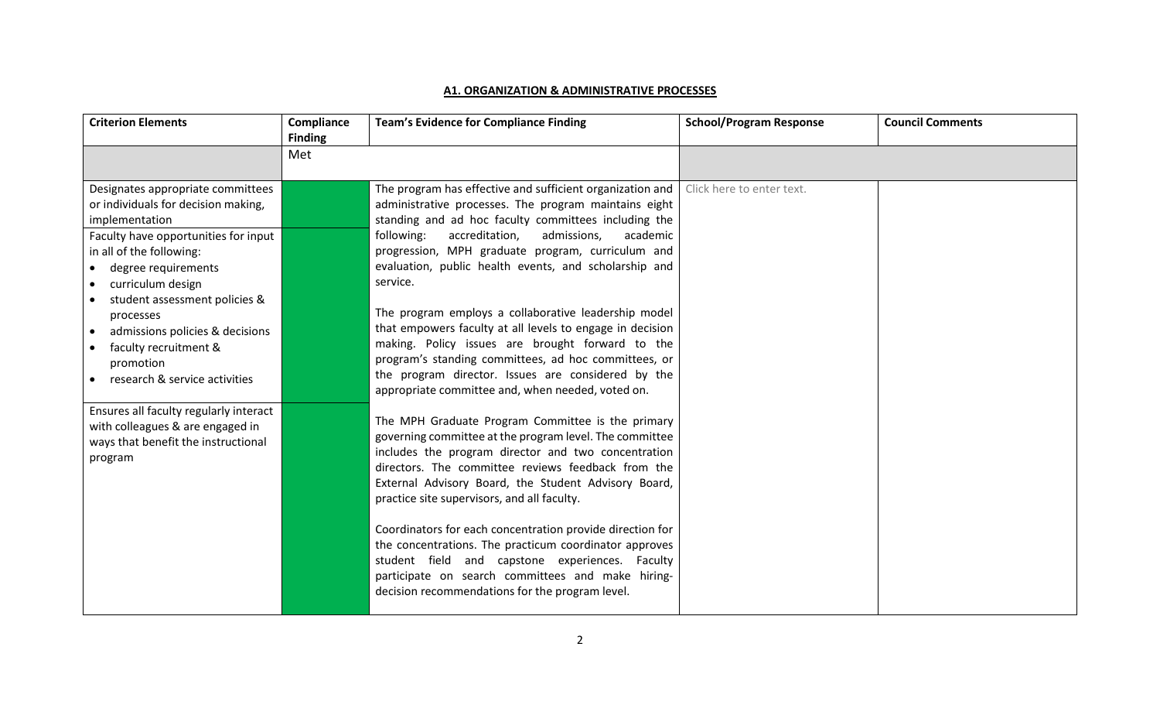#### **A1. ORGANIZATION & ADMINISTRATIVE PROCESSES**

<span id="page-4-0"></span>

| <b>Criterion Elements</b>                                                                                                                                                                                                                                                                                                                                                       | Compliance<br><b>Finding</b> | <b>Team's Evidence for Compliance Finding</b>                                                                                                                                                                                                                                                                                                                                                                                                                                                                                                                                                                                                                                                               | <b>School/Program Response</b> | <b>Council Comments</b> |
|---------------------------------------------------------------------------------------------------------------------------------------------------------------------------------------------------------------------------------------------------------------------------------------------------------------------------------------------------------------------------------|------------------------------|-------------------------------------------------------------------------------------------------------------------------------------------------------------------------------------------------------------------------------------------------------------------------------------------------------------------------------------------------------------------------------------------------------------------------------------------------------------------------------------------------------------------------------------------------------------------------------------------------------------------------------------------------------------------------------------------------------------|--------------------------------|-------------------------|
|                                                                                                                                                                                                                                                                                                                                                                                 | Met                          |                                                                                                                                                                                                                                                                                                                                                                                                                                                                                                                                                                                                                                                                                                             |                                |                         |
| Designates appropriate committees<br>or individuals for decision making,<br>implementation<br>Faculty have opportunities for input<br>in all of the following:<br>degree requirements<br>curriculum design<br>student assessment policies &<br>processes<br>admissions policies & decisions<br>$\bullet$<br>faculty recruitment &<br>promotion<br>research & service activities |                              | The program has effective and sufficient organization and<br>administrative processes. The program maintains eight<br>standing and ad hoc faculty committees including the<br>following:<br>accreditation,<br>admissions,<br>academic<br>progression, MPH graduate program, curriculum and<br>evaluation, public health events, and scholarship and<br>service.<br>The program employs a collaborative leadership model<br>that empowers faculty at all levels to engage in decision<br>making. Policy issues are brought forward to the<br>program's standing committees, ad hoc committees, or<br>the program director. Issues are considered by the<br>appropriate committee and, when needed, voted on. | Click here to enter text.      |                         |
| Ensures all faculty regularly interact<br>with colleagues & are engaged in<br>ways that benefit the instructional<br>program                                                                                                                                                                                                                                                    |                              | The MPH Graduate Program Committee is the primary<br>governing committee at the program level. The committee<br>includes the program director and two concentration<br>directors. The committee reviews feedback from the<br>External Advisory Board, the Student Advisory Board,<br>practice site supervisors, and all faculty.<br>Coordinators for each concentration provide direction for<br>the concentrations. The practicum coordinator approves<br>student field and capstone experiences. Faculty<br>participate on search committees and make hiring-<br>decision recommendations for the program level.                                                                                          |                                |                         |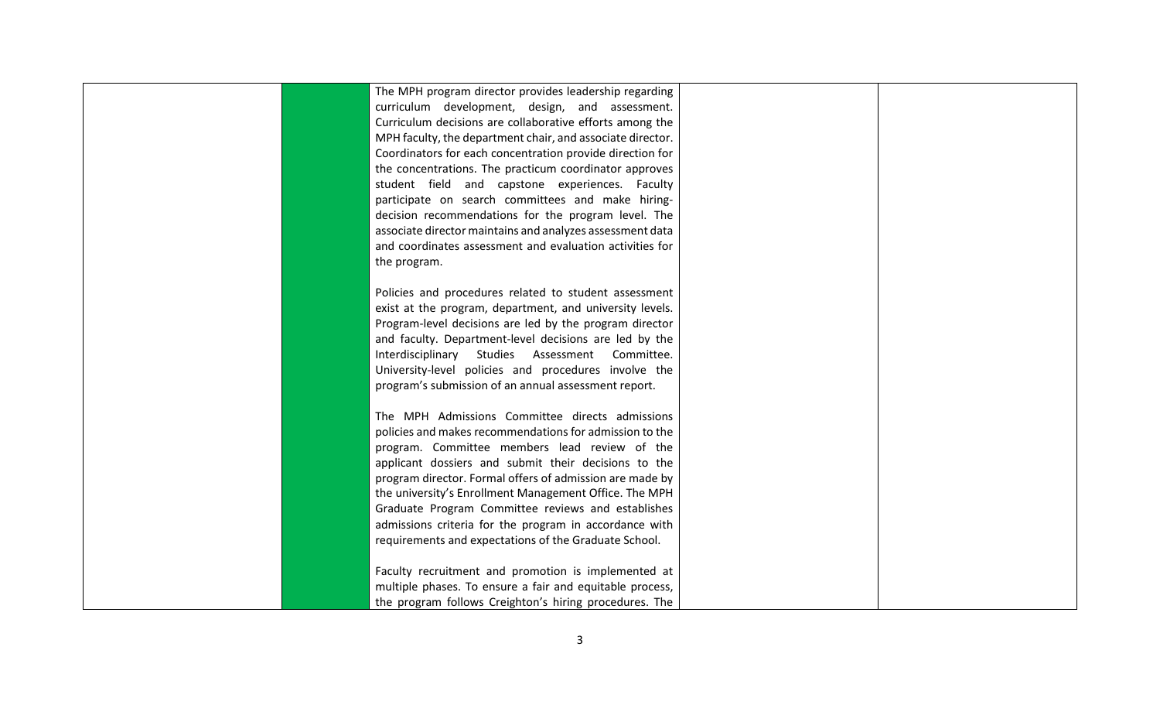| The MPH program director provides leadership regarding<br>curriculum development, design, and assessment.<br>Curriculum decisions are collaborative efforts among the<br>MPH faculty, the department chair, and associate director.<br>Coordinators for each concentration provide direction for<br>the concentrations. The practicum coordinator approves<br>student field and capstone experiences. Faculty<br>participate on search committees and make hiring-<br>decision recommendations for the program level. The<br>associate director maintains and analyzes assessment data<br>and coordinates assessment and evaluation activities for<br>the program.<br>Policies and procedures related to student assessment<br>exist at the program, department, and university levels.<br>Program-level decisions are led by the program director<br>and faculty. Department-level decisions are led by the<br>Interdisciplinary Studies Assessment Committee.<br>University-level policies and procedures involve the<br>program's submission of an annual assessment report.<br>The MPH Admissions Committee directs admissions<br>policies and makes recommendations for admission to the<br>program. Committee members lead review of the<br>applicant dossiers and submit their decisions to the<br>program director. Formal offers of admission are made by<br>the university's Enrollment Management Office. The MPH<br>Graduate Program Committee reviews and establishes<br>admissions criteria for the program in accordance with<br>requirements and expectations of the Graduate School.<br>Faculty recruitment and promotion is implemented at<br>multiple phases. To ensure a fair and equitable process,<br>the program follows Creighton's hiring procedures. The |  |  |
|------------------------------------------------------------------------------------------------------------------------------------------------------------------------------------------------------------------------------------------------------------------------------------------------------------------------------------------------------------------------------------------------------------------------------------------------------------------------------------------------------------------------------------------------------------------------------------------------------------------------------------------------------------------------------------------------------------------------------------------------------------------------------------------------------------------------------------------------------------------------------------------------------------------------------------------------------------------------------------------------------------------------------------------------------------------------------------------------------------------------------------------------------------------------------------------------------------------------------------------------------------------------------------------------------------------------------------------------------------------------------------------------------------------------------------------------------------------------------------------------------------------------------------------------------------------------------------------------------------------------------------------------------------------------------------------------------------------------------------------------------------------------------------|--|--|
|                                                                                                                                                                                                                                                                                                                                                                                                                                                                                                                                                                                                                                                                                                                                                                                                                                                                                                                                                                                                                                                                                                                                                                                                                                                                                                                                                                                                                                                                                                                                                                                                                                                                                                                                                                                    |  |  |
|                                                                                                                                                                                                                                                                                                                                                                                                                                                                                                                                                                                                                                                                                                                                                                                                                                                                                                                                                                                                                                                                                                                                                                                                                                                                                                                                                                                                                                                                                                                                                                                                                                                                                                                                                                                    |  |  |
|                                                                                                                                                                                                                                                                                                                                                                                                                                                                                                                                                                                                                                                                                                                                                                                                                                                                                                                                                                                                                                                                                                                                                                                                                                                                                                                                                                                                                                                                                                                                                                                                                                                                                                                                                                                    |  |  |
|                                                                                                                                                                                                                                                                                                                                                                                                                                                                                                                                                                                                                                                                                                                                                                                                                                                                                                                                                                                                                                                                                                                                                                                                                                                                                                                                                                                                                                                                                                                                                                                                                                                                                                                                                                                    |  |  |
|                                                                                                                                                                                                                                                                                                                                                                                                                                                                                                                                                                                                                                                                                                                                                                                                                                                                                                                                                                                                                                                                                                                                                                                                                                                                                                                                                                                                                                                                                                                                                                                                                                                                                                                                                                                    |  |  |
|                                                                                                                                                                                                                                                                                                                                                                                                                                                                                                                                                                                                                                                                                                                                                                                                                                                                                                                                                                                                                                                                                                                                                                                                                                                                                                                                                                                                                                                                                                                                                                                                                                                                                                                                                                                    |  |  |
|                                                                                                                                                                                                                                                                                                                                                                                                                                                                                                                                                                                                                                                                                                                                                                                                                                                                                                                                                                                                                                                                                                                                                                                                                                                                                                                                                                                                                                                                                                                                                                                                                                                                                                                                                                                    |  |  |
|                                                                                                                                                                                                                                                                                                                                                                                                                                                                                                                                                                                                                                                                                                                                                                                                                                                                                                                                                                                                                                                                                                                                                                                                                                                                                                                                                                                                                                                                                                                                                                                                                                                                                                                                                                                    |  |  |
|                                                                                                                                                                                                                                                                                                                                                                                                                                                                                                                                                                                                                                                                                                                                                                                                                                                                                                                                                                                                                                                                                                                                                                                                                                                                                                                                                                                                                                                                                                                                                                                                                                                                                                                                                                                    |  |  |
|                                                                                                                                                                                                                                                                                                                                                                                                                                                                                                                                                                                                                                                                                                                                                                                                                                                                                                                                                                                                                                                                                                                                                                                                                                                                                                                                                                                                                                                                                                                                                                                                                                                                                                                                                                                    |  |  |
|                                                                                                                                                                                                                                                                                                                                                                                                                                                                                                                                                                                                                                                                                                                                                                                                                                                                                                                                                                                                                                                                                                                                                                                                                                                                                                                                                                                                                                                                                                                                                                                                                                                                                                                                                                                    |  |  |
|                                                                                                                                                                                                                                                                                                                                                                                                                                                                                                                                                                                                                                                                                                                                                                                                                                                                                                                                                                                                                                                                                                                                                                                                                                                                                                                                                                                                                                                                                                                                                                                                                                                                                                                                                                                    |  |  |
|                                                                                                                                                                                                                                                                                                                                                                                                                                                                                                                                                                                                                                                                                                                                                                                                                                                                                                                                                                                                                                                                                                                                                                                                                                                                                                                                                                                                                                                                                                                                                                                                                                                                                                                                                                                    |  |  |
|                                                                                                                                                                                                                                                                                                                                                                                                                                                                                                                                                                                                                                                                                                                                                                                                                                                                                                                                                                                                                                                                                                                                                                                                                                                                                                                                                                                                                                                                                                                                                                                                                                                                                                                                                                                    |  |  |
|                                                                                                                                                                                                                                                                                                                                                                                                                                                                                                                                                                                                                                                                                                                                                                                                                                                                                                                                                                                                                                                                                                                                                                                                                                                                                                                                                                                                                                                                                                                                                                                                                                                                                                                                                                                    |  |  |
|                                                                                                                                                                                                                                                                                                                                                                                                                                                                                                                                                                                                                                                                                                                                                                                                                                                                                                                                                                                                                                                                                                                                                                                                                                                                                                                                                                                                                                                                                                                                                                                                                                                                                                                                                                                    |  |  |
|                                                                                                                                                                                                                                                                                                                                                                                                                                                                                                                                                                                                                                                                                                                                                                                                                                                                                                                                                                                                                                                                                                                                                                                                                                                                                                                                                                                                                                                                                                                                                                                                                                                                                                                                                                                    |  |  |
|                                                                                                                                                                                                                                                                                                                                                                                                                                                                                                                                                                                                                                                                                                                                                                                                                                                                                                                                                                                                                                                                                                                                                                                                                                                                                                                                                                                                                                                                                                                                                                                                                                                                                                                                                                                    |  |  |
|                                                                                                                                                                                                                                                                                                                                                                                                                                                                                                                                                                                                                                                                                                                                                                                                                                                                                                                                                                                                                                                                                                                                                                                                                                                                                                                                                                                                                                                                                                                                                                                                                                                                                                                                                                                    |  |  |
|                                                                                                                                                                                                                                                                                                                                                                                                                                                                                                                                                                                                                                                                                                                                                                                                                                                                                                                                                                                                                                                                                                                                                                                                                                                                                                                                                                                                                                                                                                                                                                                                                                                                                                                                                                                    |  |  |
|                                                                                                                                                                                                                                                                                                                                                                                                                                                                                                                                                                                                                                                                                                                                                                                                                                                                                                                                                                                                                                                                                                                                                                                                                                                                                                                                                                                                                                                                                                                                                                                                                                                                                                                                                                                    |  |  |
|                                                                                                                                                                                                                                                                                                                                                                                                                                                                                                                                                                                                                                                                                                                                                                                                                                                                                                                                                                                                                                                                                                                                                                                                                                                                                                                                                                                                                                                                                                                                                                                                                                                                                                                                                                                    |  |  |
|                                                                                                                                                                                                                                                                                                                                                                                                                                                                                                                                                                                                                                                                                                                                                                                                                                                                                                                                                                                                                                                                                                                                                                                                                                                                                                                                                                                                                                                                                                                                                                                                                                                                                                                                                                                    |  |  |
|                                                                                                                                                                                                                                                                                                                                                                                                                                                                                                                                                                                                                                                                                                                                                                                                                                                                                                                                                                                                                                                                                                                                                                                                                                                                                                                                                                                                                                                                                                                                                                                                                                                                                                                                                                                    |  |  |
|                                                                                                                                                                                                                                                                                                                                                                                                                                                                                                                                                                                                                                                                                                                                                                                                                                                                                                                                                                                                                                                                                                                                                                                                                                                                                                                                                                                                                                                                                                                                                                                                                                                                                                                                                                                    |  |  |
|                                                                                                                                                                                                                                                                                                                                                                                                                                                                                                                                                                                                                                                                                                                                                                                                                                                                                                                                                                                                                                                                                                                                                                                                                                                                                                                                                                                                                                                                                                                                                                                                                                                                                                                                                                                    |  |  |
|                                                                                                                                                                                                                                                                                                                                                                                                                                                                                                                                                                                                                                                                                                                                                                                                                                                                                                                                                                                                                                                                                                                                                                                                                                                                                                                                                                                                                                                                                                                                                                                                                                                                                                                                                                                    |  |  |
|                                                                                                                                                                                                                                                                                                                                                                                                                                                                                                                                                                                                                                                                                                                                                                                                                                                                                                                                                                                                                                                                                                                                                                                                                                                                                                                                                                                                                                                                                                                                                                                                                                                                                                                                                                                    |  |  |
|                                                                                                                                                                                                                                                                                                                                                                                                                                                                                                                                                                                                                                                                                                                                                                                                                                                                                                                                                                                                                                                                                                                                                                                                                                                                                                                                                                                                                                                                                                                                                                                                                                                                                                                                                                                    |  |  |
|                                                                                                                                                                                                                                                                                                                                                                                                                                                                                                                                                                                                                                                                                                                                                                                                                                                                                                                                                                                                                                                                                                                                                                                                                                                                                                                                                                                                                                                                                                                                                                                                                                                                                                                                                                                    |  |  |
|                                                                                                                                                                                                                                                                                                                                                                                                                                                                                                                                                                                                                                                                                                                                                                                                                                                                                                                                                                                                                                                                                                                                                                                                                                                                                                                                                                                                                                                                                                                                                                                                                                                                                                                                                                                    |  |  |
|                                                                                                                                                                                                                                                                                                                                                                                                                                                                                                                                                                                                                                                                                                                                                                                                                                                                                                                                                                                                                                                                                                                                                                                                                                                                                                                                                                                                                                                                                                                                                                                                                                                                                                                                                                                    |  |  |
|                                                                                                                                                                                                                                                                                                                                                                                                                                                                                                                                                                                                                                                                                                                                                                                                                                                                                                                                                                                                                                                                                                                                                                                                                                                                                                                                                                                                                                                                                                                                                                                                                                                                                                                                                                                    |  |  |
|                                                                                                                                                                                                                                                                                                                                                                                                                                                                                                                                                                                                                                                                                                                                                                                                                                                                                                                                                                                                                                                                                                                                                                                                                                                                                                                                                                                                                                                                                                                                                                                                                                                                                                                                                                                    |  |  |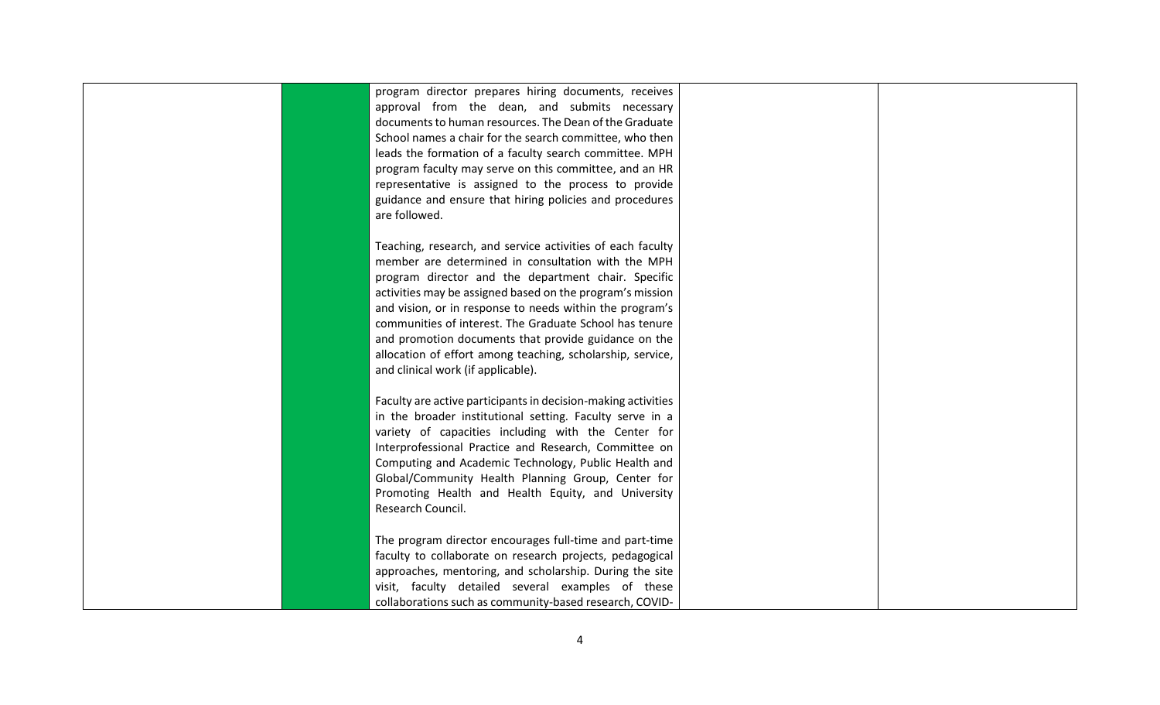| program director prepares hiring documents, receives<br>approval from the dean, and submits necessary<br>documents to human resources. The Dean of the Graduate<br>School names a chair for the search committee, who then<br>leads the formation of a faculty search committee. MPH<br>program faculty may serve on this committee, and an HR<br>representative is assigned to the process to provide<br>guidance and ensure that hiring policies and procedures<br>are followed.                                      |  |
|-------------------------------------------------------------------------------------------------------------------------------------------------------------------------------------------------------------------------------------------------------------------------------------------------------------------------------------------------------------------------------------------------------------------------------------------------------------------------------------------------------------------------|--|
| Teaching, research, and service activities of each faculty<br>member are determined in consultation with the MPH<br>program director and the department chair. Specific<br>activities may be assigned based on the program's mission<br>and vision, or in response to needs within the program's<br>communities of interest. The Graduate School has tenure<br>and promotion documents that provide guidance on the<br>allocation of effort among teaching, scholarship, service,<br>and clinical work (if applicable). |  |
| Faculty are active participants in decision-making activities<br>in the broader institutional setting. Faculty serve in a<br>variety of capacities including with the Center for<br>Interprofessional Practice and Research, Committee on<br>Computing and Academic Technology, Public Health and<br>Global/Community Health Planning Group, Center for<br>Promoting Health and Health Equity, and University<br>Research Council.                                                                                      |  |
| The program director encourages full-time and part-time<br>faculty to collaborate on research projects, pedagogical<br>approaches, mentoring, and scholarship. During the site<br>visit, faculty detailed several examples of these<br>collaborations such as community-based research, COVID-                                                                                                                                                                                                                          |  |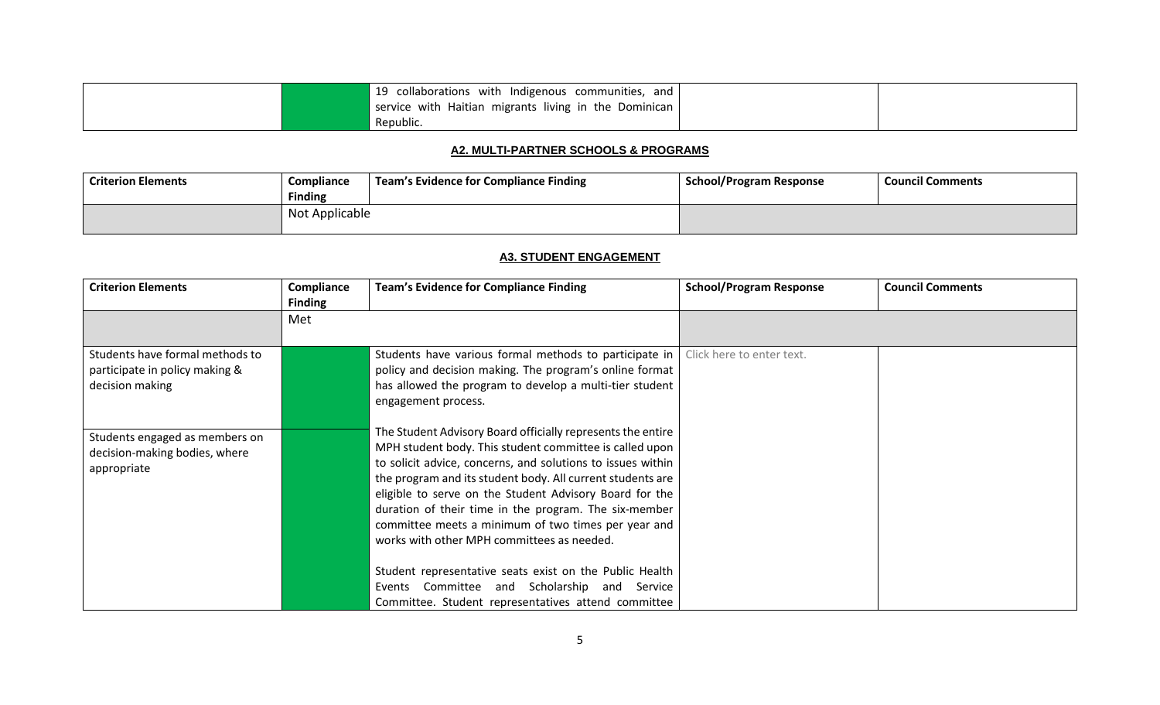| 19 collaborations with Indigenous communities, and      |  |
|---------------------------------------------------------|--|
| service with Haitian migrants living in the Dominican I |  |
| Republic.                                               |  |

#### **A2. MULTI-PARTNER SCHOOLS & PROGRAMS**

<span id="page-7-0"></span>

| <b>Criterion Elements</b> | <b>Compliance</b><br><b>Finding</b> | Team's Evidence for Compliance Finding | <b>School/Program Response</b> | <b>Council Comments</b> |
|---------------------------|-------------------------------------|----------------------------------------|--------------------------------|-------------------------|
|                           | Not Applicable                      |                                        |                                |                         |

## **A3. STUDENT ENGAGEMENT**

<span id="page-7-1"></span>

| <b>Criterion Elements</b>                                                            | Compliance<br><b>Finding</b> | <b>Team's Evidence for Compliance Finding</b>                                                                                                                                                                                                                                                                                                                                                                                                                                                                                                                                                                                                  | <b>School/Program Response</b> | <b>Council Comments</b> |
|--------------------------------------------------------------------------------------|------------------------------|------------------------------------------------------------------------------------------------------------------------------------------------------------------------------------------------------------------------------------------------------------------------------------------------------------------------------------------------------------------------------------------------------------------------------------------------------------------------------------------------------------------------------------------------------------------------------------------------------------------------------------------------|--------------------------------|-------------------------|
|                                                                                      | Met                          |                                                                                                                                                                                                                                                                                                                                                                                                                                                                                                                                                                                                                                                |                                |                         |
| Students have formal methods to<br>participate in policy making &<br>decision making |                              | Students have various formal methods to participate in<br>policy and decision making. The program's online format<br>has allowed the program to develop a multi-tier student<br>engagement process.                                                                                                                                                                                                                                                                                                                                                                                                                                            | Click here to enter text.      |                         |
| Students engaged as members on<br>decision-making bodies, where<br>appropriate       |                              | The Student Advisory Board officially represents the entire<br>MPH student body. This student committee is called upon<br>to solicit advice, concerns, and solutions to issues within<br>the program and its student body. All current students are<br>eligible to serve on the Student Advisory Board for the<br>duration of their time in the program. The six-member<br>committee meets a minimum of two times per year and<br>works with other MPH committees as needed.<br>Student representative seats exist on the Public Health<br>Events Committee and Scholarship and Service<br>Committee. Student representatives attend committee |                                |                         |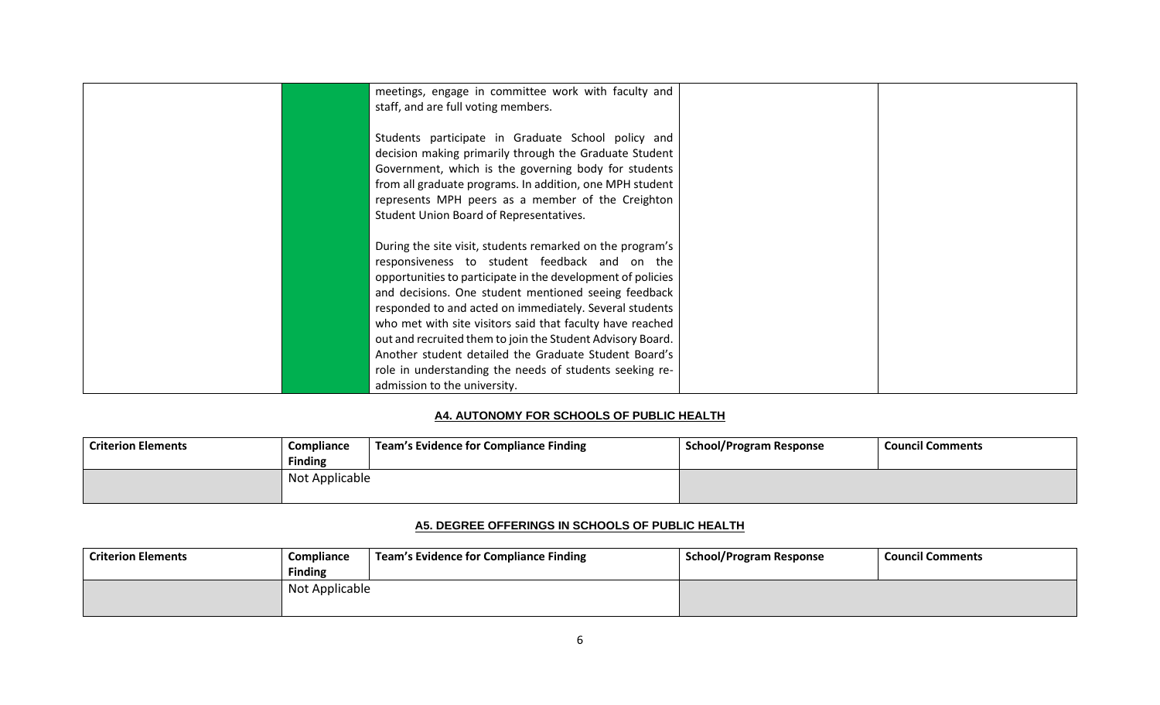| meetings, engage in committee work with faculty and<br>staff, and are full voting members.                                                                                                                                                                                                                                                                                                                                                                                                                                                                                  |  |
|-----------------------------------------------------------------------------------------------------------------------------------------------------------------------------------------------------------------------------------------------------------------------------------------------------------------------------------------------------------------------------------------------------------------------------------------------------------------------------------------------------------------------------------------------------------------------------|--|
| Students participate in Graduate School policy and<br>decision making primarily through the Graduate Student<br>Government, which is the governing body for students<br>from all graduate programs. In addition, one MPH student<br>represents MPH peers as a member of the Creighton<br>Student Union Board of Representatives.                                                                                                                                                                                                                                            |  |
| During the site visit, students remarked on the program's<br>responsiveness to student feedback and on the<br>opportunities to participate in the development of policies<br>and decisions. One student mentioned seeing feedback<br>responded to and acted on immediately. Several students<br>who met with site visitors said that faculty have reached<br>out and recruited them to join the Student Advisory Board.<br>Another student detailed the Graduate Student Board's<br>role in understanding the needs of students seeking re-<br>admission to the university. |  |

## **A4. AUTONOMY FOR SCHOOLS OF PUBLIC HEALTH**

<span id="page-8-0"></span>

| <b>Criterion Elements</b> | Compliance     | Team's Evidence for Compliance Finding | <b>School/Program Response</b> | <b>Council Comments</b> |
|---------------------------|----------------|----------------------------------------|--------------------------------|-------------------------|
|                           | <b>Finding</b> |                                        |                                |                         |
|                           | Not Applicable |                                        |                                |                         |
|                           |                |                                        |                                |                         |

## **A5. DEGREE OFFERINGS IN SCHOOLS OF PUBLIC HEALTH**

<span id="page-8-1"></span>

| l Criterion Elements | Compliance<br><b>Finding</b> | Team's Evidence for Compliance Finding | <b>School/Program Response</b> | <b>Council Comments</b> |
|----------------------|------------------------------|----------------------------------------|--------------------------------|-------------------------|
|                      | Not Applicable               |                                        |                                |                         |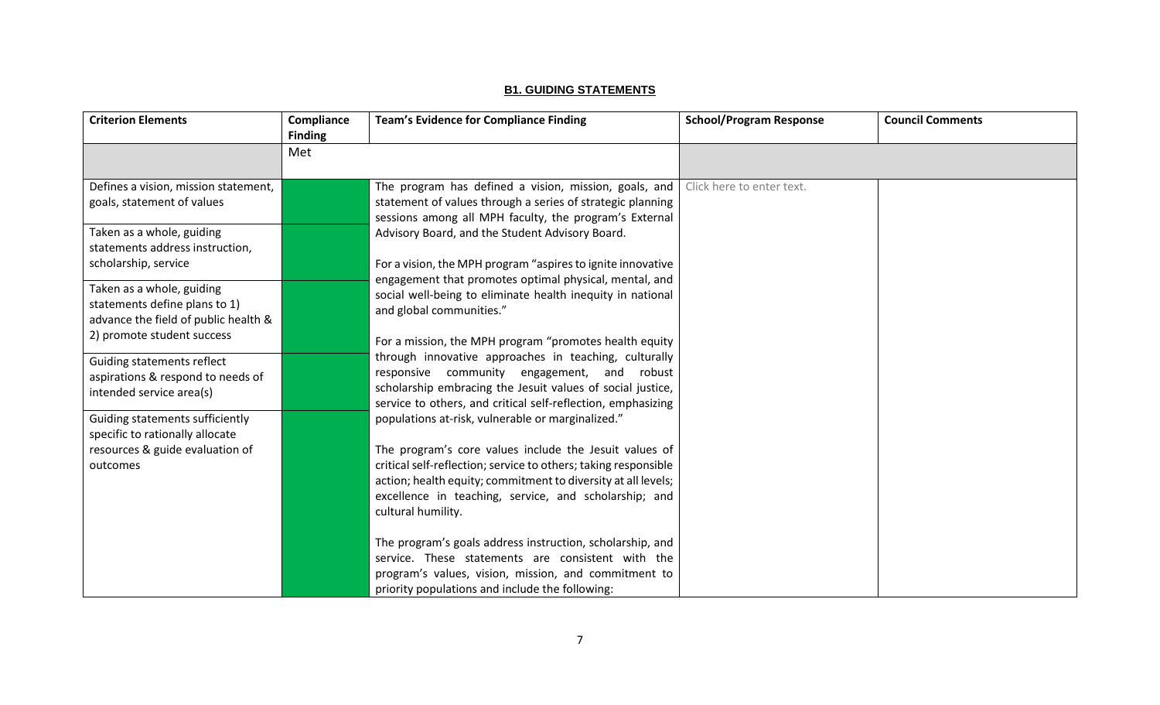## **B1. GUIDING STATEMENTS**

<span id="page-9-0"></span>

| <b>Criterion Elements</b>                                                                          | Compliance<br><b>Finding</b> | <b>Team's Evidence for Compliance Finding</b>                                                                                                                                                                                                                                                                                                                                             | <b>School/Program Response</b> | <b>Council Comments</b> |
|----------------------------------------------------------------------------------------------------|------------------------------|-------------------------------------------------------------------------------------------------------------------------------------------------------------------------------------------------------------------------------------------------------------------------------------------------------------------------------------------------------------------------------------------|--------------------------------|-------------------------|
|                                                                                                    | Met                          |                                                                                                                                                                                                                                                                                                                                                                                           |                                |                         |
| Defines a vision, mission statement,<br>goals, statement of values                                 |                              | The program has defined a vision, mission, goals, and<br>statement of values through a series of strategic planning<br>sessions among all MPH faculty, the program's External                                                                                                                                                                                                             | Click here to enter text.      |                         |
| Taken as a whole, guiding<br>statements address instruction,                                       |                              | Advisory Board, and the Student Advisory Board.                                                                                                                                                                                                                                                                                                                                           |                                |                         |
| scholarship, service                                                                               |                              | For a vision, the MPH program "aspires to ignite innovative<br>engagement that promotes optimal physical, mental, and                                                                                                                                                                                                                                                                     |                                |                         |
| Taken as a whole, guiding<br>statements define plans to 1)<br>advance the field of public health & |                              | social well-being to eliminate health inequity in national<br>and global communities."<br>For a mission, the MPH program "promotes health equity<br>through innovative approaches in teaching, culturally<br>responsive community engagement, and<br>robust<br>scholarship embracing the Jesuit values of social justice,<br>service to others, and critical self-reflection, emphasizing |                                |                         |
| 2) promote student success                                                                         |                              |                                                                                                                                                                                                                                                                                                                                                                                           |                                |                         |
| Guiding statements reflect<br>aspirations & respond to needs of<br>intended service area(s)        |                              |                                                                                                                                                                                                                                                                                                                                                                                           |                                |                         |
| Guiding statements sufficiently<br>specific to rationally allocate                                 |                              | populations at-risk, vulnerable or marginalized."                                                                                                                                                                                                                                                                                                                                         |                                |                         |
| resources & guide evaluation of<br>outcomes                                                        |                              | The program's core values include the Jesuit values of<br>critical self-reflection; service to others; taking responsible<br>action; health equity; commitment to diversity at all levels;<br>excellence in teaching, service, and scholarship; and<br>cultural humility.                                                                                                                 |                                |                         |
|                                                                                                    |                              | The program's goals address instruction, scholarship, and<br>service. These statements are consistent with the<br>program's values, vision, mission, and commitment to<br>priority populations and include the following:                                                                                                                                                                 |                                |                         |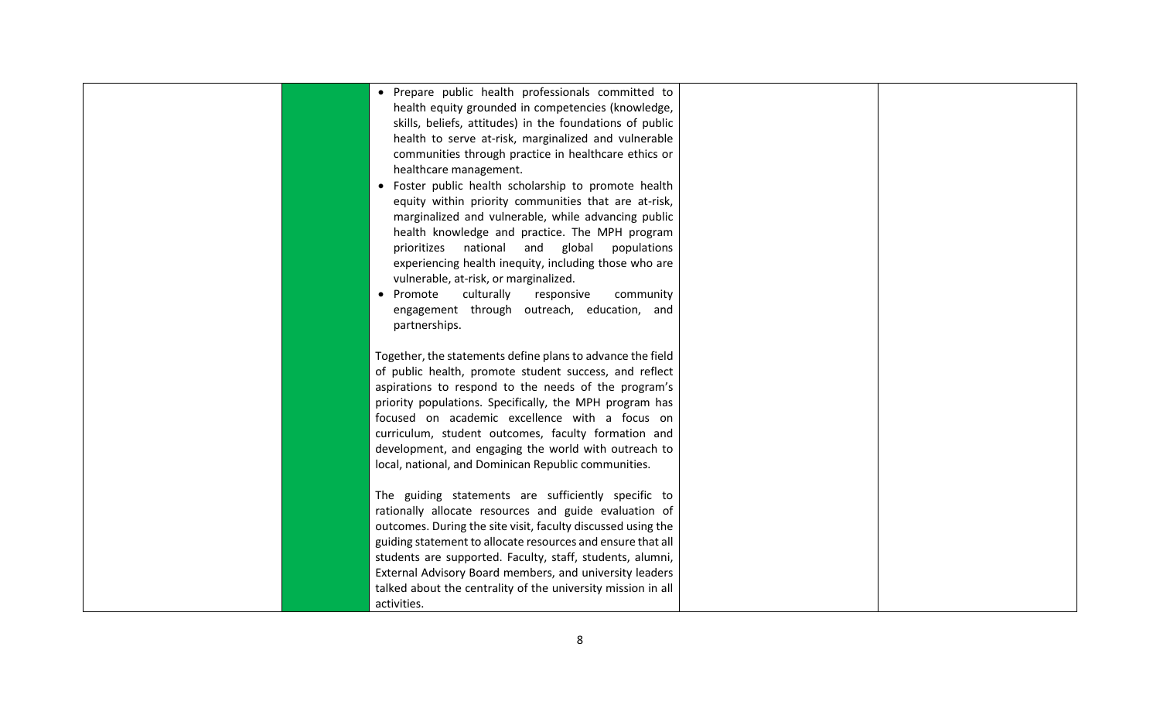| • Prepare public health professionals committed to<br>health equity grounded in competencies (knowledge,<br>skills, beliefs, attitudes) in the foundations of public<br>health to serve at-risk, marginalized and vulnerable<br>communities through practice in healthcare ethics or<br>healthcare management.<br>• Foster public health scholarship to promote health<br>equity within priority communities that are at-risk,<br>marginalized and vulnerable, while advancing public<br>health knowledge and practice. The MPH program<br>prioritizes national and global populations<br>experiencing health inequity, including those who are<br>vulnerable, at-risk, or marginalized.<br>• Promote<br>culturally<br>responsive<br>community<br>engagement through outreach, education, and<br>partnerships. |  |
|----------------------------------------------------------------------------------------------------------------------------------------------------------------------------------------------------------------------------------------------------------------------------------------------------------------------------------------------------------------------------------------------------------------------------------------------------------------------------------------------------------------------------------------------------------------------------------------------------------------------------------------------------------------------------------------------------------------------------------------------------------------------------------------------------------------|--|
| Together, the statements define plans to advance the field<br>of public health, promote student success, and reflect<br>aspirations to respond to the needs of the program's<br>priority populations. Specifically, the MPH program has<br>focused on academic excellence with a focus on<br>curriculum, student outcomes, faculty formation and<br>development, and engaging the world with outreach to<br>local, national, and Dominican Republic communities.                                                                                                                                                                                                                                                                                                                                               |  |
| The guiding statements are sufficiently specific to<br>rationally allocate resources and guide evaluation of<br>outcomes. During the site visit, faculty discussed using the<br>guiding statement to allocate resources and ensure that all<br>students are supported. Faculty, staff, students, alumni,<br>External Advisory Board members, and university leaders<br>talked about the centrality of the university mission in all<br>activities.                                                                                                                                                                                                                                                                                                                                                             |  |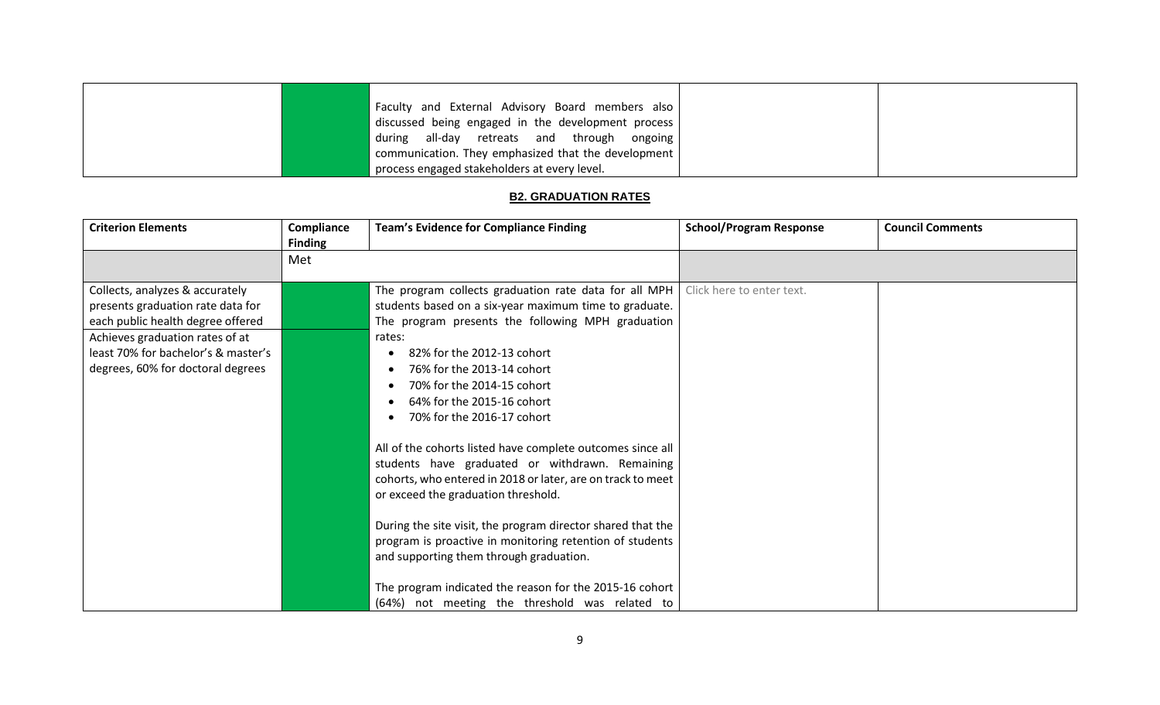|  | Faculty and External Advisory Board members also                                |  |
|--|---------------------------------------------------------------------------------|--|
|  | discussed being engaged in the development process                              |  |
|  | all-day retreats and through ongoing<br>during                                  |  |
|  | $\frac{1}{2}$ communication. They emphasized that the development $\frac{1}{2}$ |  |
|  | process engaged stakeholders at every level.                                    |  |

## **B2. GRADUATION RATES**

<span id="page-11-0"></span>

| <b>Criterion Elements</b>                                                                                                                                                                                                | Compliance<br><b>Finding</b> | <b>Team's Evidence for Compliance Finding</b>                                                                                                                                                                                                                                                                                                                                                                                                                                                                                                                                                                                                                                                                                                                                                                                                  | <b>School/Program Response</b> | <b>Council Comments</b> |
|--------------------------------------------------------------------------------------------------------------------------------------------------------------------------------------------------------------------------|------------------------------|------------------------------------------------------------------------------------------------------------------------------------------------------------------------------------------------------------------------------------------------------------------------------------------------------------------------------------------------------------------------------------------------------------------------------------------------------------------------------------------------------------------------------------------------------------------------------------------------------------------------------------------------------------------------------------------------------------------------------------------------------------------------------------------------------------------------------------------------|--------------------------------|-------------------------|
|                                                                                                                                                                                                                          | Met                          |                                                                                                                                                                                                                                                                                                                                                                                                                                                                                                                                                                                                                                                                                                                                                                                                                                                |                                |                         |
| Collects, analyzes & accurately<br>presents graduation rate data for<br>each public health degree offered<br>Achieves graduation rates of at<br>least 70% for bachelor's & master's<br>degrees, 60% for doctoral degrees |                              | The program collects graduation rate data for all MPH<br>students based on a six-year maximum time to graduate.<br>The program presents the following MPH graduation<br>rates:<br>82% for the 2012-13 cohort<br>76% for the 2013-14 cohort<br>70% for the 2014-15 cohort<br>64% for the 2015-16 cohort<br>70% for the 2016-17 cohort<br>All of the cohorts listed have complete outcomes since all<br>students have graduated or withdrawn. Remaining<br>cohorts, who entered in 2018 or later, are on track to meet<br>or exceed the graduation threshold.<br>During the site visit, the program director shared that the<br>program is proactive in monitoring retention of students<br>and supporting them through graduation.<br>The program indicated the reason for the 2015-16 cohort<br>(64%) not meeting the threshold was related to | Click here to enter text.      |                         |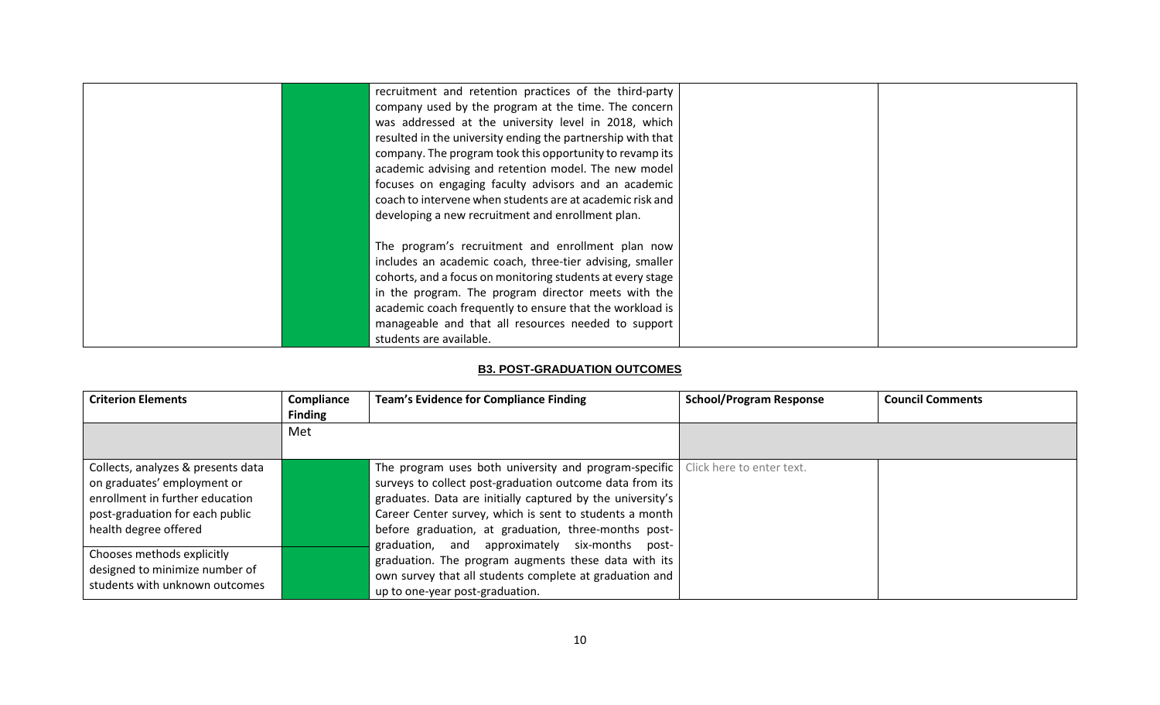| recruitment and retention practices of the third-party      |  |
|-------------------------------------------------------------|--|
| company used by the program at the time. The concern        |  |
| was addressed at the university level in 2018, which        |  |
| resulted in the university ending the partnership with that |  |
| company. The program took this opportunity to revamp its    |  |
| academic advising and retention model. The new model        |  |
| focuses on engaging faculty advisors and an academic        |  |
| coach to intervene when students are at academic risk and   |  |
| developing a new recruitment and enrollment plan.           |  |
|                                                             |  |
| The program's recruitment and enrollment plan now           |  |
| includes an academic coach, three-tier advising, smaller    |  |
| cohorts, and a focus on monitoring students at every stage  |  |
| in the program. The program director meets with the         |  |
| academic coach frequently to ensure that the workload is    |  |
| manageable and that all resources needed to support         |  |
| students are available.                                     |  |

#### **B3. POST-GRADUATION OUTCOMES**

<span id="page-12-0"></span>

| <b>Criterion Elements</b>                                        | Compliance<br><b>Finding</b> | <b>Team's Evidence for Compliance Finding</b>                                     | <b>School/Program Response</b> | <b>Council Comments</b> |
|------------------------------------------------------------------|------------------------------|-----------------------------------------------------------------------------------|--------------------------------|-------------------------|
|                                                                  | Met                          |                                                                                   |                                |                         |
|                                                                  |                              |                                                                                   |                                |                         |
| Collects, analyzes & presents data                               |                              | The program uses both university and program-specific   Click here to enter text. |                                |                         |
| on graduates' employment or                                      |                              | surveys to collect post-graduation outcome data from its                          |                                |                         |
| enrollment in further education                                  |                              | graduates. Data are initially captured by the university's                        |                                |                         |
| post-graduation for each public                                  |                              | Career Center survey, which is sent to students a month                           |                                |                         |
| health degree offered                                            |                              | before graduation, at graduation, three-months post-                              |                                |                         |
|                                                                  |                              | graduation, and approximately six-months post-                                    |                                |                         |
| Chooses methods explicitly                                       |                              | graduation. The program augments these data with its                              |                                |                         |
| designed to minimize number of<br>students with unknown outcomes |                              | own survey that all students complete at graduation and                           |                                |                         |
|                                                                  |                              | up to one-year post-graduation.                                                   |                                |                         |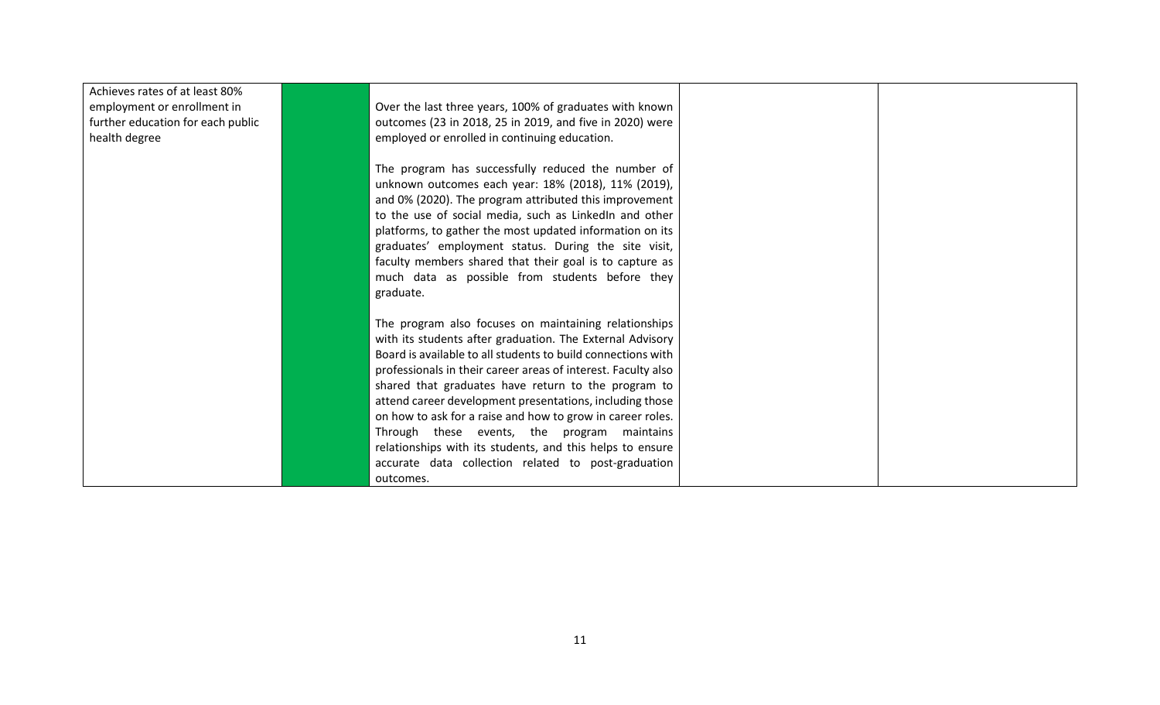| Achieves rates of at least 80%    |                                                               |  |
|-----------------------------------|---------------------------------------------------------------|--|
| employment or enrollment in       | Over the last three years, 100% of graduates with known       |  |
| further education for each public | outcomes (23 in 2018, 25 in 2019, and five in 2020) were      |  |
| health degree                     | employed or enrolled in continuing education.                 |  |
|                                   |                                                               |  |
|                                   | The program has successfully reduced the number of            |  |
|                                   | unknown outcomes each year: 18% (2018), 11% (2019),           |  |
|                                   | and 0% (2020). The program attributed this improvement        |  |
|                                   | to the use of social media, such as LinkedIn and other        |  |
|                                   | platforms, to gather the most updated information on its      |  |
|                                   | graduates' employment status. During the site visit,          |  |
|                                   | faculty members shared that their goal is to capture as       |  |
|                                   | much data as possible from students before they               |  |
|                                   | graduate.                                                     |  |
|                                   |                                                               |  |
|                                   | The program also focuses on maintaining relationships         |  |
|                                   | with its students after graduation. The External Advisory     |  |
|                                   | Board is available to all students to build connections with  |  |
|                                   | professionals in their career areas of interest. Faculty also |  |
|                                   | shared that graduates have return to the program to           |  |
|                                   | attend career development presentations, including those      |  |
|                                   | on how to ask for a raise and how to grow in career roles.    |  |
|                                   | Through these events, the program maintains                   |  |
|                                   | relationships with its students, and this helps to ensure     |  |
|                                   | accurate data collection related to post-graduation           |  |
|                                   | outcomes.                                                     |  |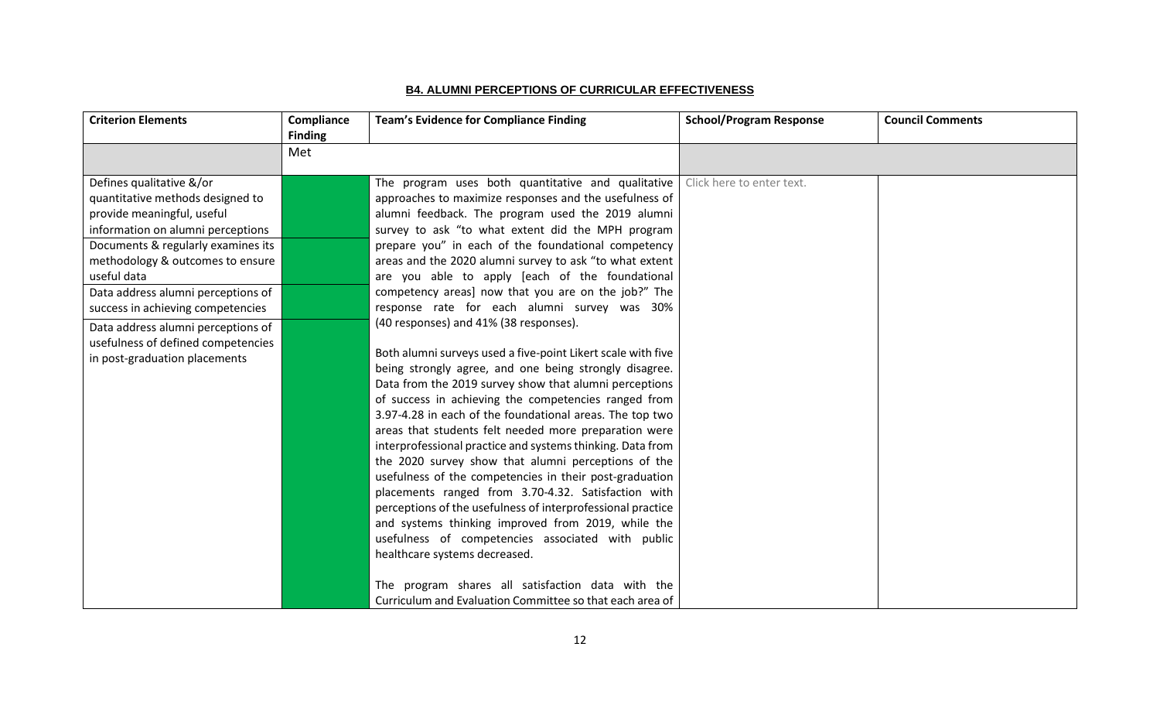## **B4. ALUMNI PERCEPTIONS OF CURRICULAR EFFECTIVENESS**

<span id="page-14-0"></span>

| <b>Criterion Elements</b>                                                                                                                                                                                                                                                                                                                                                                                        | Compliance<br><b>Finding</b> | <b>Team's Evidence for Compliance Finding</b>                                                                                                                                                                                                                                                                                                                                                                                                                                                                                                                                                                                                                                                                                                                                                                                                                                                                                                                                                                                                                                                                                                                                                                                                                                                                                                                   | <b>School/Program Response</b> | <b>Council Comments</b> |
|------------------------------------------------------------------------------------------------------------------------------------------------------------------------------------------------------------------------------------------------------------------------------------------------------------------------------------------------------------------------------------------------------------------|------------------------------|-----------------------------------------------------------------------------------------------------------------------------------------------------------------------------------------------------------------------------------------------------------------------------------------------------------------------------------------------------------------------------------------------------------------------------------------------------------------------------------------------------------------------------------------------------------------------------------------------------------------------------------------------------------------------------------------------------------------------------------------------------------------------------------------------------------------------------------------------------------------------------------------------------------------------------------------------------------------------------------------------------------------------------------------------------------------------------------------------------------------------------------------------------------------------------------------------------------------------------------------------------------------------------------------------------------------------------------------------------------------|--------------------------------|-------------------------|
|                                                                                                                                                                                                                                                                                                                                                                                                                  | Met                          |                                                                                                                                                                                                                                                                                                                                                                                                                                                                                                                                                                                                                                                                                                                                                                                                                                                                                                                                                                                                                                                                                                                                                                                                                                                                                                                                                                 |                                |                         |
| Defines qualitative &/or<br>quantitative methods designed to<br>provide meaningful, useful<br>information on alumni perceptions<br>Documents & regularly examines its<br>methodology & outcomes to ensure<br>useful data<br>Data address alumni perceptions of<br>success in achieving competencies<br>Data address alumni perceptions of<br>usefulness of defined competencies<br>in post-graduation placements |                              | The program uses both quantitative and qualitative<br>approaches to maximize responses and the usefulness of<br>alumni feedback. The program used the 2019 alumni<br>survey to ask "to what extent did the MPH program<br>prepare you" in each of the foundational competency<br>areas and the 2020 alumni survey to ask "to what extent<br>are you able to apply [each of the foundational<br>competency areas] now that you are on the job?" The<br>response rate for each alumni survey was 30%<br>(40 responses) and 41% (38 responses).<br>Both alumni surveys used a five-point Likert scale with five<br>being strongly agree, and one being strongly disagree.<br>Data from the 2019 survey show that alumni perceptions<br>of success in achieving the competencies ranged from<br>3.97-4.28 in each of the foundational areas. The top two<br>areas that students felt needed more preparation were<br>interprofessional practice and systems thinking. Data from<br>the 2020 survey show that alumni perceptions of the<br>usefulness of the competencies in their post-graduation<br>placements ranged from 3.70-4.32. Satisfaction with<br>perceptions of the usefulness of interprofessional practice<br>and systems thinking improved from 2019, while the<br>usefulness of competencies associated with public<br>healthcare systems decreased. | Click here to enter text.      |                         |
|                                                                                                                                                                                                                                                                                                                                                                                                                  |                              | The program shares all satisfaction data with the                                                                                                                                                                                                                                                                                                                                                                                                                                                                                                                                                                                                                                                                                                                                                                                                                                                                                                                                                                                                                                                                                                                                                                                                                                                                                                               |                                |                         |
|                                                                                                                                                                                                                                                                                                                                                                                                                  |                              | Curriculum and Evaluation Committee so that each area of                                                                                                                                                                                                                                                                                                                                                                                                                                                                                                                                                                                                                                                                                                                                                                                                                                                                                                                                                                                                                                                                                                                                                                                                                                                                                                        |                                |                         |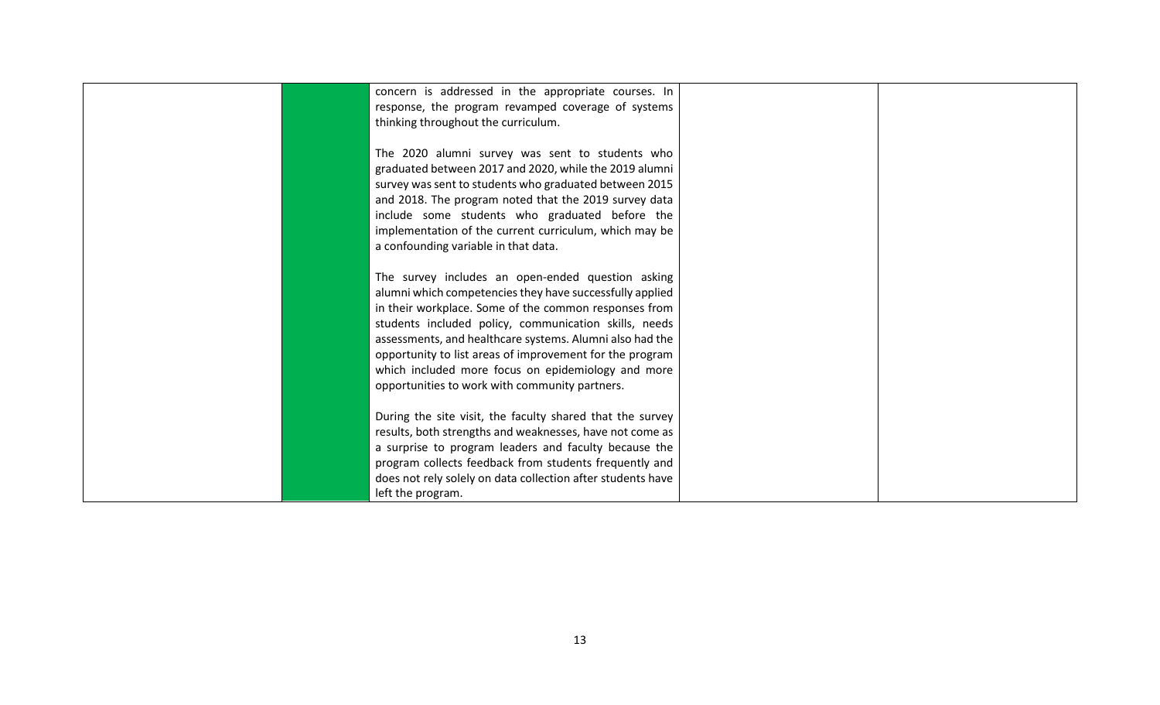<span id="page-15-0"></span>

| The 2020 alumni survey was sent to students who             |                                                                                                                                                                                                                                                                                                                                                                                                                                                                                                                                                                                                                                                                                                                                                                                                                                               |                                                                                                           |
|-------------------------------------------------------------|-----------------------------------------------------------------------------------------------------------------------------------------------------------------------------------------------------------------------------------------------------------------------------------------------------------------------------------------------------------------------------------------------------------------------------------------------------------------------------------------------------------------------------------------------------------------------------------------------------------------------------------------------------------------------------------------------------------------------------------------------------------------------------------------------------------------------------------------------|-----------------------------------------------------------------------------------------------------------|
| graduated between 2017 and 2020, while the 2019 alumni      |                                                                                                                                                                                                                                                                                                                                                                                                                                                                                                                                                                                                                                                                                                                                                                                                                                               |                                                                                                           |
|                                                             |                                                                                                                                                                                                                                                                                                                                                                                                                                                                                                                                                                                                                                                                                                                                                                                                                                               |                                                                                                           |
|                                                             |                                                                                                                                                                                                                                                                                                                                                                                                                                                                                                                                                                                                                                                                                                                                                                                                                                               |                                                                                                           |
|                                                             |                                                                                                                                                                                                                                                                                                                                                                                                                                                                                                                                                                                                                                                                                                                                                                                                                                               |                                                                                                           |
|                                                             |                                                                                                                                                                                                                                                                                                                                                                                                                                                                                                                                                                                                                                                                                                                                                                                                                                               |                                                                                                           |
|                                                             |                                                                                                                                                                                                                                                                                                                                                                                                                                                                                                                                                                                                                                                                                                                                                                                                                                               |                                                                                                           |
|                                                             |                                                                                                                                                                                                                                                                                                                                                                                                                                                                                                                                                                                                                                                                                                                                                                                                                                               |                                                                                                           |
|                                                             |                                                                                                                                                                                                                                                                                                                                                                                                                                                                                                                                                                                                                                                                                                                                                                                                                                               |                                                                                                           |
|                                                             |                                                                                                                                                                                                                                                                                                                                                                                                                                                                                                                                                                                                                                                                                                                                                                                                                                               |                                                                                                           |
|                                                             |                                                                                                                                                                                                                                                                                                                                                                                                                                                                                                                                                                                                                                                                                                                                                                                                                                               |                                                                                                           |
| in their workplace. Some of the common responses from       |                                                                                                                                                                                                                                                                                                                                                                                                                                                                                                                                                                                                                                                                                                                                                                                                                                               |                                                                                                           |
| students included policy, communication skills, needs       |                                                                                                                                                                                                                                                                                                                                                                                                                                                                                                                                                                                                                                                                                                                                                                                                                                               |                                                                                                           |
|                                                             |                                                                                                                                                                                                                                                                                                                                                                                                                                                                                                                                                                                                                                                                                                                                                                                                                                               |                                                                                                           |
|                                                             |                                                                                                                                                                                                                                                                                                                                                                                                                                                                                                                                                                                                                                                                                                                                                                                                                                               |                                                                                                           |
|                                                             |                                                                                                                                                                                                                                                                                                                                                                                                                                                                                                                                                                                                                                                                                                                                                                                                                                               |                                                                                                           |
|                                                             |                                                                                                                                                                                                                                                                                                                                                                                                                                                                                                                                                                                                                                                                                                                                                                                                                                               |                                                                                                           |
|                                                             |                                                                                                                                                                                                                                                                                                                                                                                                                                                                                                                                                                                                                                                                                                                                                                                                                                               |                                                                                                           |
|                                                             |                                                                                                                                                                                                                                                                                                                                                                                                                                                                                                                                                                                                                                                                                                                                                                                                                                               |                                                                                                           |
|                                                             |                                                                                                                                                                                                                                                                                                                                                                                                                                                                                                                                                                                                                                                                                                                                                                                                                                               |                                                                                                           |
|                                                             |                                                                                                                                                                                                                                                                                                                                                                                                                                                                                                                                                                                                                                                                                                                                                                                                                                               |                                                                                                           |
|                                                             |                                                                                                                                                                                                                                                                                                                                                                                                                                                                                                                                                                                                                                                                                                                                                                                                                                               |                                                                                                           |
| program collects feedback from students frequently and      |                                                                                                                                                                                                                                                                                                                                                                                                                                                                                                                                                                                                                                                                                                                                                                                                                                               |                                                                                                           |
| does not rely solely on data collection after students have |                                                                                                                                                                                                                                                                                                                                                                                                                                                                                                                                                                                                                                                                                                                                                                                                                                               |                                                                                                           |
| left the program.                                           |                                                                                                                                                                                                                                                                                                                                                                                                                                                                                                                                                                                                                                                                                                                                                                                                                                               |                                                                                                           |
|                                                             | response, the program revamped coverage of systems<br>thinking throughout the curriculum.<br>survey was sent to students who graduated between 2015<br>and 2018. The program noted that the 2019 survey data<br>include some students who graduated before the<br>implementation of the current curriculum, which may be<br>a confounding variable in that data.<br>The survey includes an open-ended question asking<br>alumni which competencies they have successfully applied<br>assessments, and healthcare systems. Alumni also had the<br>opportunity to list areas of improvement for the program<br>opportunities to work with community partners.<br>During the site visit, the faculty shared that the survey<br>results, both strengths and weaknesses, have not come as<br>a surprise to program leaders and faculty because the | concern is addressed in the appropriate courses. In<br>which included more focus on epidemiology and more |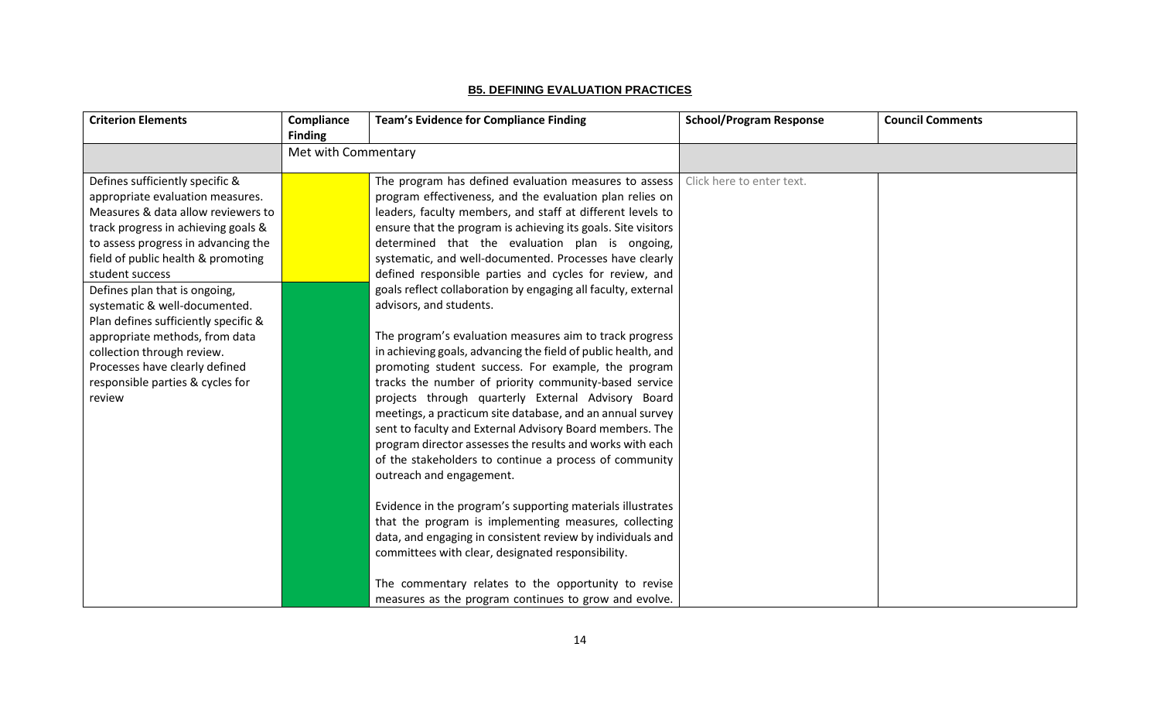## **B5. DEFINING EVALUATION PRACTICES**

| <b>Criterion Elements</b>                                                                                                                                                                                                                                                                                                                                                                                                                                                                                  | Compliance<br><b>Finding</b> | <b>Team's Evidence for Compliance Finding</b>                                                                                                                                                                                                                                                                                                                                                                                                                                                                                                                                                                                                                                                                                                                                                                                                                                                                                                                                                                                                                                                      | <b>School/Program Response</b> | <b>Council Comments</b> |
|------------------------------------------------------------------------------------------------------------------------------------------------------------------------------------------------------------------------------------------------------------------------------------------------------------------------------------------------------------------------------------------------------------------------------------------------------------------------------------------------------------|------------------------------|----------------------------------------------------------------------------------------------------------------------------------------------------------------------------------------------------------------------------------------------------------------------------------------------------------------------------------------------------------------------------------------------------------------------------------------------------------------------------------------------------------------------------------------------------------------------------------------------------------------------------------------------------------------------------------------------------------------------------------------------------------------------------------------------------------------------------------------------------------------------------------------------------------------------------------------------------------------------------------------------------------------------------------------------------------------------------------------------------|--------------------------------|-------------------------|
|                                                                                                                                                                                                                                                                                                                                                                                                                                                                                                            | Met with Commentary          |                                                                                                                                                                                                                                                                                                                                                                                                                                                                                                                                                                                                                                                                                                                                                                                                                                                                                                                                                                                                                                                                                                    |                                |                         |
| Defines sufficiently specific &<br>appropriate evaluation measures.<br>Measures & data allow reviewers to<br>track progress in achieving goals &<br>to assess progress in advancing the<br>field of public health & promoting<br>student success<br>Defines plan that is ongoing,<br>systematic & well-documented.<br>Plan defines sufficiently specific &<br>appropriate methods, from data<br>collection through review.<br>Processes have clearly defined<br>responsible parties & cycles for<br>review |                              | The program has defined evaluation measures to assess<br>program effectiveness, and the evaluation plan relies on<br>leaders, faculty members, and staff at different levels to<br>ensure that the program is achieving its goals. Site visitors<br>determined that the evaluation plan is ongoing,<br>systematic, and well-documented. Processes have clearly<br>defined responsible parties and cycles for review, and<br>goals reflect collaboration by engaging all faculty, external<br>advisors, and students.<br>The program's evaluation measures aim to track progress<br>in achieving goals, advancing the field of public health, and<br>promoting student success. For example, the program<br>tracks the number of priority community-based service<br>projects through quarterly External Advisory Board<br>meetings, a practicum site database, and an annual survey<br>sent to faculty and External Advisory Board members. The<br>program director assesses the results and works with each<br>of the stakeholders to continue a process of community<br>outreach and engagement. | Click here to enter text.      |                         |
|                                                                                                                                                                                                                                                                                                                                                                                                                                                                                                            |                              | Evidence in the program's supporting materials illustrates<br>that the program is implementing measures, collecting<br>data, and engaging in consistent review by individuals and<br>committees with clear, designated responsibility.<br>The commentary relates to the opportunity to revise<br>measures as the program continues to grow and evolve.                                                                                                                                                                                                                                                                                                                                                                                                                                                                                                                                                                                                                                                                                                                                             |                                |                         |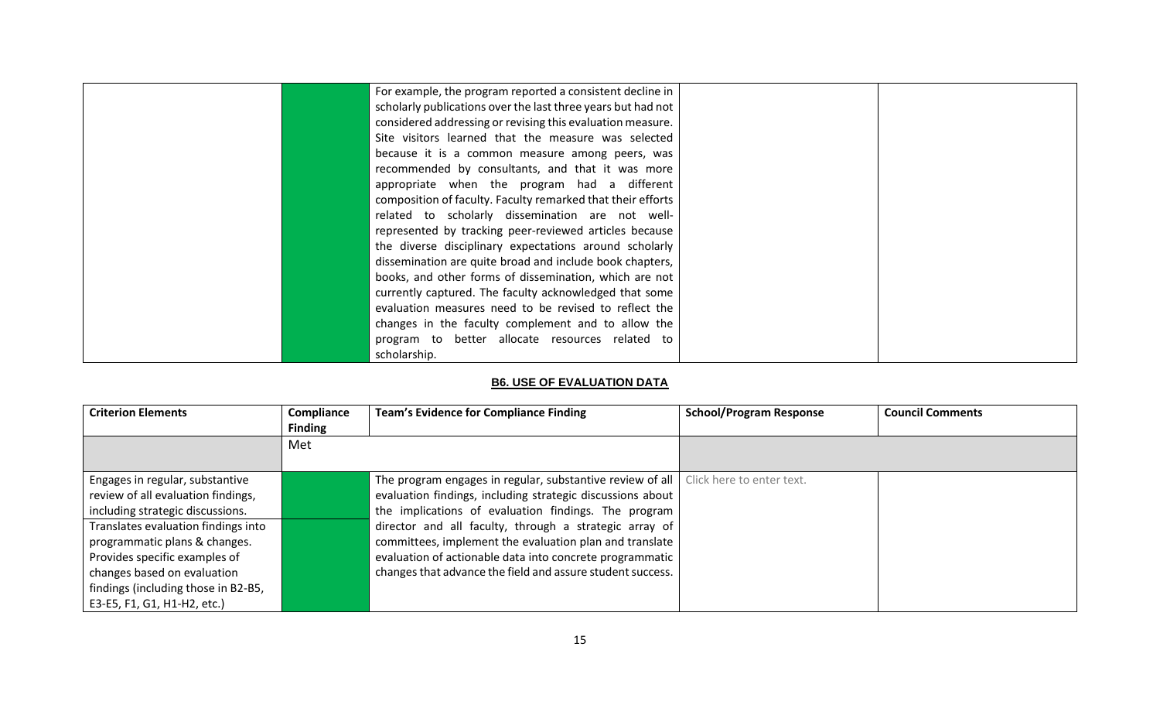| For example, the program reported a consistent decline in    |  |
|--------------------------------------------------------------|--|
| scholarly publications over the last three years but had not |  |
| considered addressing or revising this evaluation measure.   |  |
| Site visitors learned that the measure was selected          |  |
| because it is a common measure among peers, was              |  |
| recommended by consultants, and that it was more             |  |
| appropriate when the program had a different                 |  |
| composition of faculty. Faculty remarked that their efforts  |  |
| related to scholarly dissemination are not well-             |  |
| represented by tracking peer-reviewed articles because       |  |
| the diverse disciplinary expectations around scholarly       |  |
| dissemination are quite broad and include book chapters,     |  |
| books, and other forms of dissemination, which are not       |  |
| currently captured. The faculty acknowledged that some       |  |
| evaluation measures need to be revised to reflect the        |  |
| changes in the faculty complement and to allow the           |  |
| program to better allocate resources related to              |  |
| scholarship.                                                 |  |

# **B6. USE OF EVALUATION DATA**

<span id="page-17-0"></span>

| <b>Criterion Elements</b>           | Compliance<br><b>Finding</b> | <b>Team's Evidence for Compliance Finding</b>                                              | <b>School/Program Response</b> | <b>Council Comments</b> |
|-------------------------------------|------------------------------|--------------------------------------------------------------------------------------------|--------------------------------|-------------------------|
|                                     | Met                          |                                                                                            |                                |                         |
|                                     |                              |                                                                                            |                                |                         |
| Engages in regular, substantive     |                              | The program engages in regular, substantive review of all $\mid$ Click here to enter text. |                                |                         |
| review of all evaluation findings,  |                              | evaluation findings, including strategic discussions about                                 |                                |                         |
| including strategic discussions.    |                              | the implications of evaluation findings. The program                                       |                                |                         |
| Translates evaluation findings into |                              | director and all faculty, through a strategic array of                                     |                                |                         |
| programmatic plans & changes.       |                              | committees, implement the evaluation plan and translate                                    |                                |                         |
| Provides specific examples of       |                              | evaluation of actionable data into concrete programmatic                                   |                                |                         |
| changes based on evaluation         |                              | changes that advance the field and assure student success.                                 |                                |                         |
| findings (including those in B2-B5, |                              |                                                                                            |                                |                         |
| E3-E5, F1, G1, H1-H2, etc.)         |                              |                                                                                            |                                |                         |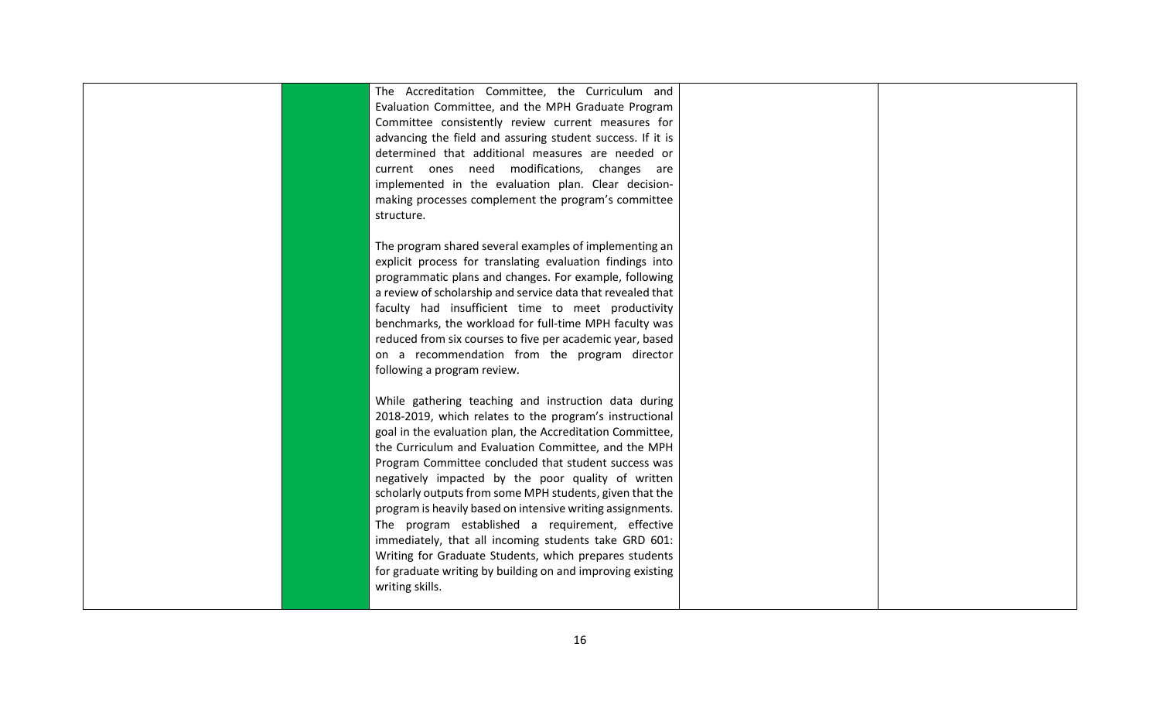|  | The Accreditation Committee, the Curriculum and             |  |
|--|-------------------------------------------------------------|--|
|  | Evaluation Committee, and the MPH Graduate Program          |  |
|  | Committee consistently review current measures for          |  |
|  | advancing the field and assuring student success. If it is  |  |
|  | determined that additional measures are needed or           |  |
|  | current ones need modifications, changes are                |  |
|  | implemented in the evaluation plan. Clear decision-         |  |
|  | making processes complement the program's committee         |  |
|  | structure.                                                  |  |
|  |                                                             |  |
|  | The program shared several examples of implementing an      |  |
|  | explicit process for translating evaluation findings into   |  |
|  | programmatic plans and changes. For example, following      |  |
|  | a review of scholarship and service data that revealed that |  |
|  | faculty had insufficient time to meet productivity          |  |
|  | benchmarks, the workload for full-time MPH faculty was      |  |
|  | reduced from six courses to five per academic year, based   |  |
|  | on a recommendation from the program director               |  |
|  | following a program review.                                 |  |
|  |                                                             |  |
|  | While gathering teaching and instruction data during        |  |
|  | 2018-2019, which relates to the program's instructional     |  |
|  | goal in the evaluation plan, the Accreditation Committee,   |  |
|  | the Curriculum and Evaluation Committee, and the MPH        |  |
|  | Program Committee concluded that student success was        |  |
|  | negatively impacted by the poor quality of written          |  |
|  | scholarly outputs from some MPH students, given that the    |  |
|  | program is heavily based on intensive writing assignments.  |  |
|  | The program established a requirement, effective            |  |
|  | immediately, that all incoming students take GRD 601:       |  |
|  | Writing for Graduate Students, which prepares students      |  |
|  | for graduate writing by building on and improving existing  |  |
|  | writing skills.                                             |  |
|  |                                                             |  |
|  |                                                             |  |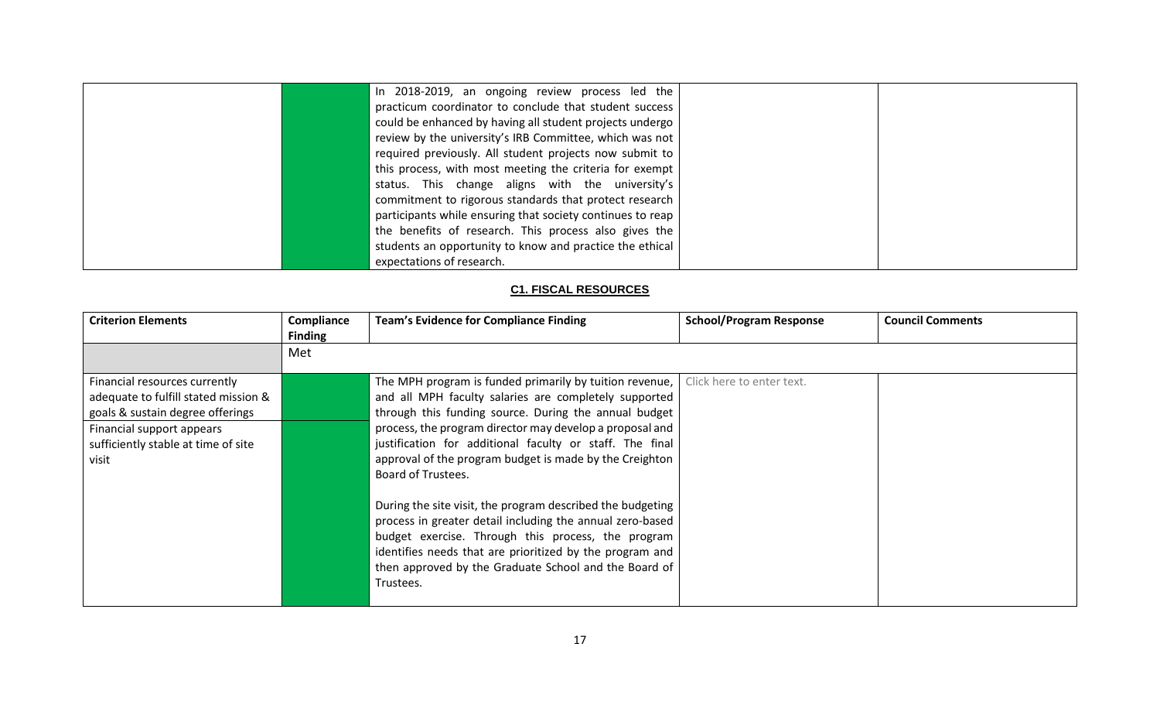| In 2018-2019, an ongoing review process led the            |  |
|------------------------------------------------------------|--|
| practicum coordinator to conclude that student success     |  |
| could be enhanced by having all student projects undergo   |  |
| review by the university's IRB Committee, which was not    |  |
| required previously. All student projects now submit to    |  |
| this process, with most meeting the criteria for exempt    |  |
| status. This change aligns with the university's           |  |
| commitment to rigorous standards that protect research     |  |
| participants while ensuring that society continues to reap |  |
| the benefits of research. This process also gives the      |  |
| students an opportunity to know and practice the ethical   |  |
| expectations of research.                                  |  |

## **C1. FISCAL RESOURCES**

<span id="page-19-0"></span>

| <b>Criterion Elements</b>                                                                                                                                                              | Compliance<br><b>Finding</b> | <b>Team's Evidence for Compliance Finding</b>                                                                                                                                                                                                                                                                                                                                                                                                                                                                                                                                                                                                                                                         | <b>School/Program Response</b> | <b>Council Comments</b> |
|----------------------------------------------------------------------------------------------------------------------------------------------------------------------------------------|------------------------------|-------------------------------------------------------------------------------------------------------------------------------------------------------------------------------------------------------------------------------------------------------------------------------------------------------------------------------------------------------------------------------------------------------------------------------------------------------------------------------------------------------------------------------------------------------------------------------------------------------------------------------------------------------------------------------------------------------|--------------------------------|-------------------------|
|                                                                                                                                                                                        | Met                          |                                                                                                                                                                                                                                                                                                                                                                                                                                                                                                                                                                                                                                                                                                       |                                |                         |
| Financial resources currently<br>adequate to fulfill stated mission &<br>goals & sustain degree offerings<br>Financial support appears<br>sufficiently stable at time of site<br>visit |                              | The MPH program is funded primarily by tuition revenue,<br>and all MPH faculty salaries are completely supported<br>through this funding source. During the annual budget<br>process, the program director may develop a proposal and<br>justification for additional faculty or staff. The final<br>approval of the program budget is made by the Creighton<br>Board of Trustees.<br>During the site visit, the program described the budgeting<br>process in greater detail including the annual zero-based<br>budget exercise. Through this process, the program<br>identifies needs that are prioritized by the program and<br>then approved by the Graduate School and the Board of<br>Trustees. | Click here to enter text.      |                         |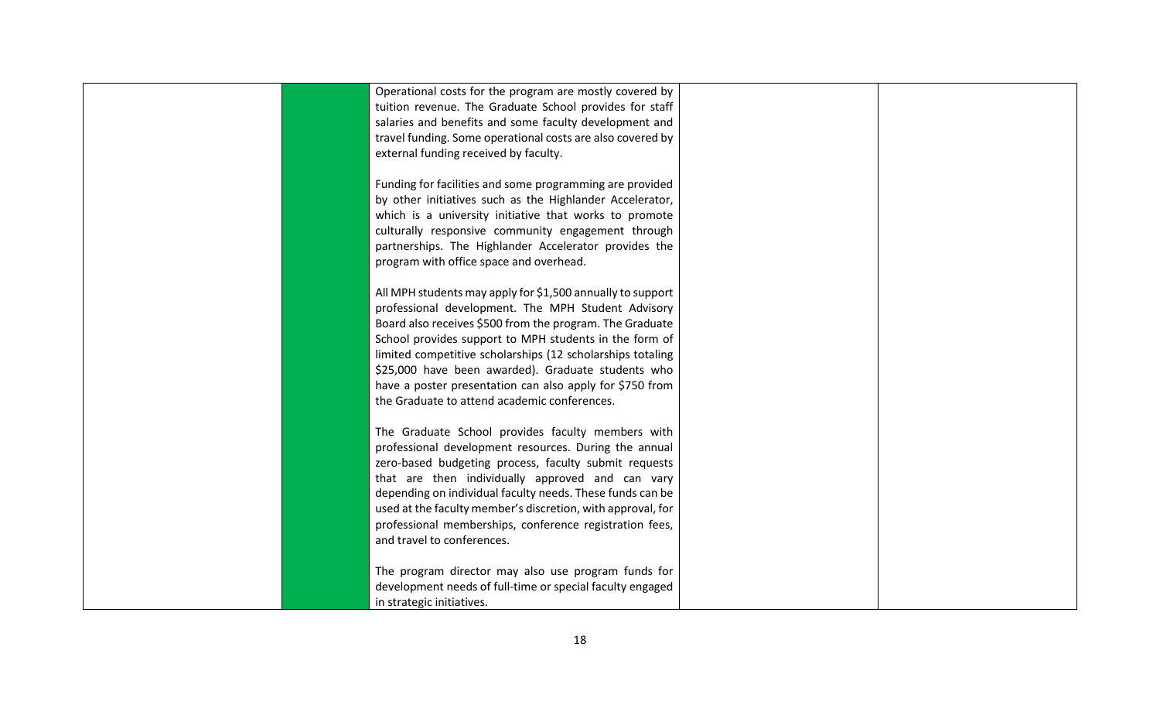| Operational costs for the program are mostly covered by<br>tuition revenue. The Graduate School provides for staff<br>salaries and benefits and some faculty development and<br>travel funding. Some operational costs are also covered by<br>external funding received by faculty. |  |
|-------------------------------------------------------------------------------------------------------------------------------------------------------------------------------------------------------------------------------------------------------------------------------------|--|
|                                                                                                                                                                                                                                                                                     |  |
|                                                                                                                                                                                                                                                                                     |  |
|                                                                                                                                                                                                                                                                                     |  |
|                                                                                                                                                                                                                                                                                     |  |
|                                                                                                                                                                                                                                                                                     |  |
|                                                                                                                                                                                                                                                                                     |  |
| Funding for facilities and some programming are provided                                                                                                                                                                                                                            |  |
| by other initiatives such as the Highlander Accelerator,                                                                                                                                                                                                                            |  |
| which is a university initiative that works to promote                                                                                                                                                                                                                              |  |
| culturally responsive community engagement through                                                                                                                                                                                                                                  |  |
| partnerships. The Highlander Accelerator provides the                                                                                                                                                                                                                               |  |
| program with office space and overhead.                                                                                                                                                                                                                                             |  |
|                                                                                                                                                                                                                                                                                     |  |
| All MPH students may apply for \$1,500 annually to support                                                                                                                                                                                                                          |  |
| professional development. The MPH Student Advisory                                                                                                                                                                                                                                  |  |
| Board also receives \$500 from the program. The Graduate                                                                                                                                                                                                                            |  |
| School provides support to MPH students in the form of                                                                                                                                                                                                                              |  |
| limited competitive scholarships (12 scholarships totaling                                                                                                                                                                                                                          |  |
| \$25,000 have been awarded). Graduate students who                                                                                                                                                                                                                                  |  |
| have a poster presentation can also apply for \$750 from                                                                                                                                                                                                                            |  |
| the Graduate to attend academic conferences.                                                                                                                                                                                                                                        |  |
|                                                                                                                                                                                                                                                                                     |  |
| The Graduate School provides faculty members with                                                                                                                                                                                                                                   |  |
| professional development resources. During the annual                                                                                                                                                                                                                               |  |
| zero-based budgeting process, faculty submit requests                                                                                                                                                                                                                               |  |
| that are then individually approved and can vary                                                                                                                                                                                                                                    |  |
| depending on individual faculty needs. These funds can be                                                                                                                                                                                                                           |  |
| used at the faculty member's discretion, with approval, for                                                                                                                                                                                                                         |  |
| professional memberships, conference registration fees,                                                                                                                                                                                                                             |  |
| and travel to conferences.                                                                                                                                                                                                                                                          |  |
|                                                                                                                                                                                                                                                                                     |  |
| The program director may also use program funds for                                                                                                                                                                                                                                 |  |
| development needs of full-time or special faculty engaged                                                                                                                                                                                                                           |  |
| in strategic initiatives.                                                                                                                                                                                                                                                           |  |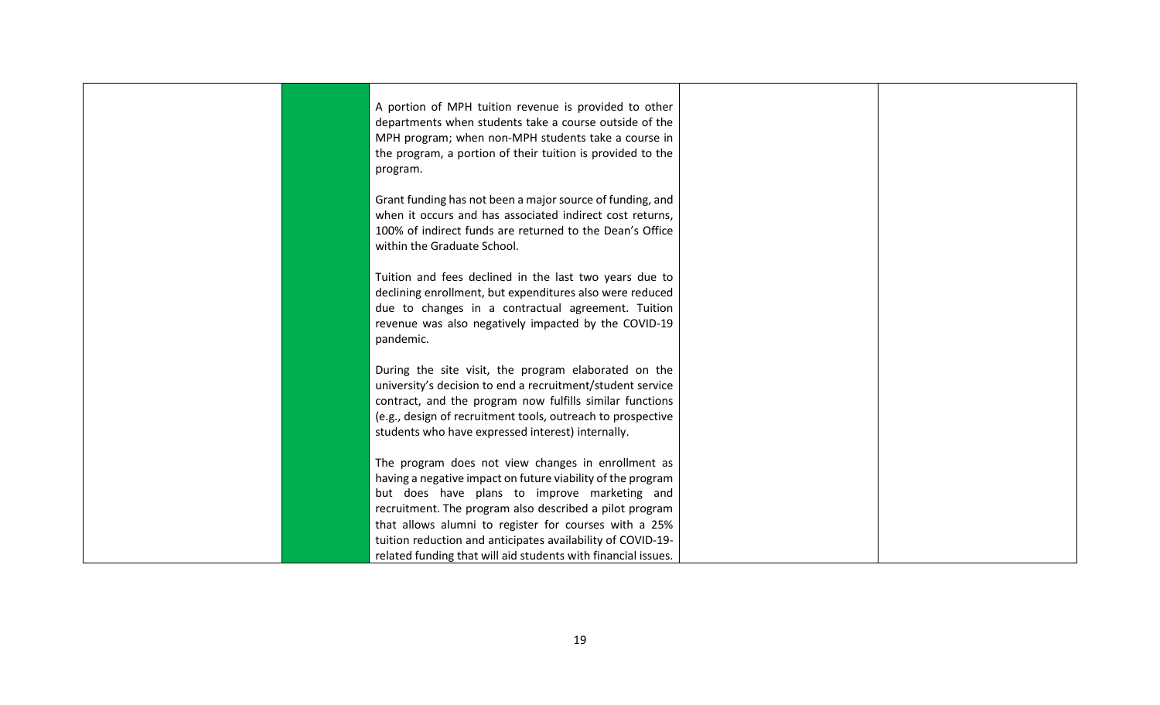| A portion of MPH tuition revenue is provided to other<br>departments when students take a course outside of the<br>MPH program; when non-MPH students take a course in<br>the program, a portion of their tuition is provided to the<br>program.                                                                                                                                                                      |  |
|-----------------------------------------------------------------------------------------------------------------------------------------------------------------------------------------------------------------------------------------------------------------------------------------------------------------------------------------------------------------------------------------------------------------------|--|
| Grant funding has not been a major source of funding, and<br>when it occurs and has associated indirect cost returns,<br>100% of indirect funds are returned to the Dean's Office<br>within the Graduate School.                                                                                                                                                                                                      |  |
| Tuition and fees declined in the last two years due to<br>declining enrollment, but expenditures also were reduced<br>due to changes in a contractual agreement. Tuition<br>revenue was also negatively impacted by the COVID-19<br>pandemic.                                                                                                                                                                         |  |
| During the site visit, the program elaborated on the<br>university's decision to end a recruitment/student service<br>contract, and the program now fulfills similar functions<br>(e.g., design of recruitment tools, outreach to prospective<br>students who have expressed interest) internally.                                                                                                                    |  |
| The program does not view changes in enrollment as<br>having a negative impact on future viability of the program<br>but does have plans to improve marketing and<br>recruitment. The program also described a pilot program<br>that allows alumni to register for courses with a 25%<br>tuition reduction and anticipates availability of COVID-19-<br>related funding that will aid students with financial issues. |  |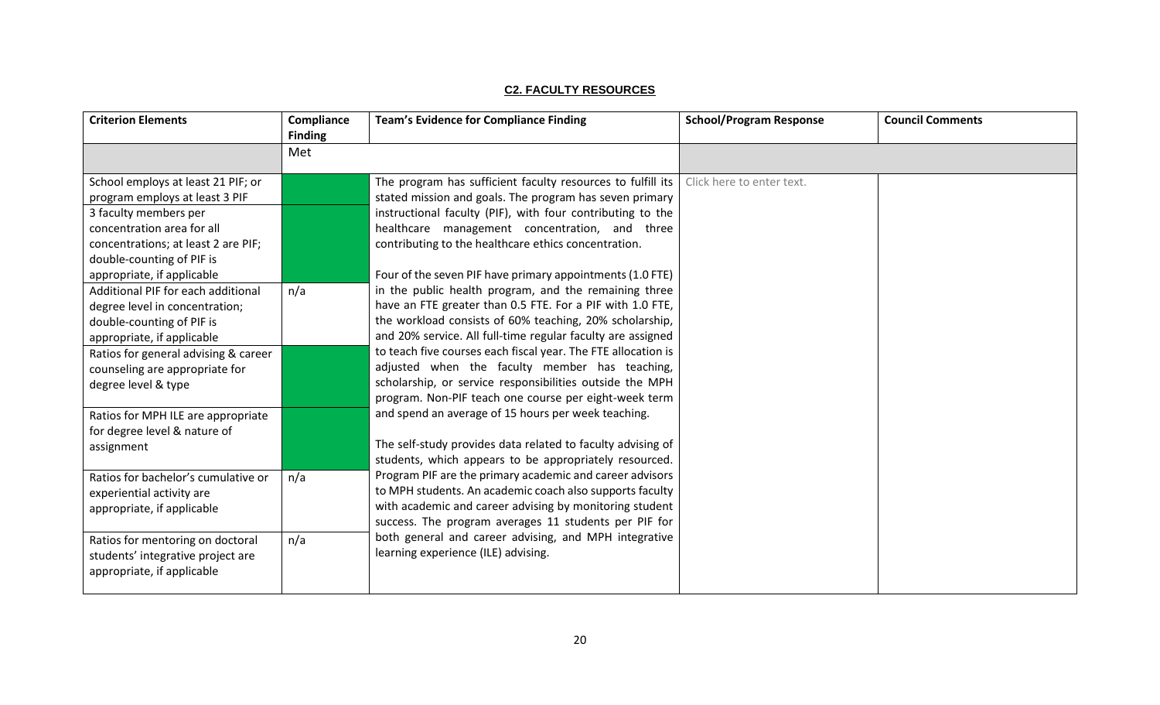|--|

<span id="page-22-0"></span>

| <b>Criterion Elements</b>                                                                                                                                                                                                                                                                                                                                                                                                                  | Compliance<br><b>Finding</b> | <b>Team's Evidence for Compliance Finding</b>                                                                                                                                                                                                                                                                                                                                                                                                                                                                                                                                                                                                                                                                                      | <b>School/Program Response</b> | <b>Council Comments</b> |
|--------------------------------------------------------------------------------------------------------------------------------------------------------------------------------------------------------------------------------------------------------------------------------------------------------------------------------------------------------------------------------------------------------------------------------------------|------------------------------|------------------------------------------------------------------------------------------------------------------------------------------------------------------------------------------------------------------------------------------------------------------------------------------------------------------------------------------------------------------------------------------------------------------------------------------------------------------------------------------------------------------------------------------------------------------------------------------------------------------------------------------------------------------------------------------------------------------------------------|--------------------------------|-------------------------|
|                                                                                                                                                                                                                                                                                                                                                                                                                                            | Met                          |                                                                                                                                                                                                                                                                                                                                                                                                                                                                                                                                                                                                                                                                                                                                    |                                |                         |
| School employs at least 21 PIF; or<br>program employs at least 3 PIF<br>3 faculty members per<br>concentration area for all<br>concentrations; at least 2 are PIF;<br>double-counting of PIF is<br>appropriate, if applicable<br>Additional PIF for each additional<br>degree level in concentration;<br>double-counting of PIF is<br>appropriate, if applicable<br>Ratios for general advising & career<br>counseling are appropriate for | n/a                          | The program has sufficient faculty resources to fulfill its $ $<br>stated mission and goals. The program has seven primary<br>instructional faculty (PIF), with four contributing to the<br>healthcare management concentration, and three<br>contributing to the healthcare ethics concentration.<br>Four of the seven PIF have primary appointments (1.0 FTE)<br>in the public health program, and the remaining three<br>have an FTE greater than 0.5 FTE. For a PIF with 1.0 FTE,<br>the workload consists of 60% teaching, 20% scholarship,<br>and 20% service. All full-time regular faculty are assigned<br>to teach five courses each fiscal year. The FTE allocation is<br>adjusted when the faculty member has teaching, | Click here to enter text.      |                         |
| degree level & type<br>Ratios for MPH ILE are appropriate<br>for degree level & nature of<br>assignment                                                                                                                                                                                                                                                                                                                                    |                              | scholarship, or service responsibilities outside the MPH<br>program. Non-PIF teach one course per eight-week term<br>and spend an average of 15 hours per week teaching.<br>The self-study provides data related to faculty advising of<br>students, which appears to be appropriately resourced.                                                                                                                                                                                                                                                                                                                                                                                                                                  |                                |                         |
| Ratios for bachelor's cumulative or<br>experiential activity are<br>appropriate, if applicable                                                                                                                                                                                                                                                                                                                                             | n/a                          | Program PIF are the primary academic and career advisors<br>to MPH students. An academic coach also supports faculty<br>with academic and career advising by monitoring student<br>success. The program averages 11 students per PIF for                                                                                                                                                                                                                                                                                                                                                                                                                                                                                           |                                |                         |
| Ratios for mentoring on doctoral<br>students' integrative project are<br>appropriate, if applicable                                                                                                                                                                                                                                                                                                                                        | n/a                          | both general and career advising, and MPH integrative<br>learning experience (ILE) advising.                                                                                                                                                                                                                                                                                                                                                                                                                                                                                                                                                                                                                                       |                                |                         |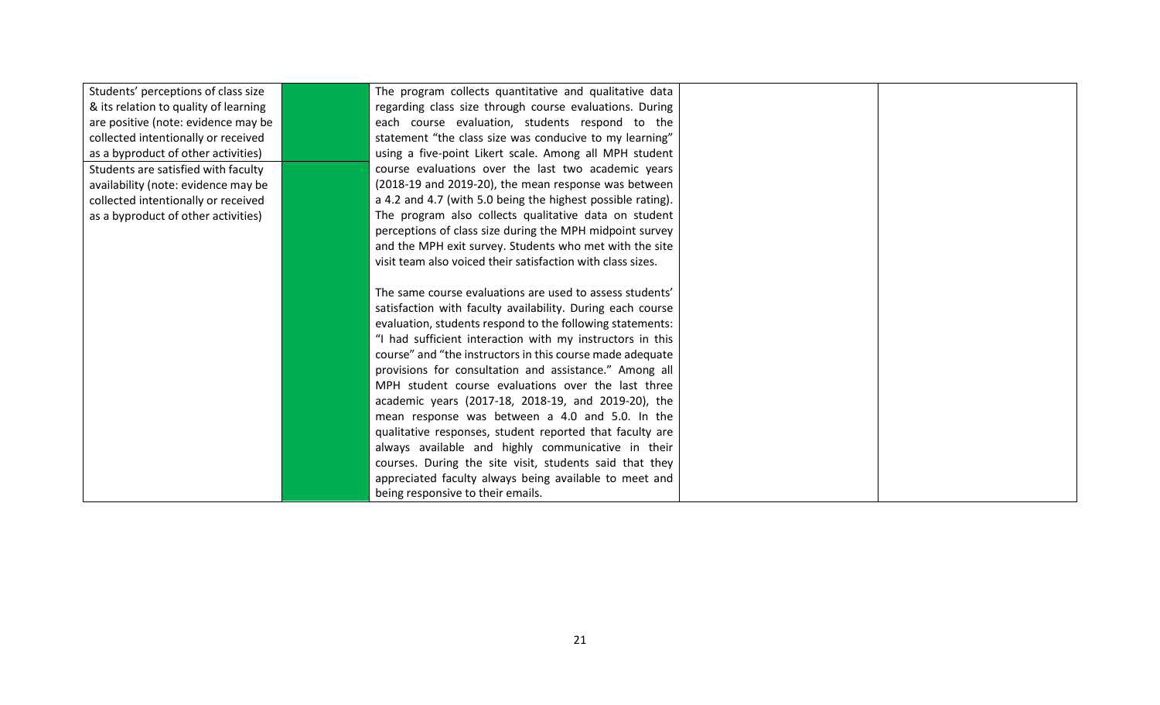| Students' perceptions of class size   | The program collects quantitative and qualitative data      |  |
|---------------------------------------|-------------------------------------------------------------|--|
| & its relation to quality of learning | regarding class size through course evaluations. During     |  |
| are positive (note: evidence may be   | each course evaluation, students respond to the             |  |
| collected intentionally or received   | statement "the class size was conducive to my learning"     |  |
| as a byproduct of other activities)   | using a five-point Likert scale. Among all MPH student      |  |
| Students are satisfied with faculty   | course evaluations over the last two academic years         |  |
| availability (note: evidence may be   | (2018-19 and 2019-20), the mean response was between        |  |
| collected intentionally or received   | a 4.2 and 4.7 (with 5.0 being the highest possible rating). |  |
| as a byproduct of other activities)   | The program also collects qualitative data on student       |  |
|                                       | perceptions of class size during the MPH midpoint survey    |  |
|                                       | and the MPH exit survey. Students who met with the site     |  |
|                                       | visit team also voiced their satisfaction with class sizes. |  |
|                                       |                                                             |  |
|                                       | The same course evaluations are used to assess students'    |  |
|                                       | satisfaction with faculty availability. During each course  |  |
|                                       | evaluation, students respond to the following statements:   |  |
|                                       | "I had sufficient interaction with my instructors in this   |  |
|                                       | course" and "the instructors in this course made adequate   |  |
|                                       | provisions for consultation and assistance." Among all      |  |
|                                       | MPH student course evaluations over the last three          |  |
|                                       | academic years (2017-18, 2018-19, and 2019-20), the         |  |
|                                       | mean response was between a 4.0 and 5.0. In the             |  |
|                                       | qualitative responses, student reported that faculty are    |  |
|                                       | always available and highly communicative in their          |  |
|                                       | courses. During the site visit, students said that they     |  |
|                                       | appreciated faculty always being available to meet and      |  |
|                                       | being responsive to their emails.                           |  |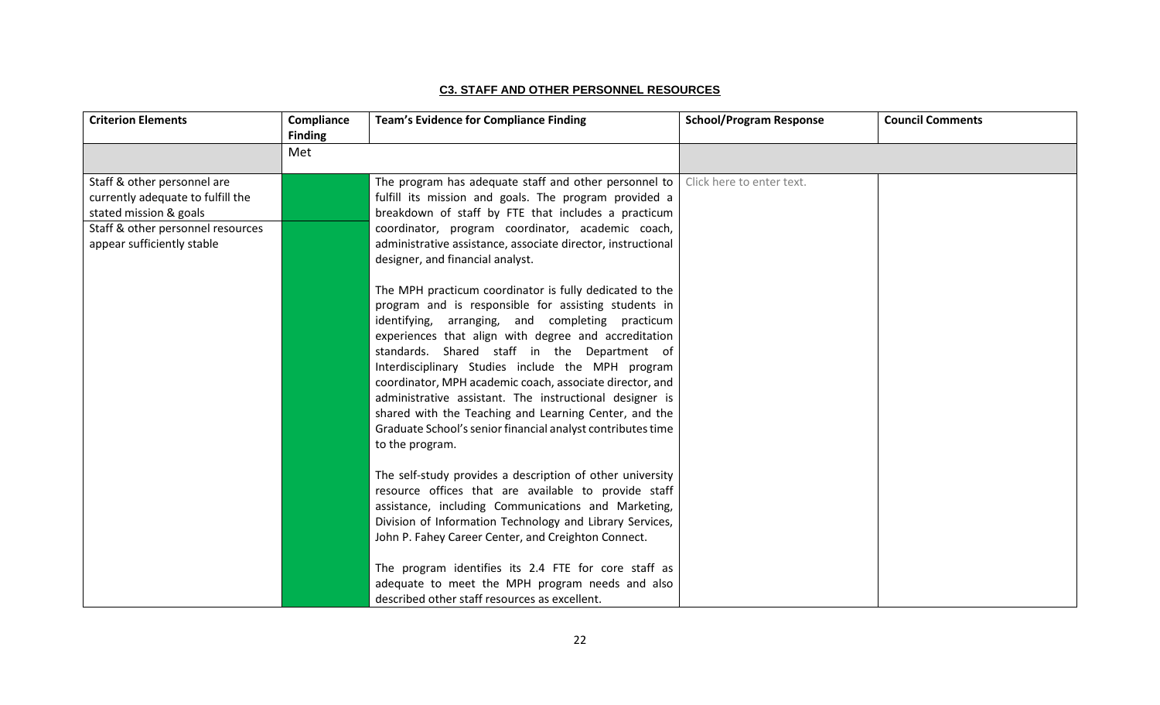#### **C3. STAFF AND OTHER PERSONNEL RESOURCES**

<span id="page-24-0"></span>

| <b>Criterion Elements</b>                                                                                                                                     | Compliance<br><b>Finding</b> | <b>Team's Evidence for Compliance Finding</b>                                                                                                                                                                                                                                                                                                                                                                                                                                                                                                                                                      | <b>School/Program Response</b> | <b>Council Comments</b> |
|---------------------------------------------------------------------------------------------------------------------------------------------------------------|------------------------------|----------------------------------------------------------------------------------------------------------------------------------------------------------------------------------------------------------------------------------------------------------------------------------------------------------------------------------------------------------------------------------------------------------------------------------------------------------------------------------------------------------------------------------------------------------------------------------------------------|--------------------------------|-------------------------|
|                                                                                                                                                               | Met                          |                                                                                                                                                                                                                                                                                                                                                                                                                                                                                                                                                                                                    |                                |                         |
| Staff & other personnel are<br>currently adequate to fulfill the<br>stated mission & goals<br>Staff & other personnel resources<br>appear sufficiently stable |                              | The program has adequate staff and other personnel to<br>fulfill its mission and goals. The program provided a<br>breakdown of staff by FTE that includes a practicum<br>coordinator, program coordinator, academic coach,<br>administrative assistance, associate director, instructional<br>designer, and financial analyst.                                                                                                                                                                                                                                                                     | Click here to enter text.      |                         |
|                                                                                                                                                               |                              | The MPH practicum coordinator is fully dedicated to the<br>program and is responsible for assisting students in<br>identifying, arranging, and completing practicum<br>experiences that align with degree and accreditation<br>standards. Shared staff in the Department of<br>Interdisciplinary Studies include the MPH program<br>coordinator, MPH academic coach, associate director, and<br>administrative assistant. The instructional designer is<br>shared with the Teaching and Learning Center, and the<br>Graduate School's senior financial analyst contributes time<br>to the program. |                                |                         |
|                                                                                                                                                               |                              | The self-study provides a description of other university<br>resource offices that are available to provide staff<br>assistance, including Communications and Marketing,<br>Division of Information Technology and Library Services,<br>John P. Fahey Career Center, and Creighton Connect.<br>The program identifies its 2.4 FTE for core staff as<br>adequate to meet the MPH program needs and also<br>described other staff resources as excellent.                                                                                                                                            |                                |                         |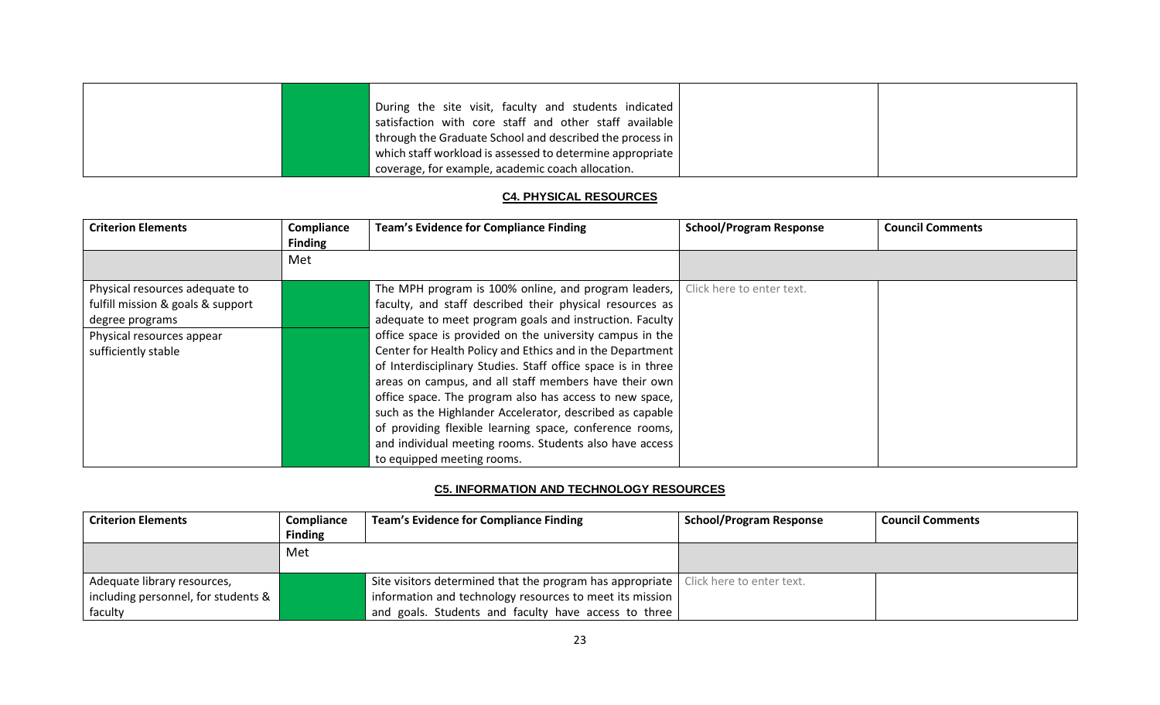|  | During the site visit, faculty and students indicated     |  |
|--|-----------------------------------------------------------|--|
|  | satisfaction with core staff and other staff available    |  |
|  | through the Graduate School and described the process in  |  |
|  | which staff workload is assessed to determine appropriate |  |
|  | coverage, for example, academic coach allocation.         |  |

#### **C4. PHYSICAL RESOURCES**

<span id="page-25-0"></span>

| <b>Criterion Elements</b>         | Compliance<br><b>Finding</b> | <b>Team's Evidence for Compliance Finding</b>                | <b>School/Program Response</b> | <b>Council Comments</b> |
|-----------------------------------|------------------------------|--------------------------------------------------------------|--------------------------------|-------------------------|
|                                   | Met                          |                                                              |                                |                         |
| Physical resources adequate to    |                              | The MPH program is 100% online, and program leaders,         | Click here to enter text.      |                         |
| fulfill mission & goals & support |                              | faculty, and staff described their physical resources as     |                                |                         |
| degree programs                   |                              | adequate to meet program goals and instruction. Faculty      |                                |                         |
| Physical resources appear         |                              | office space is provided on the university campus in the     |                                |                         |
| sufficiently stable               |                              | Center for Health Policy and Ethics and in the Department    |                                |                         |
|                                   |                              | of Interdisciplinary Studies. Staff office space is in three |                                |                         |
|                                   |                              | areas on campus, and all staff members have their own        |                                |                         |
|                                   |                              | office space. The program also has access to new space,      |                                |                         |
|                                   |                              | such as the Highlander Accelerator, described as capable     |                                |                         |
|                                   |                              | of providing flexible learning space, conference rooms,      |                                |                         |
|                                   |                              | and individual meeting rooms. Students also have access      |                                |                         |
|                                   |                              | to equipped meeting rooms.                                   |                                |                         |

## **C5. INFORMATION AND TECHNOLOGY RESOURCES**

<span id="page-25-1"></span>

| <b>Criterion Elements</b>           | Compliance     | <b>Team's Evidence for Compliance Finding</b>                                         | <b>School/Program Response</b> | <b>Council Comments</b> |
|-------------------------------------|----------------|---------------------------------------------------------------------------------------|--------------------------------|-------------------------|
|                                     | <b>Finding</b> |                                                                                       |                                |                         |
|                                     | Met            |                                                                                       |                                |                         |
|                                     |                |                                                                                       |                                |                         |
| Adequate library resources,         |                | Site visitors determined that the program has appropriate   Click here to enter text. |                                |                         |
| including personnel, for students & |                | information and technology resources to meet its mission                              |                                |                         |
| faculty                             |                | and goals. Students and faculty have access to three                                  |                                |                         |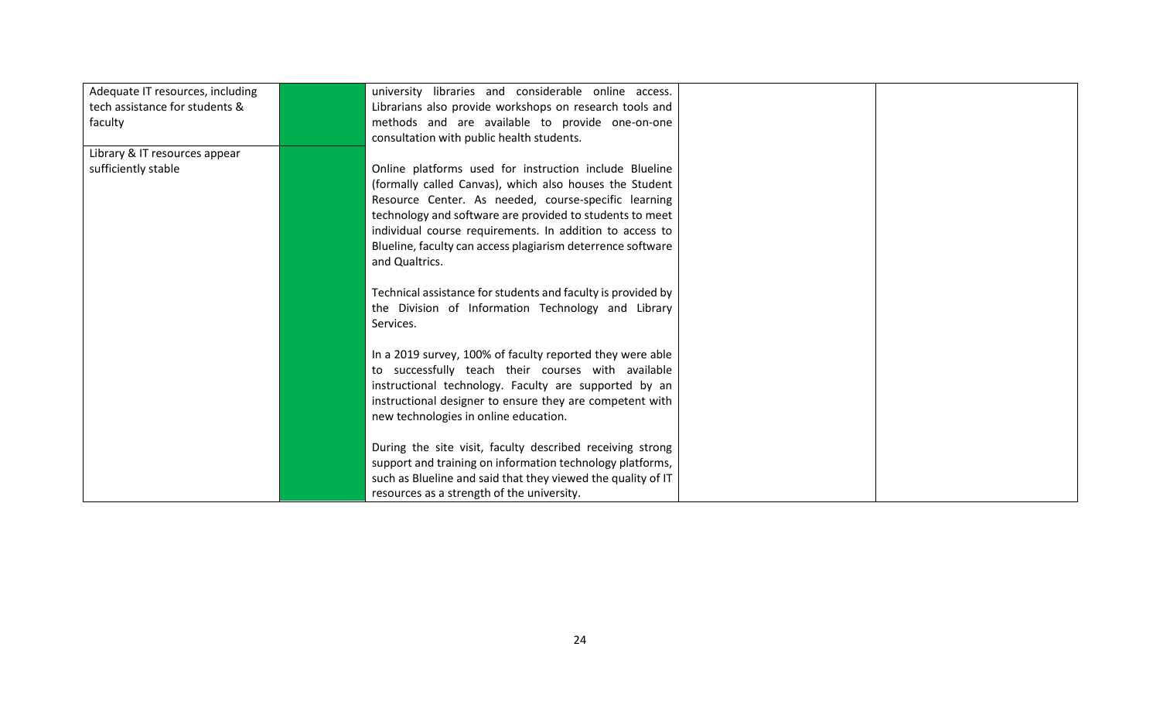<span id="page-26-0"></span>

| Adequate IT resources, including | university libraries and considerable online access.         |
|----------------------------------|--------------------------------------------------------------|
| tech assistance for students &   | Librarians also provide workshops on research tools and      |
| faculty                          | methods and are available to provide one-on-one              |
|                                  | consultation with public health students.                    |
| Library & IT resources appear    |                                                              |
| sufficiently stable              | Online platforms used for instruction include Blueline       |
|                                  | (formally called Canvas), which also houses the Student      |
|                                  | Resource Center. As needed, course-specific learning         |
|                                  | technology and software are provided to students to meet     |
|                                  | individual course requirements. In addition to access to     |
|                                  | Blueline, faculty can access plagiarism deterrence software  |
|                                  | and Qualtrics.                                               |
|                                  |                                                              |
|                                  | Technical assistance for students and faculty is provided by |
|                                  | the Division of Information Technology and Library           |
|                                  | Services.                                                    |
|                                  |                                                              |
|                                  | In a 2019 survey, 100% of faculty reported they were able    |
|                                  | to successfully teach their courses with available           |
|                                  | instructional technology. Faculty are supported by an        |
|                                  | instructional designer to ensure they are competent with     |
|                                  | new technologies in online education.                        |
|                                  |                                                              |
|                                  | During the site visit, faculty described receiving strong    |
|                                  | support and training on information technology platforms,    |
|                                  | such as Blueline and said that they viewed the quality of IT |
|                                  | resources as a strength of the university.                   |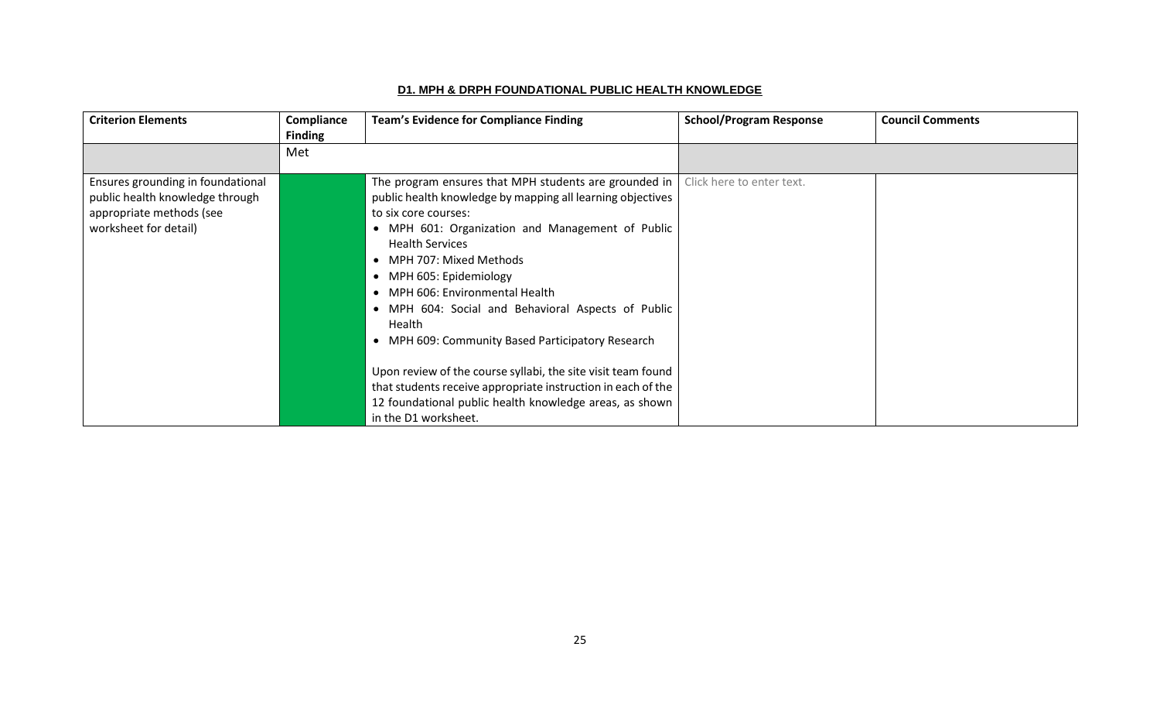## **D1. MPH & DRPH FOUNDATIONAL PUBLIC HEALTH KNOWLEDGE**

| <b>Criterion Elements</b>                                                                                                 | Compliance<br><b>Finding</b> | <b>Team's Evidence for Compliance Finding</b>                                                                                                                                                                                                                                                                                                                                                                                                                                                                                                                                                                                                                 | <b>School/Program Response</b> | <b>Council Comments</b> |
|---------------------------------------------------------------------------------------------------------------------------|------------------------------|---------------------------------------------------------------------------------------------------------------------------------------------------------------------------------------------------------------------------------------------------------------------------------------------------------------------------------------------------------------------------------------------------------------------------------------------------------------------------------------------------------------------------------------------------------------------------------------------------------------------------------------------------------------|--------------------------------|-------------------------|
|                                                                                                                           | Met                          |                                                                                                                                                                                                                                                                                                                                                                                                                                                                                                                                                                                                                                                               |                                |                         |
| Ensures grounding in foundational<br>public health knowledge through<br>appropriate methods (see<br>worksheet for detail) |                              | The program ensures that MPH students are grounded in  <br>public health knowledge by mapping all learning objectives<br>to six core courses:<br>• MPH 601: Organization and Management of Public<br><b>Health Services</b><br>• MPH 707: Mixed Methods<br>• MPH 605: Epidemiology<br>• MPH 606: Environmental Health<br>• MPH 604: Social and Behavioral Aspects of Public<br>Health<br>• MPH 609: Community Based Participatory Research<br>Upon review of the course syllabi, the site visit team found<br>that students receive appropriate instruction in each of the<br>12 foundational public health knowledge areas, as shown<br>in the D1 worksheet. | Click here to enter text.      |                         |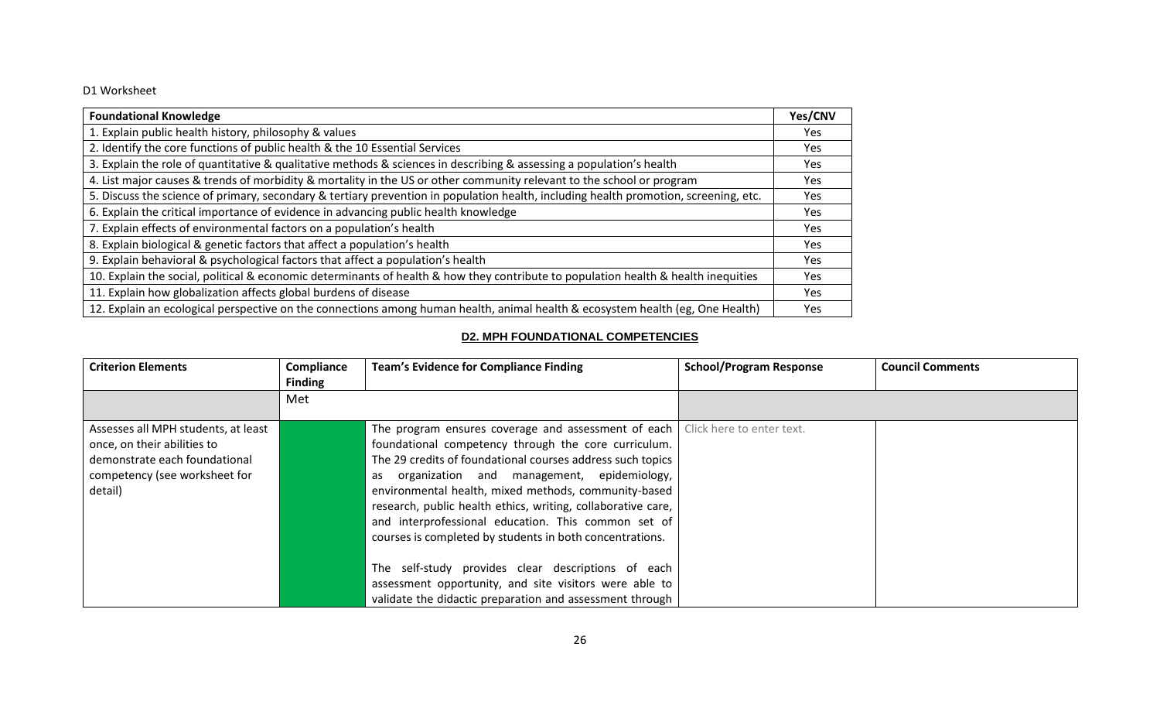#### D1 Worksheet

| <b>Foundational Knowledge</b>                                                                                                        | Yes/CNV    |  |  |
|--------------------------------------------------------------------------------------------------------------------------------------|------------|--|--|
| 1. Explain public health history, philosophy & values                                                                                |            |  |  |
| 2. Identify the core functions of public health & the 10 Essential Services                                                          | <b>Yes</b> |  |  |
| 3. Explain the role of quantitative & qualitative methods & sciences in describing & assessing a population's health                 | <b>Yes</b> |  |  |
| 4. List major causes & trends of morbidity & mortality in the US or other community relevant to the school or program                | <b>Yes</b> |  |  |
| 5. Discuss the science of primary, secondary & tertiary prevention in population health, including health promotion, screening, etc. | <b>Yes</b> |  |  |
| 6. Explain the critical importance of evidence in advancing public health knowledge                                                  |            |  |  |
| 7. Explain effects of environmental factors on a population's health                                                                 |            |  |  |
| 8. Explain biological & genetic factors that affect a population's health                                                            | <b>Yes</b> |  |  |
| 9. Explain behavioral & psychological factors that affect a population's health                                                      | Yes        |  |  |
| 10. Explain the social, political & economic determinants of health & how they contribute to population health & health inequities   |            |  |  |
| 11. Explain how globalization affects global burdens of disease                                                                      | <b>Yes</b> |  |  |
| 12. Explain an ecological perspective on the connections among human health, animal health & ecosystem health (eg, One Health)       | <b>Yes</b> |  |  |

## **D2. MPH FOUNDATIONAL COMPETENCIES**

<span id="page-28-0"></span>

| <b>Criterion Elements</b>           | Compliance     | <b>Team's Evidence for Compliance Finding</b>                                         | <b>School/Program Response</b> | <b>Council Comments</b> |
|-------------------------------------|----------------|---------------------------------------------------------------------------------------|--------------------------------|-------------------------|
|                                     | <b>Finding</b> |                                                                                       |                                |                         |
|                                     | Met            |                                                                                       |                                |                         |
|                                     |                |                                                                                       |                                |                         |
| Assesses all MPH students, at least |                | The program ensures coverage and assessment of each $\vert$ Click here to enter text. |                                |                         |
| once, on their abilities to         |                | foundational competency through the core curriculum.                                  |                                |                         |
| demonstrate each foundational       |                | The 29 credits of foundational courses address such topics                            |                                |                         |
| competency (see worksheet for       |                | as organization and management, epidemiology,                                         |                                |                         |
| detail)                             |                | environmental health, mixed methods, community-based                                  |                                |                         |
|                                     |                | research, public health ethics, writing, collaborative care,                          |                                |                         |
|                                     |                | and interprofessional education. This common set of                                   |                                |                         |
|                                     |                | courses is completed by students in both concentrations.                              |                                |                         |
|                                     |                |                                                                                       |                                |                         |
|                                     |                | The self-study provides clear descriptions of each                                    |                                |                         |
|                                     |                | assessment opportunity, and site visitors were able to                                |                                |                         |
|                                     |                | validate the didactic preparation and assessment through                              |                                |                         |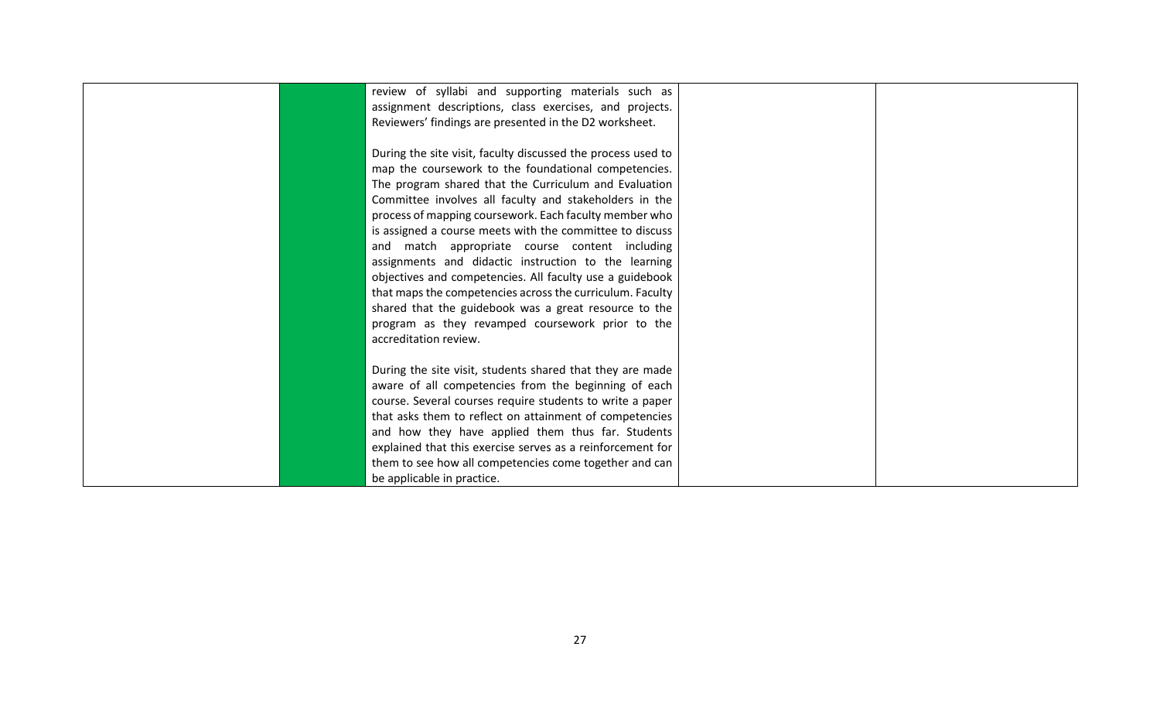| review of syllabi and supporting materials such as           |  |
|--------------------------------------------------------------|--|
| assignment descriptions, class exercises, and projects.      |  |
| Reviewers' findings are presented in the D2 worksheet.       |  |
|                                                              |  |
| During the site visit, faculty discussed the process used to |  |
| map the coursework to the foundational competencies.         |  |
| The program shared that the Curriculum and Evaluation        |  |
| Committee involves all faculty and stakeholders in the       |  |
| process of mapping coursework. Each faculty member who       |  |
| is assigned a course meets with the committee to discuss     |  |
| and match appropriate course content including               |  |
| assignments and didactic instruction to the learning         |  |
| objectives and competencies. All faculty use a guidebook     |  |
| that maps the competencies across the curriculum. Faculty    |  |
| shared that the guidebook was a great resource to the        |  |
| program as they revamped coursework prior to the             |  |
| accreditation review.                                        |  |
|                                                              |  |
| During the site visit, students shared that they are made    |  |
| aware of all competencies from the beginning of each         |  |
| course. Several courses require students to write a paper    |  |
| that asks them to reflect on attainment of competencies      |  |
| and how they have applied them thus far. Students            |  |
| explained that this exercise serves as a reinforcement for   |  |
| them to see how all competencies come together and can       |  |
| be applicable in practice.                                   |  |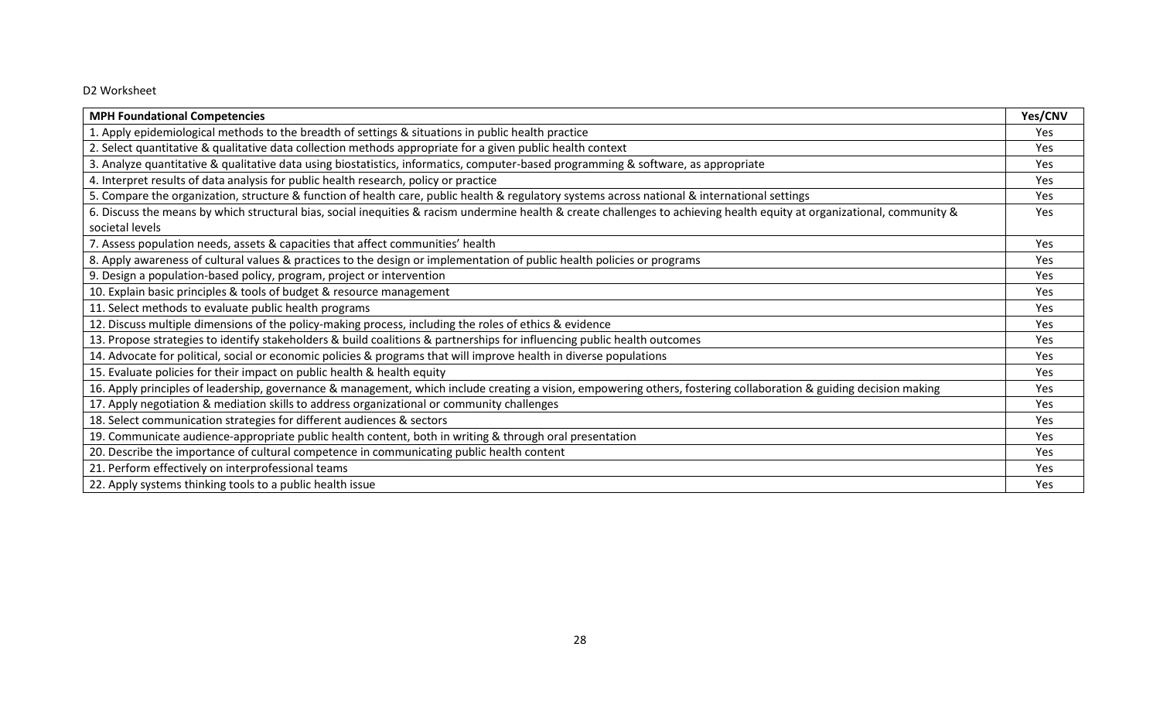## D2 Worksheet

| <b>MPH Foundational Competencies</b>                                                                                                                                     | Yes/CNV    |
|--------------------------------------------------------------------------------------------------------------------------------------------------------------------------|------------|
| 1. Apply epidemiological methods to the breadth of settings & situations in public health practice                                                                       | Yes        |
| 2. Select quantitative & qualitative data collection methods appropriate for a given public health context                                                               | <b>Yes</b> |
| 3. Analyze quantitative & qualitative data using biostatistics, informatics, computer-based programming & software, as appropriate                                       | Yes        |
| 4. Interpret results of data analysis for public health research, policy or practice                                                                                     | <b>Yes</b> |
| 5. Compare the organization, structure & function of health care, public health & regulatory systems across national & international settings                            | <b>Yes</b> |
| 6. Discuss the means by which structural bias, social inequities & racism undermine health & create challenges to achieving health equity at organizational, community & | Yes        |
| societal levels                                                                                                                                                          |            |
| 7. Assess population needs, assets & capacities that affect communities' health                                                                                          | Yes        |
| 8. Apply awareness of cultural values & practices to the design or implementation of public health policies or programs                                                  | Yes        |
| 9. Design a population-based policy, program, project or intervention                                                                                                    | Yes        |
| 10. Explain basic principles & tools of budget & resource management                                                                                                     | Yes        |
| 11. Select methods to evaluate public health programs                                                                                                                    | Yes        |
| 12. Discuss multiple dimensions of the policy-making process, including the roles of ethics & evidence                                                                   | Yes        |
| 13. Propose strategies to identify stakeholders & build coalitions & partnerships for influencing public health outcomes                                                 | Yes        |
| 14. Advocate for political, social or economic policies & programs that will improve health in diverse populations                                                       | <b>Yes</b> |
| 15. Evaluate policies for their impact on public health & health equity                                                                                                  | Yes        |
| 16. Apply principles of leadership, governance & management, which include creating a vision, empowering others, fostering collaboration & guiding decision making       | Yes        |
| 17. Apply negotiation & mediation skills to address organizational or community challenges                                                                               | Yes        |
| 18. Select communication strategies for different audiences & sectors                                                                                                    | Yes        |
| 19. Communicate audience-appropriate public health content, both in writing & through oral presentation                                                                  | Yes        |
| 20. Describe the importance of cultural competence in communicating public health content                                                                                | Yes        |
| 21. Perform effectively on interprofessional teams                                                                                                                       | Yes        |
| 22. Apply systems thinking tools to a public health issue                                                                                                                | Yes        |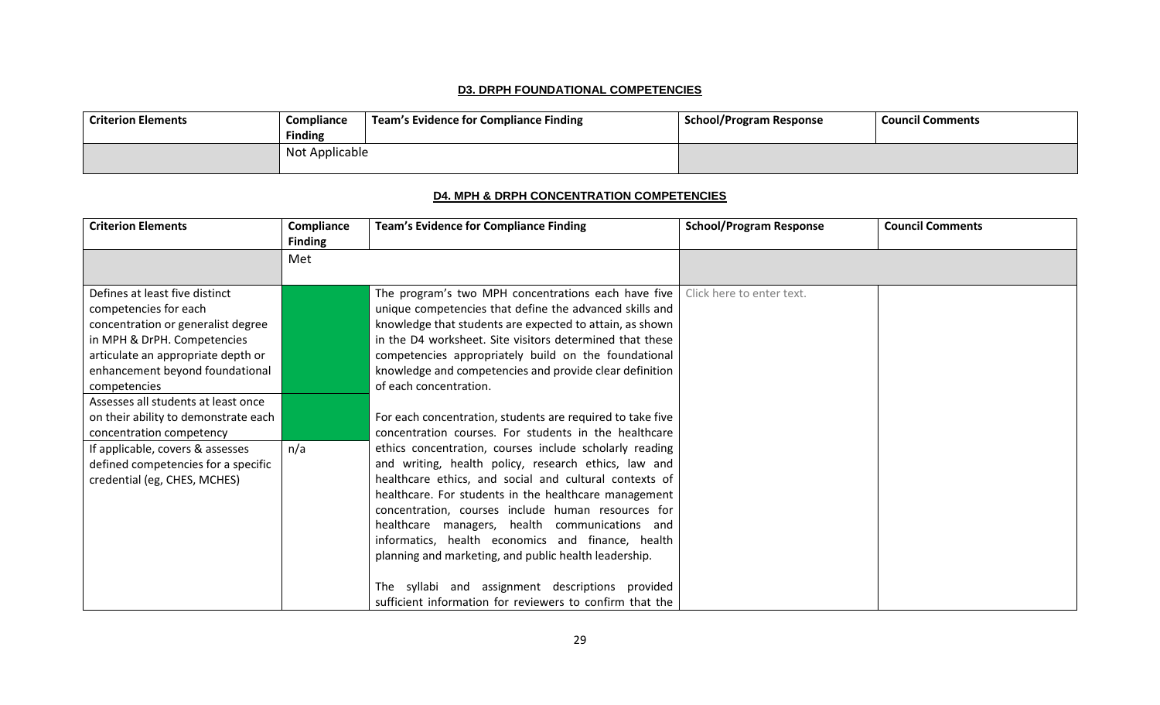#### **D3. DRPH FOUNDATIONAL COMPETENCIES**

<span id="page-31-0"></span>

| <b>Criterion Elements</b> | Compliance     | Team's Evidence for Compliance Finding | <b>School/Program Response</b> | <b>Council Comments</b> |
|---------------------------|----------------|----------------------------------------|--------------------------------|-------------------------|
|                           | <b>Finding</b> |                                        |                                |                         |
|                           | Not Applicable |                                        |                                |                         |

## **D4. MPH & DRPH CONCENTRATION COMPETENCIES**

<span id="page-31-1"></span>

| <b>Criterion Elements</b>            | Compliance<br><b>Finding</b> | <b>Team's Evidence for Compliance Finding</b>              | <b>School/Program Response</b> | <b>Council Comments</b> |
|--------------------------------------|------------------------------|------------------------------------------------------------|--------------------------------|-------------------------|
|                                      | Met                          |                                                            |                                |                         |
|                                      |                              |                                                            |                                |                         |
| Defines at least five distinct       |                              | The program's two MPH concentrations each have five        | Click here to enter text.      |                         |
| competencies for each                |                              | unique competencies that define the advanced skills and    |                                |                         |
| concentration or generalist degree   |                              | knowledge that students are expected to attain, as shown   |                                |                         |
| in MPH & DrPH. Competencies          |                              | in the D4 worksheet. Site visitors determined that these   |                                |                         |
| articulate an appropriate depth or   |                              | competencies appropriately build on the foundational       |                                |                         |
| enhancement beyond foundational      |                              | knowledge and competencies and provide clear definition    |                                |                         |
| competencies                         |                              | of each concentration.                                     |                                |                         |
| Assesses all students at least once  |                              |                                                            |                                |                         |
| on their ability to demonstrate each |                              | For each concentration, students are required to take five |                                |                         |
| concentration competency             |                              | concentration courses. For students in the healthcare      |                                |                         |
| If applicable, covers & assesses     | n/a                          | ethics concentration, courses include scholarly reading    |                                |                         |
| defined competencies for a specific  |                              | and writing, health policy, research ethics, law and       |                                |                         |
| credential (eg, CHES, MCHES)         |                              | healthcare ethics, and social and cultural contexts of     |                                |                         |
|                                      |                              | healthcare. For students in the healthcare management      |                                |                         |
|                                      |                              | concentration, courses include human resources for         |                                |                         |
|                                      |                              | healthcare managers, health communications and             |                                |                         |
|                                      |                              | informatics, health economics and finance, health          |                                |                         |
|                                      |                              | planning and marketing, and public health leadership.      |                                |                         |
|                                      |                              | The syllabi and assignment descriptions provided           |                                |                         |
|                                      |                              | sufficient information for reviewers to confirm that the   |                                |                         |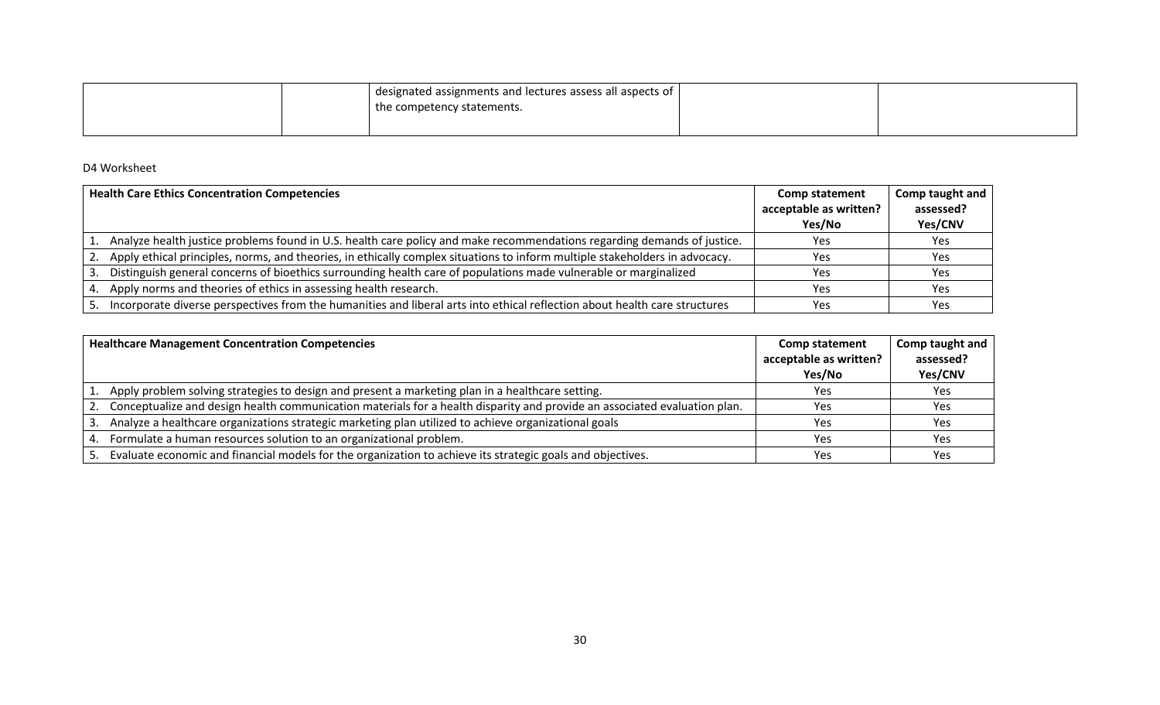|  | designated assignments and lectures assess all aspects of |  |
|--|-----------------------------------------------------------|--|
|  | I the competency statements.                              |  |
|  |                                                           |  |

#### D4 Worksheet

|    | <b>Health Care Ethics Concentration Competencies</b>                                                                        | <b>Comp statement</b><br>acceptable as written?<br>Yes/No | Comp taught and<br>assessed?<br>Yes/CNV |
|----|-----------------------------------------------------------------------------------------------------------------------------|-----------------------------------------------------------|-----------------------------------------|
|    | 1. Analyze health justice problems found in U.S. health care policy and make recommendations regarding demands of justice.  | Yes                                                       | Yes                                     |
|    | Apply ethical principles, norms, and theories, in ethically complex situations to inform multiple stakeholders in advocacy. | Yes                                                       | Yes                                     |
|    | 3. Distinguish general concerns of bioethics surrounding health care of populations made vulnerable or marginalized         | Yes                                                       | Yes                                     |
| 4. | Apply norms and theories of ethics in assessing health research.                                                            | Yes                                                       | Yes                                     |
| 5. | Incorporate diverse perspectives from the humanities and liberal arts into ethical reflection about health care structures  | Yes                                                       | Yes                                     |

<span id="page-32-0"></span>

| <b>Healthcare Management Concentration Competencies</b>                                                                   | <b>Comp statement</b>            | Comp taught and<br>assessed? |
|---------------------------------------------------------------------------------------------------------------------------|----------------------------------|------------------------------|
|                                                                                                                           | acceptable as written?<br>Yes/No | Yes/CNV                      |
| 1. Apply problem solving strategies to design and present a marketing plan in a healthcare setting.                       | Yes                              | Yes                          |
| Conceptualize and design health communication materials for a health disparity and provide an associated evaluation plan. | Yes                              | Yes                          |
| Analyze a healthcare organizations strategic marketing plan utilized to achieve organizational goals                      | Yes                              | Yes                          |
| Formulate a human resources solution to an organizational problem.                                                        | Yes                              | Yes                          |
| 5. Evaluate economic and financial models for the organization to achieve its strategic goals and objectives.             | Yes                              | Yes                          |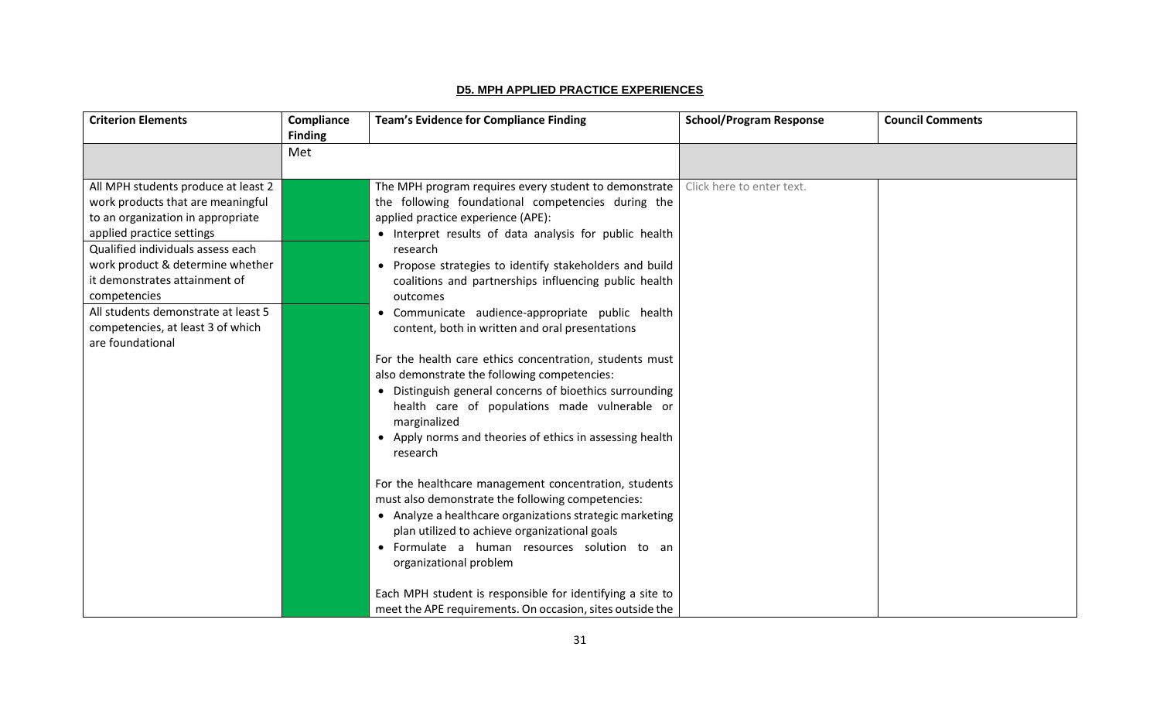#### **D5. MPH APPLIED PRACTICE EXPERIENCES**

| <b>Criterion Elements</b>                                                                                                                                                                                                                                                                                                                                            | Compliance<br><b>Finding</b> | <b>Team's Evidence for Compliance Finding</b>                                                                                                                                                                                                                                                                                                                                                                                                                                                                                                                                                                                                                                                                                                                                                                                                                                                                                                                                                                                                                                                 | <b>School/Program Response</b> | <b>Council Comments</b> |
|----------------------------------------------------------------------------------------------------------------------------------------------------------------------------------------------------------------------------------------------------------------------------------------------------------------------------------------------------------------------|------------------------------|-----------------------------------------------------------------------------------------------------------------------------------------------------------------------------------------------------------------------------------------------------------------------------------------------------------------------------------------------------------------------------------------------------------------------------------------------------------------------------------------------------------------------------------------------------------------------------------------------------------------------------------------------------------------------------------------------------------------------------------------------------------------------------------------------------------------------------------------------------------------------------------------------------------------------------------------------------------------------------------------------------------------------------------------------------------------------------------------------|--------------------------------|-------------------------|
|                                                                                                                                                                                                                                                                                                                                                                      | Met                          |                                                                                                                                                                                                                                                                                                                                                                                                                                                                                                                                                                                                                                                                                                                                                                                                                                                                                                                                                                                                                                                                                               |                                |                         |
| All MPH students produce at least 2<br>work products that are meaningful<br>to an organization in appropriate<br>applied practice settings<br>Qualified individuals assess each<br>work product & determine whether<br>it demonstrates attainment of<br>competencies<br>All students demonstrate at least 5<br>competencies, at least 3 of which<br>are foundational |                              | The MPH program requires every student to demonstrate<br>the following foundational competencies during the<br>applied practice experience (APE):<br>• Interpret results of data analysis for public health<br>research<br>Propose strategies to identify stakeholders and build<br>$\bullet$<br>coalitions and partnerships influencing public health<br>outcomes<br>• Communicate audience-appropriate public health<br>content, both in written and oral presentations<br>For the health care ethics concentration, students must<br>also demonstrate the following competencies:<br>• Distinguish general concerns of bioethics surrounding<br>health care of populations made vulnerable or<br>marginalized<br>• Apply norms and theories of ethics in assessing health<br>research<br>For the healthcare management concentration, students<br>must also demonstrate the following competencies:<br>• Analyze a healthcare organizations strategic marketing<br>plan utilized to achieve organizational goals<br>• Formulate a human resources solution to an<br>organizational problem | Click here to enter text.      |                         |
|                                                                                                                                                                                                                                                                                                                                                                      |                              | Each MPH student is responsible for identifying a site to                                                                                                                                                                                                                                                                                                                                                                                                                                                                                                                                                                                                                                                                                                                                                                                                                                                                                                                                                                                                                                     |                                |                         |
|                                                                                                                                                                                                                                                                                                                                                                      |                              | meet the APE requirements. On occasion, sites outside the                                                                                                                                                                                                                                                                                                                                                                                                                                                                                                                                                                                                                                                                                                                                                                                                                                                                                                                                                                                                                                     |                                |                         |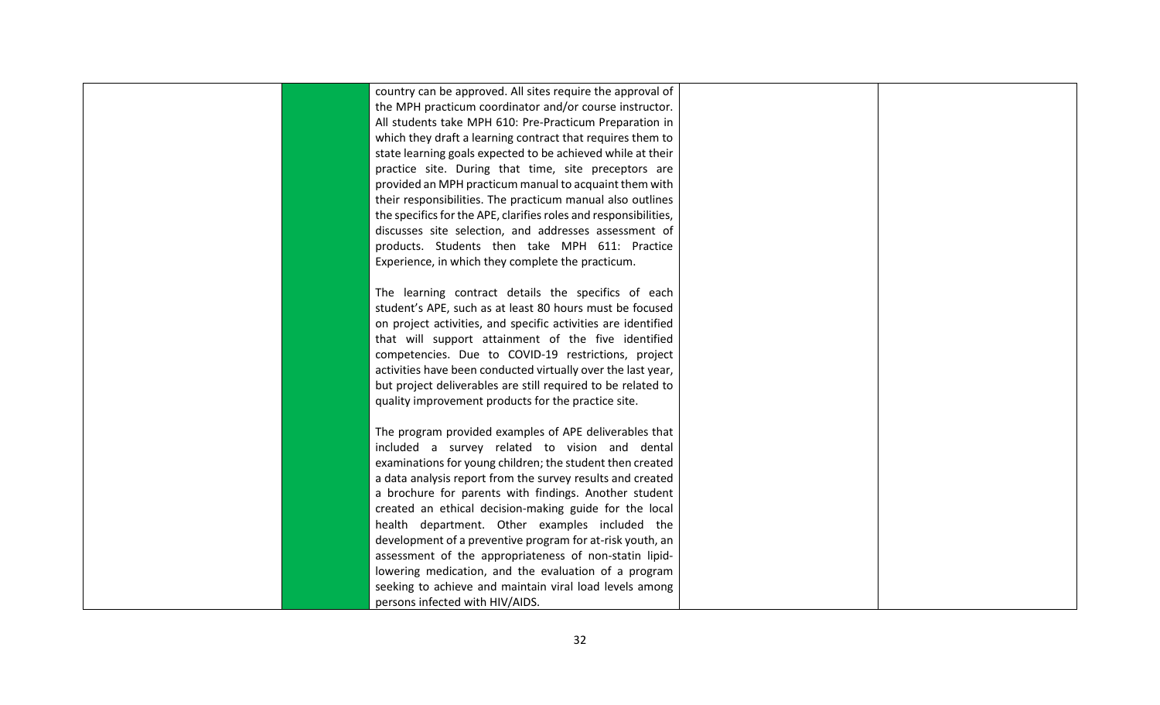|  | country can be approved. All sites require the approval of       |  |
|--|------------------------------------------------------------------|--|
|  | the MPH practicum coordinator and/or course instructor.          |  |
|  | All students take MPH 610: Pre-Practicum Preparation in          |  |
|  | which they draft a learning contract that requires them to       |  |
|  | state learning goals expected to be achieved while at their      |  |
|  | practice site. During that time, site preceptors are             |  |
|  | provided an MPH practicum manual to acquaint them with           |  |
|  | their responsibilities. The practicum manual also outlines       |  |
|  | the specifics for the APE, clarifies roles and responsibilities, |  |
|  | discusses site selection, and addresses assessment of            |  |
|  | products. Students then take MPH 611: Practice                   |  |
|  | Experience, in which they complete the practicum.                |  |
|  |                                                                  |  |
|  | The learning contract details the specifics of each              |  |
|  | student's APE, such as at least 80 hours must be focused         |  |
|  | on project activities, and specific activities are identified    |  |
|  | that will support attainment of the five identified              |  |
|  | competencies. Due to COVID-19 restrictions, project              |  |
|  | activities have been conducted virtually over the last year,     |  |
|  | but project deliverables are still required to be related to     |  |
|  | quality improvement products for the practice site.              |  |
|  |                                                                  |  |
|  | The program provided examples of APE deliverables that           |  |
|  | included a survey related to vision and dental                   |  |
|  | examinations for young children; the student then created        |  |
|  | a data analysis report from the survey results and created       |  |
|  | a brochure for parents with findings. Another student            |  |
|  | created an ethical decision-making guide for the local           |  |
|  | health department. Other examples included the                   |  |
|  | development of a preventive program for at-risk youth, an        |  |
|  | assessment of the appropriateness of non-statin lipid-           |  |
|  | lowering medication, and the evaluation of a program             |  |
|  | seeking to achieve and maintain viral load levels among          |  |
|  | persons infected with HIV/AIDS.                                  |  |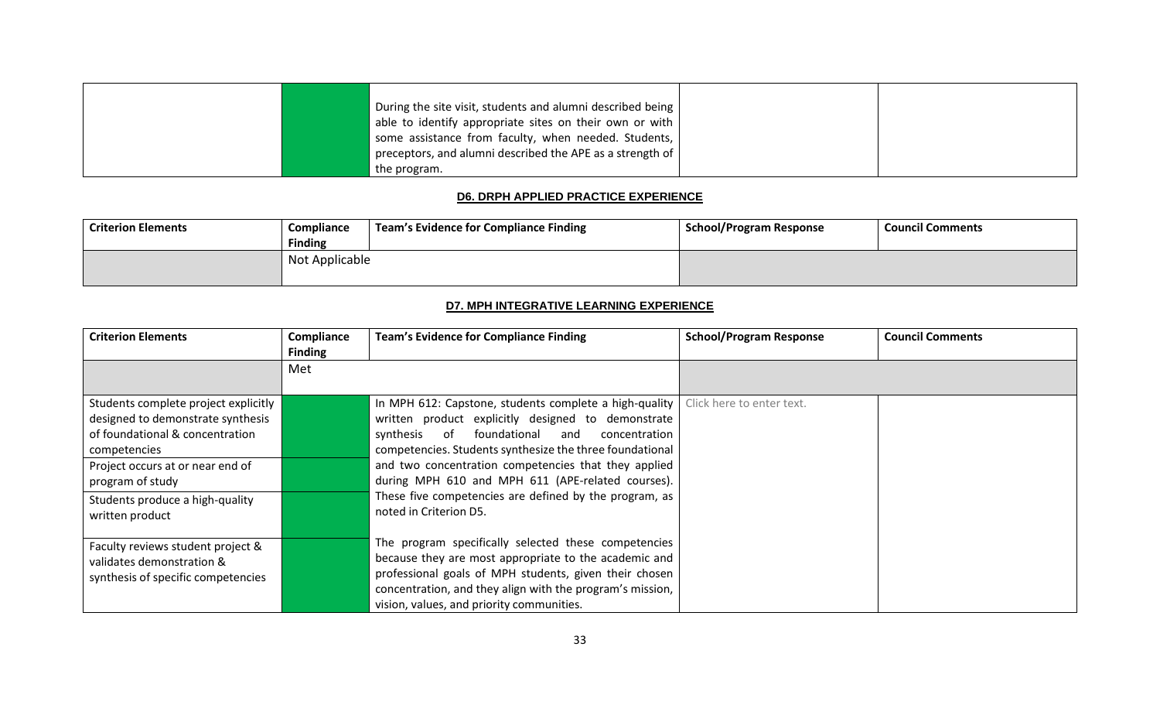|  | During the site visit, students and alumni described being      |  |
|--|-----------------------------------------------------------------|--|
|  | able to identify appropriate sites on their own or with $\vert$ |  |
|  | some assistance from faculty, when needed. Students,            |  |
|  | preceptors, and alumni described the APE as a strength of $ $   |  |
|  | the program.                                                    |  |

#### **D6. DRPH APPLIED PRACTICE EXPERIENCE**

<span id="page-35-0"></span>

| <b>Criterion Elements</b> | Compliance     | Team's Evidence for Compliance Finding | <b>School/Program Response</b> | <b>Council Comments</b> |
|---------------------------|----------------|----------------------------------------|--------------------------------|-------------------------|
|                           | <b>Finding</b> |                                        |                                |                         |
|                           | Not Applicable |                                        |                                |                         |

## **D7. MPH INTEGRATIVE LEARNING EXPERIENCE**

<span id="page-35-1"></span>

| <b>Criterion Elements</b>                                                                                                                                                                                                                  | Compliance<br><b>Finding</b> | <b>Team's Evidence for Compliance Finding</b>                                                                                                                                                                                                                                                                                                                                                                                     | <b>School/Program Response</b> | <b>Council Comments</b> |
|--------------------------------------------------------------------------------------------------------------------------------------------------------------------------------------------------------------------------------------------|------------------------------|-----------------------------------------------------------------------------------------------------------------------------------------------------------------------------------------------------------------------------------------------------------------------------------------------------------------------------------------------------------------------------------------------------------------------------------|--------------------------------|-------------------------|
|                                                                                                                                                                                                                                            | Met                          |                                                                                                                                                                                                                                                                                                                                                                                                                                   |                                |                         |
| Students complete project explicitly<br>designed to demonstrate synthesis<br>of foundational & concentration<br>competencies<br>Project occurs at or near end of<br>program of study<br>Students produce a high-quality<br>written product |                              | In MPH 612: Capstone, students complete a high-quality<br>written product explicitly designed to demonstrate<br>foundational<br>synthesis of<br>and<br>concentration<br>competencies. Students synthesize the three foundational<br>and two concentration competencies that they applied<br>during MPH 610 and MPH 611 (APE-related courses).<br>These five competencies are defined by the program, as<br>noted in Criterion D5. | Click here to enter text.      |                         |
| Faculty reviews student project &<br>validates demonstration &<br>synthesis of specific competencies                                                                                                                                       |                              | The program specifically selected these competencies<br>because they are most appropriate to the academic and<br>professional goals of MPH students, given their chosen<br>concentration, and they align with the program's mission,<br>vision, values, and priority communities.                                                                                                                                                 |                                |                         |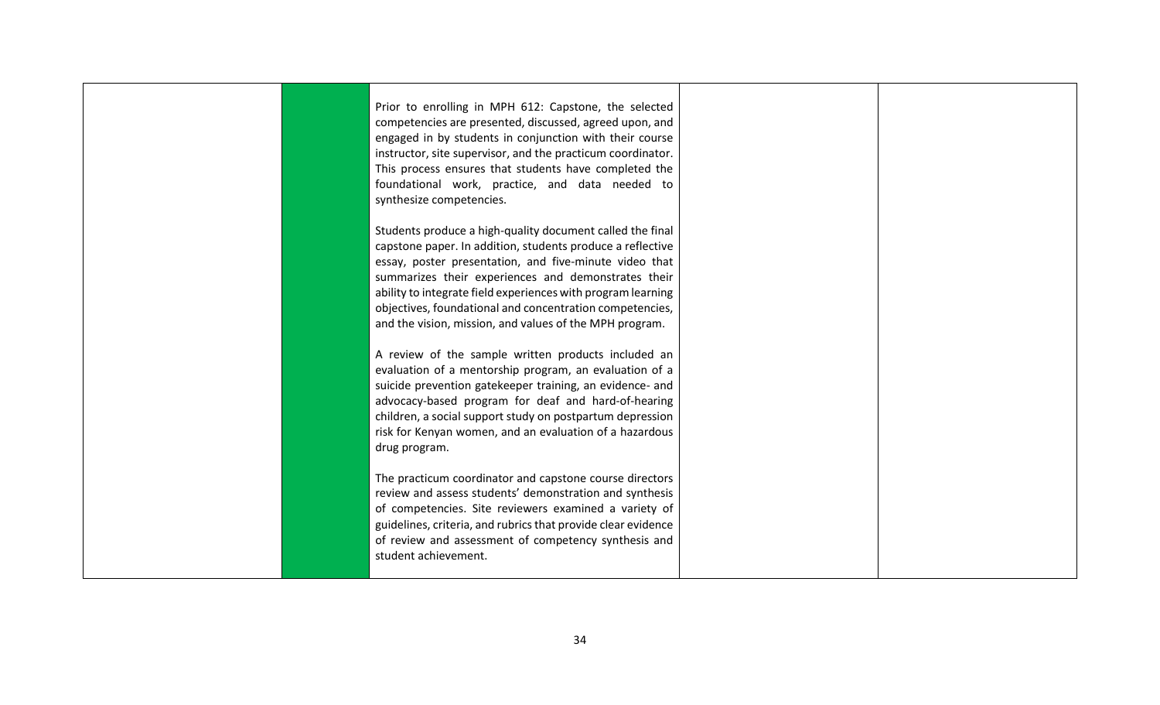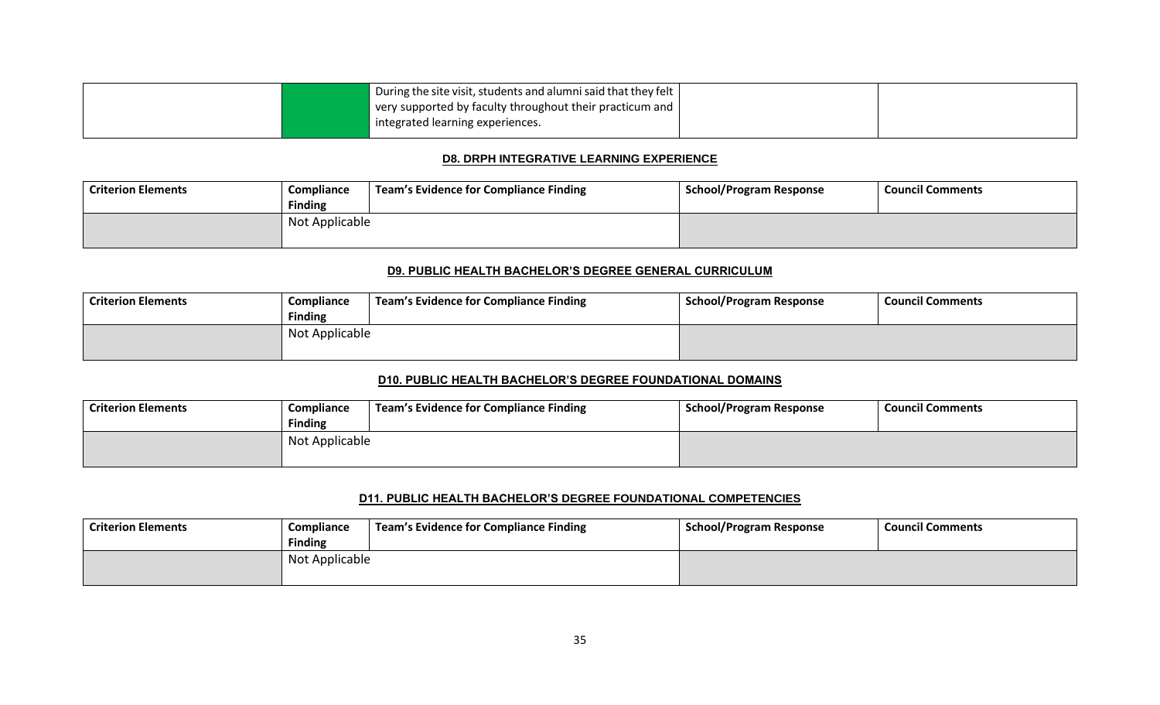| $\blacksquare$ During the site visit, students and alumni said that they felt $\vert$ |  |
|---------------------------------------------------------------------------------------|--|
| $\vert$ very supported by faculty throughout their practicum and $\vert$              |  |
| integrated learning experiences.                                                      |  |

### **D8. DRPH INTEGRATIVE LEARNING EXPERIENCE**

| <b>Criterion Elements</b> | Compliance     | Team's Evidence for Compliance Finding | <b>School/Program Response</b> | <b>Council Comments</b> |
|---------------------------|----------------|----------------------------------------|--------------------------------|-------------------------|
|                           | <b>Finding</b> |                                        |                                |                         |
|                           | Not Applicable |                                        |                                |                         |
|                           |                |                                        |                                |                         |

### **D9. PUBLIC HEALTH BACHELOR'S DEGREE GENERAL CURRICULUM**

| <b>Criterion Elements</b> | Compliance     | Team's Evidence for Compliance Finding | School/Program Response | <b>Council Comments</b> |
|---------------------------|----------------|----------------------------------------|-------------------------|-------------------------|
|                           | <b>Finding</b> |                                        |                         |                         |
|                           | Not Applicable |                                        |                         |                         |

#### **D10. PUBLIC HEALTH BACHELOR'S DEGREE FOUNDATIONAL DOMAINS**

| <b>Criterion Elements</b> | Compliance     | Team's Evidence for Compliance Finding | <b>School/Program Response</b> | <b>Council Comments</b> |
|---------------------------|----------------|----------------------------------------|--------------------------------|-------------------------|
|                           | <b>Finding</b> |                                        |                                |                         |
|                           | Not Applicable |                                        |                                |                         |
|                           |                |                                        |                                |                         |

### **D11. PUBLIC HEALTH BACHELOR'S DEGREE FOUNDATIONAL COMPETENCIES**

| Criterion Elements | Compliance<br><b>Finding</b> | Team's Evidence for Compliance Finding | <b>School/Program Response</b> | <b>Council Comments</b> |
|--------------------|------------------------------|----------------------------------------|--------------------------------|-------------------------|
|                    | Not Applicable               |                                        |                                |                         |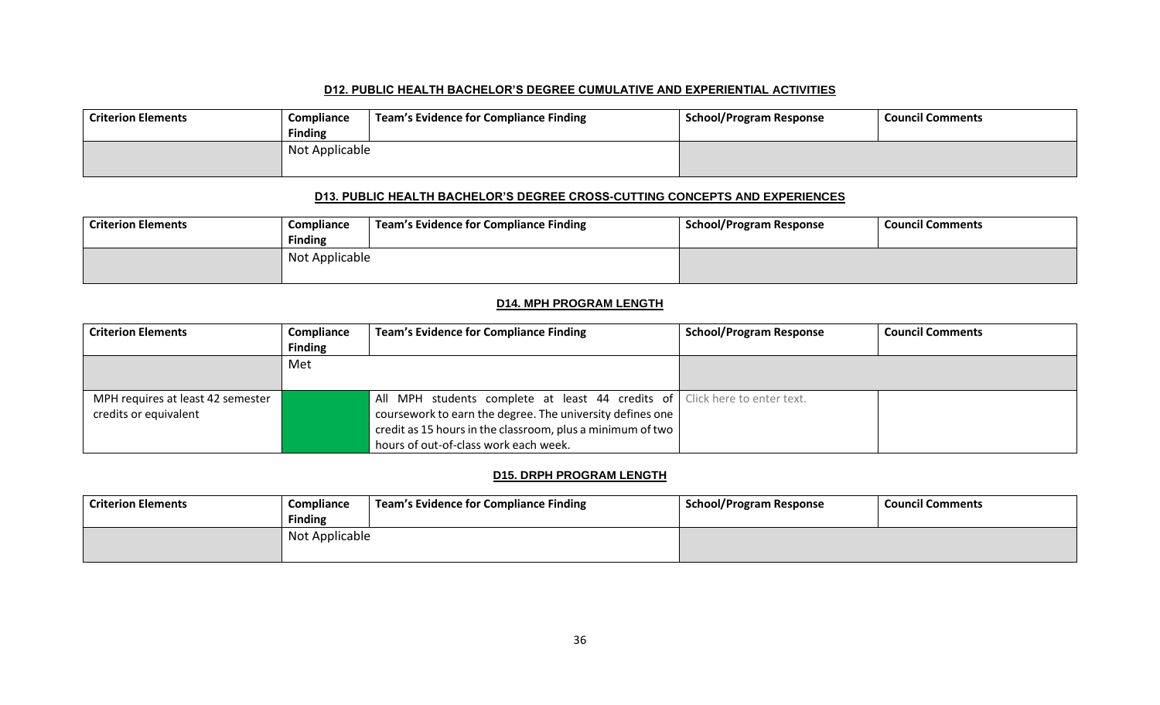#### **D12. PUBLIC HEALTH BACHELOR'S DEGREE CUMULATIVE AND EXPERIENTIAL ACTIVITIES**

| <b>Criterion Elements</b> | Compliance<br><b>Finding</b> | Team's Evidence for Compliance Finding | School/Program Response | <b>Council Comments</b> |
|---------------------------|------------------------------|----------------------------------------|-------------------------|-------------------------|
|                           | Not Applicable               |                                        |                         |                         |

### **D13. PUBLIC HEALTH BACHELOR'S DEGREE CROSS-CUTTING CONCEPTS AND EXPERIENCES**

| <b>Criterion Elements</b> | Compliance     | Team's Evidence for Compliance Finding | School/Program Response | <b>Council Comments</b> |
|---------------------------|----------------|----------------------------------------|-------------------------|-------------------------|
|                           | <b>Finding</b> |                                        |                         |                         |
|                           | Not Applicable |                                        |                         |                         |

### **D14. MPH PROGRAM LENGTH**

| <b>Criterion Elements</b>         | Compliance     | <b>Team's Evidence for Compliance Finding</b>                              | <b>School/Program Response</b> | <b>Council Comments</b> |
|-----------------------------------|----------------|----------------------------------------------------------------------------|--------------------------------|-------------------------|
|                                   | <b>Finding</b> |                                                                            |                                |                         |
|                                   | Met            |                                                                            |                                |                         |
|                                   |                |                                                                            |                                |                         |
| MPH requires at least 42 semester |                | All MPH students complete at least 44 credits of Click here to enter text. |                                |                         |
| credits or equivalent             |                | coursework to earn the degree. The university defines one                  |                                |                         |
|                                   |                | credit as 15 hours in the classroom, plus a minimum of two                 |                                |                         |
|                                   |                | hours of out-of-class work each week.                                      |                                |                         |

### **D15. DRPH PROGRAM LENGTH**

| <b>Criterion Elements</b> | Compliance                       | <b>Team's Evidence for Compliance Finding</b> | <b>School/Program Response</b> | <b>Council Comments</b> |
|---------------------------|----------------------------------|-----------------------------------------------|--------------------------------|-------------------------|
|                           | <b>Finding</b><br>Not Applicable |                                               |                                |                         |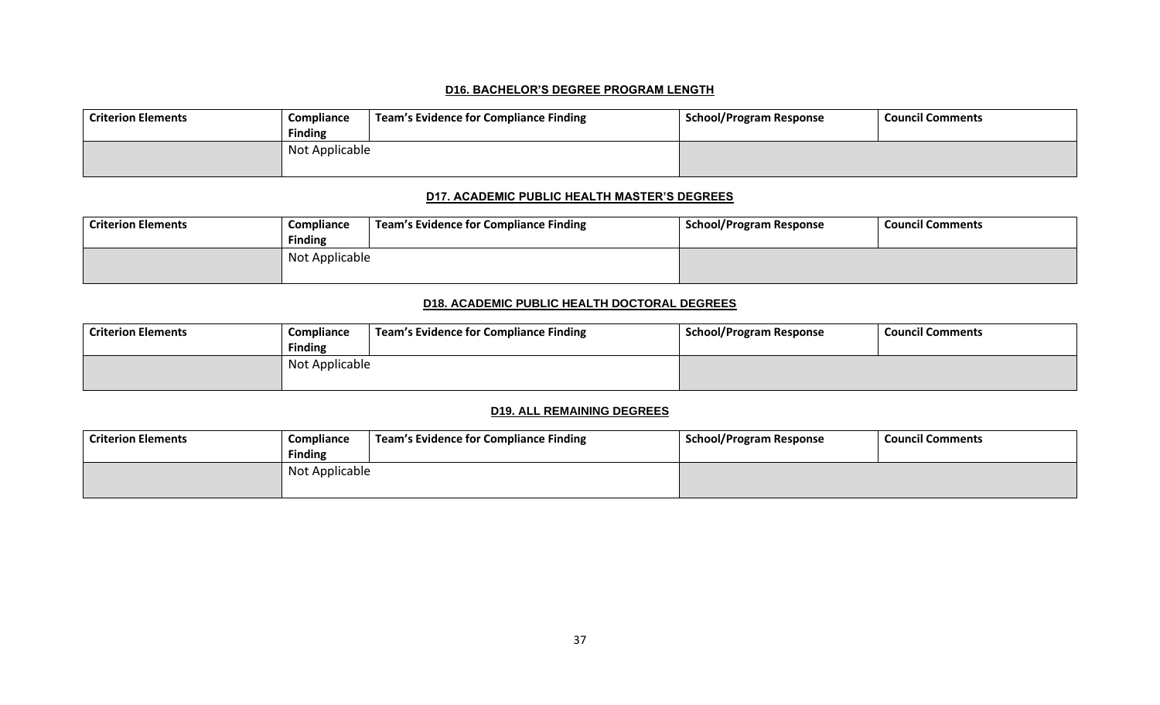#### **D16. BACHELOR'S DEGREE PROGRAM LENGTH**

| <b>Criterion Elements</b> | Compliance<br><b>Finding</b> | Team's Evidence for Compliance Finding | <b>School/Program Response</b> | <b>Council Comments</b> |
|---------------------------|------------------------------|----------------------------------------|--------------------------------|-------------------------|
|                           | Not Applicable               |                                        |                                |                         |

### **D17. ACADEMIC PUBLIC HEALTH MASTER'S DEGREES**

| <b>Criterion Elements</b> | Compliance     | <b>Team's Evidence for Compliance Finding</b> | School/Program Response | <b>Council Comments</b> |
|---------------------------|----------------|-----------------------------------------------|-------------------------|-------------------------|
|                           | <b>Finding</b> |                                               |                         |                         |
|                           | Not Applicable |                                               |                         |                         |
|                           |                |                                               |                         |                         |

### **D18. ACADEMIC PUBLIC HEALTH DOCTORAL DEGREES**

| <b>Criterion Elements</b> | Compliance     | Team's Evidence for Compliance Finding | <b>School/Program Response</b> | <b>Council Comments</b> |
|---------------------------|----------------|----------------------------------------|--------------------------------|-------------------------|
|                           | <b>Finding</b> |                                        |                                |                         |
|                           | Not Applicable |                                        |                                |                         |
|                           |                |                                        |                                |                         |

### **D19. ALL REMAINING DEGREES**

| Criterion Elements | Compliance     | <b>Team's Evidence for Compliance Finding</b> | <b>School/Program Response</b> | <b>Council Comments</b> |
|--------------------|----------------|-----------------------------------------------|--------------------------------|-------------------------|
|                    | <b>Finding</b> |                                               |                                |                         |
|                    | Not Applicable |                                               |                                |                         |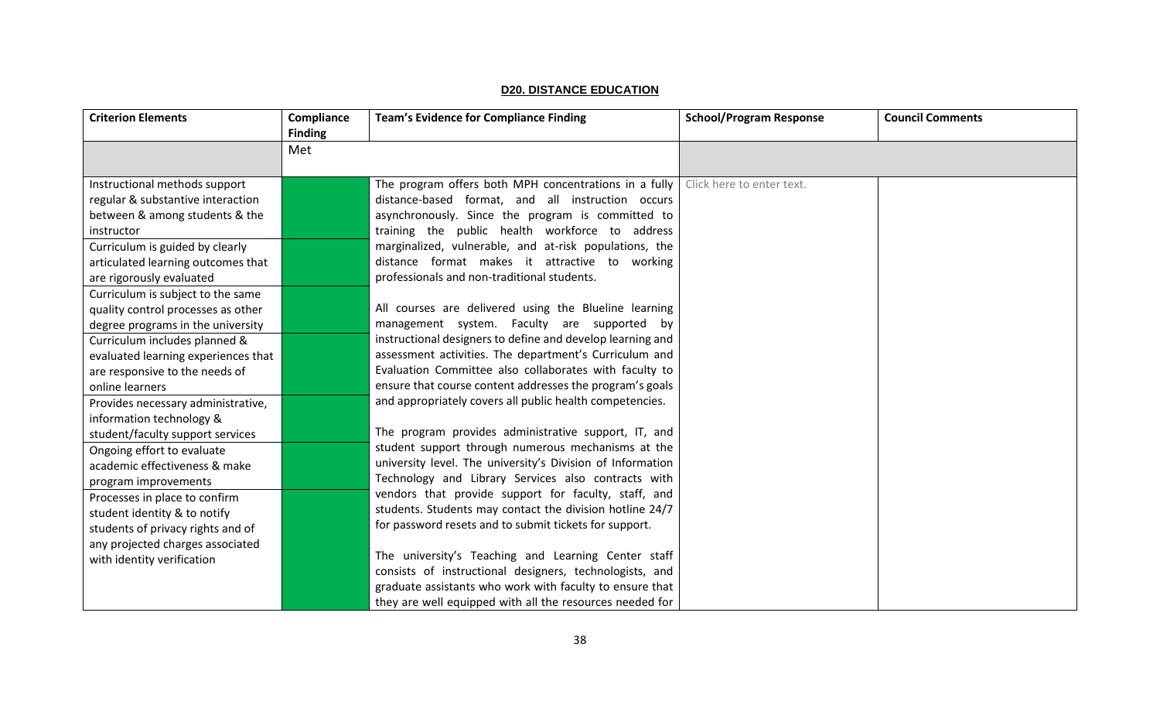| <b>D20. DISTANCE EDUCATION</b> |
|--------------------------------|
|                                |

| <b>Criterion Elements</b>           | Compliance<br><b>Finding</b> | <b>Team's Evidence for Compliance Finding</b>              | <b>School/Program Response</b> | <b>Council Comments</b> |
|-------------------------------------|------------------------------|------------------------------------------------------------|--------------------------------|-------------------------|
|                                     | Met                          |                                                            |                                |                         |
|                                     |                              |                                                            |                                |                         |
| Instructional methods support       |                              | The program offers both MPH concentrations in a fully      | Click here to enter text.      |                         |
| regular & substantive interaction   |                              | distance-based format, and all instruction occurs          |                                |                         |
| between & among students & the      |                              | asynchronously. Since the program is committed to          |                                |                         |
| instructor                          |                              | training the public health workforce to address            |                                |                         |
| Curriculum is guided by clearly     |                              | marginalized, vulnerable, and at-risk populations, the     |                                |                         |
| articulated learning outcomes that  |                              | distance format makes it attractive to working             |                                |                         |
| are rigorously evaluated            |                              | professionals and non-traditional students.                |                                |                         |
| Curriculum is subject to the same   |                              |                                                            |                                |                         |
| quality control processes as other  |                              | All courses are delivered using the Blueline learning      |                                |                         |
| degree programs in the university   |                              | management system. Faculty are supported by                |                                |                         |
| Curriculum includes planned &       |                              | instructional designers to define and develop learning and |                                |                         |
| evaluated learning experiences that |                              | assessment activities. The department's Curriculum and     |                                |                         |
| are responsive to the needs of      |                              | Evaluation Committee also collaborates with faculty to     |                                |                         |
| online learners                     |                              | ensure that course content addresses the program's goals   |                                |                         |
| Provides necessary administrative,  |                              | and appropriately covers all public health competencies.   |                                |                         |
| information technology &            |                              |                                                            |                                |                         |
| student/faculty support services    |                              | The program provides administrative support, IT, and       |                                |                         |
| Ongoing effort to evaluate          |                              | student support through numerous mechanisms at the         |                                |                         |
| academic effectiveness & make       |                              | university level. The university's Division of Information |                                |                         |
| program improvements                |                              | Technology and Library Services also contracts with        |                                |                         |
| Processes in place to confirm       |                              | vendors that provide support for faculty, staff, and       |                                |                         |
| student identity & to notify        |                              | students. Students may contact the division hotline 24/7   |                                |                         |
| students of privacy rights and of   |                              | for password resets and to submit tickets for support.     |                                |                         |
| any projected charges associated    |                              |                                                            |                                |                         |
| with identity verification          |                              | The university's Teaching and Learning Center staff        |                                |                         |
|                                     |                              | consists of instructional designers, technologists, and    |                                |                         |
|                                     |                              | graduate assistants who work with faculty to ensure that   |                                |                         |
|                                     |                              | they are well equipped with all the resources needed for   |                                |                         |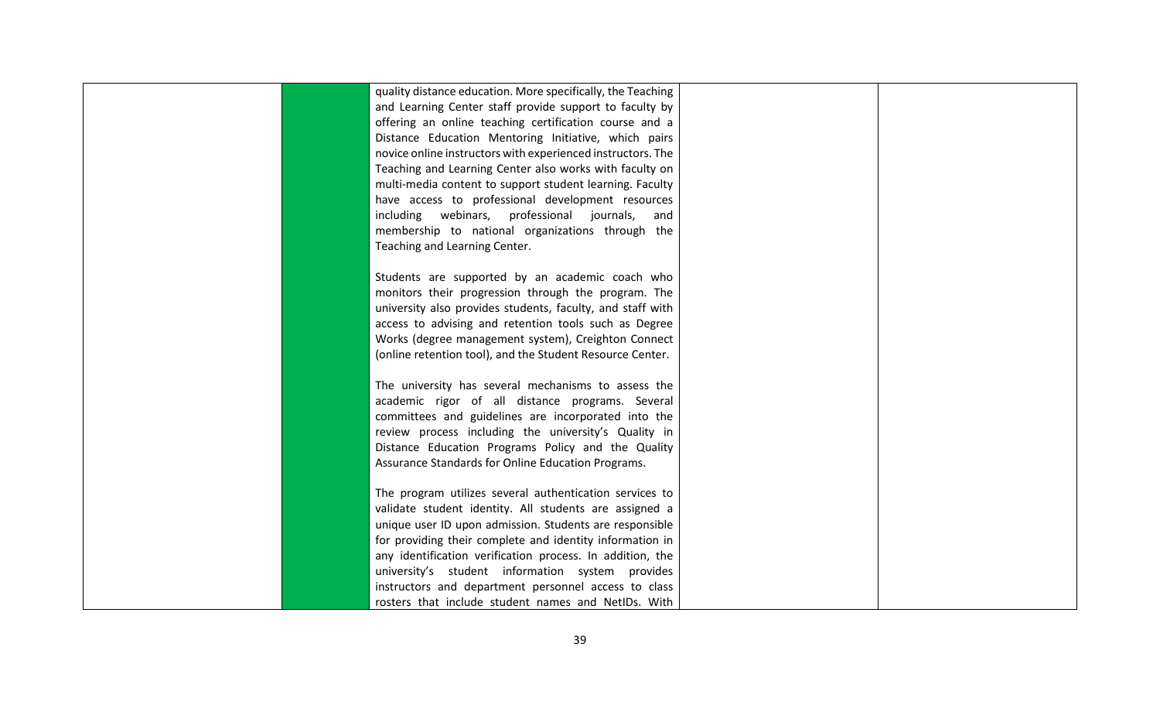|  | quality distance education. More specifically, the Teaching |  |
|--|-------------------------------------------------------------|--|
|  | and Learning Center staff provide support to faculty by     |  |
|  | offering an online teaching certification course and a      |  |
|  | Distance Education Mentoring Initiative, which pairs        |  |
|  | novice online instructors with experienced instructors. The |  |
|  | Teaching and Learning Center also works with faculty on     |  |
|  | multi-media content to support student learning. Faculty    |  |
|  | have access to professional development resources           |  |
|  | including webinars, professional journals,<br>and           |  |
|  | membership to national organizations through the            |  |
|  | Teaching and Learning Center.                               |  |
|  |                                                             |  |
|  | Students are supported by an academic coach who             |  |
|  | monitors their progression through the program. The         |  |
|  | university also provides students, faculty, and staff with  |  |
|  | access to advising and retention tools such as Degree       |  |
|  | Works (degree management system), Creighton Connect         |  |
|  | (online retention tool), and the Student Resource Center.   |  |
|  |                                                             |  |
|  | The university has several mechanisms to assess the         |  |
|  | academic rigor of all distance programs. Several            |  |
|  | committees and guidelines are incorporated into the         |  |
|  | review process including the university's Quality in        |  |
|  | Distance Education Programs Policy and the Quality          |  |
|  | Assurance Standards for Online Education Programs.          |  |
|  |                                                             |  |
|  | The program utilizes several authentication services to     |  |
|  | validate student identity. All students are assigned a      |  |
|  | unique user ID upon admission. Students are responsible     |  |
|  | for providing their complete and identity information in    |  |
|  | any identification verification process. In addition, the   |  |
|  | university's student information system provides            |  |
|  | instructors and department personnel access to class        |  |
|  | rosters that include student names and NetIDs. With         |  |
|  |                                                             |  |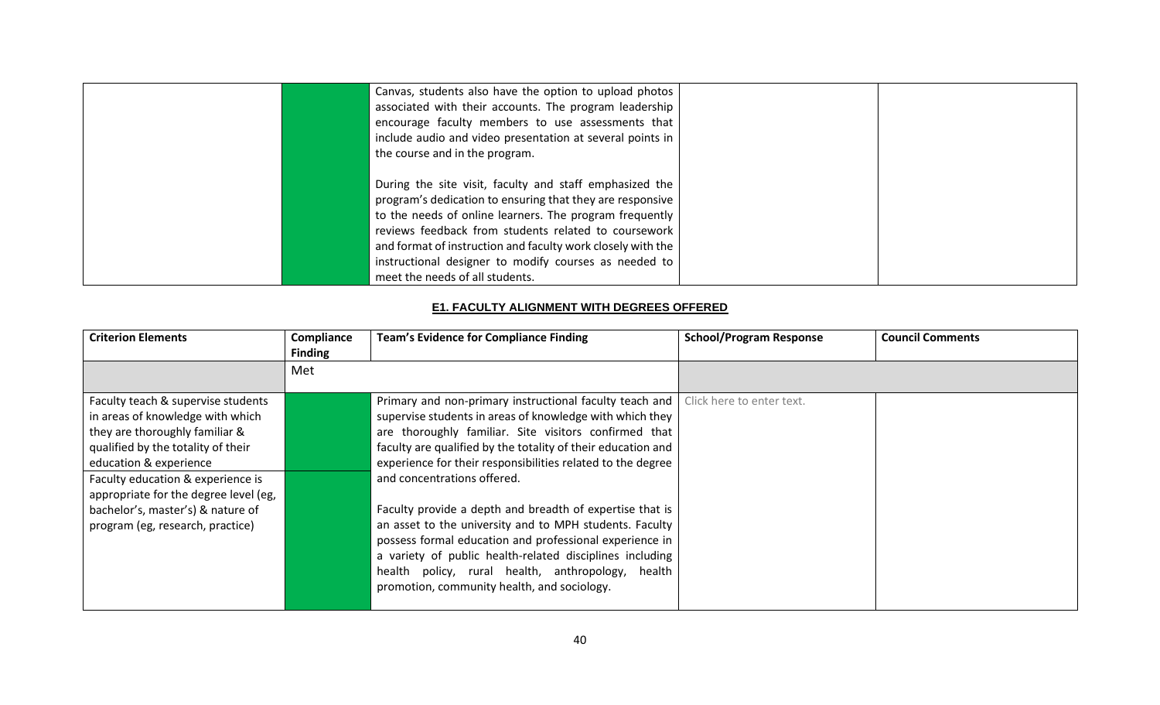| Canvas, students also have the option to upload photos<br>associated with their accounts. The program leadership                                                                                                                                                                                                                                                                                   |  |
|----------------------------------------------------------------------------------------------------------------------------------------------------------------------------------------------------------------------------------------------------------------------------------------------------------------------------------------------------------------------------------------------------|--|
| encourage faculty members to use assessments that<br>include audio and video presentation at several points in<br>the course and in the program.                                                                                                                                                                                                                                                   |  |
| During the site visit, faculty and staff emphasized the<br>program's dedication to ensuring that they are responsive<br>to the needs of online learners. The program frequently<br>reviews feedback from students related to coursework<br>and format of instruction and faculty work closely with the<br>instructional designer to modify courses as needed to<br>meet the needs of all students. |  |

#### **E1. FACULTY ALIGNMENT WITH DEGREES OFFERED**

| <b>Criterion Elements</b>             | Compliance            | <b>Team's Evidence for Compliance Finding</b>                | <b>School/Program Response</b> | <b>Council Comments</b> |
|---------------------------------------|-----------------------|--------------------------------------------------------------|--------------------------------|-------------------------|
|                                       | <b>Finding</b><br>Met |                                                              |                                |                         |
|                                       |                       |                                                              |                                |                         |
| Faculty teach & supervise students    |                       | Primary and non-primary instructional faculty teach and      | Click here to enter text.      |                         |
| in areas of knowledge with which      |                       | supervise students in areas of knowledge with which they     |                                |                         |
| they are thoroughly familiar &        |                       | are thoroughly familiar. Site visitors confirmed that        |                                |                         |
| qualified by the totality of their    |                       | faculty are qualified by the totality of their education and |                                |                         |
| education & experience                |                       | experience for their responsibilities related to the degree  |                                |                         |
| Faculty education & experience is     |                       | and concentrations offered.                                  |                                |                         |
| appropriate for the degree level (eg, |                       |                                                              |                                |                         |
| bachelor's, master's) & nature of     |                       | Faculty provide a depth and breadth of expertise that is     |                                |                         |
| program (eg, research, practice)      |                       | an asset to the university and to MPH students. Faculty      |                                |                         |
|                                       |                       | possess formal education and professional experience in      |                                |                         |
|                                       |                       | a variety of public health-related disciplines including     |                                |                         |
|                                       |                       | health policy, rural health, anthropology, health            |                                |                         |
|                                       |                       | promotion, community health, and sociology.                  |                                |                         |
|                                       |                       |                                                              |                                |                         |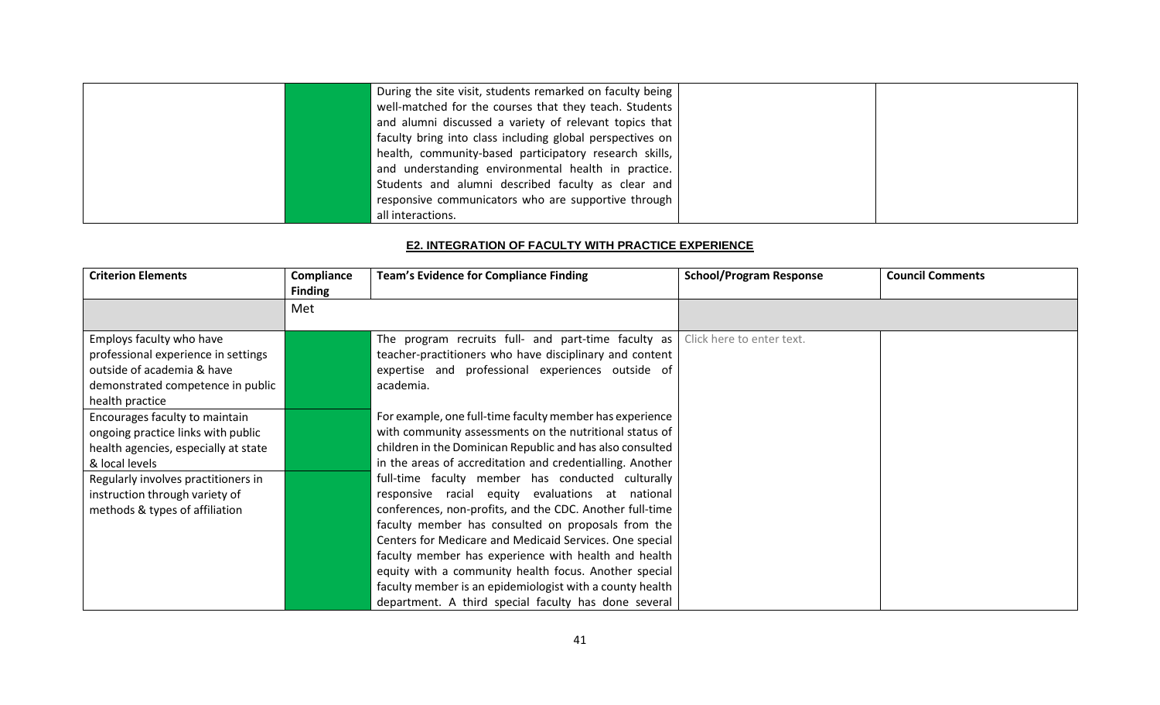| During the site visit, students remarked on faculty being |  |
|-----------------------------------------------------------|--|
| well-matched for the courses that they teach. Students    |  |
| and alumni discussed a variety of relevant topics that    |  |
| faculty bring into class including global perspectives on |  |
| health, community-based participatory research skills,    |  |
| and understanding environmental health in practice.       |  |
| Students and alumni described faculty as clear and        |  |
| responsive communicators who are supportive through       |  |
| all interactions.                                         |  |

### **E2. INTEGRATION OF FACULTY WITH PRACTICE EXPERIENCE**

| <b>Criterion Elements</b>                                                                                                                             | Compliance<br><b>Finding</b> | <b>Team's Evidence for Compliance Finding</b>                                                                                                                                                                                                                                                                                                                                                                                                                                                                           | <b>School/Program Response</b> | <b>Council Comments</b> |
|-------------------------------------------------------------------------------------------------------------------------------------------------------|------------------------------|-------------------------------------------------------------------------------------------------------------------------------------------------------------------------------------------------------------------------------------------------------------------------------------------------------------------------------------------------------------------------------------------------------------------------------------------------------------------------------------------------------------------------|--------------------------------|-------------------------|
|                                                                                                                                                       | Met                          |                                                                                                                                                                                                                                                                                                                                                                                                                                                                                                                         |                                |                         |
| Employs faculty who have<br>professional experience in settings<br>outside of academia & have<br>demonstrated competence in public<br>health practice |                              | The program recruits full- and part-time faculty as<br>teacher-practitioners who have disciplinary and content<br>expertise and professional experiences outside of<br>academia.                                                                                                                                                                                                                                                                                                                                        | Click here to enter text.      |                         |
| Encourages faculty to maintain<br>ongoing practice links with public<br>health agencies, especially at state<br>& local levels                        |                              | For example, one full-time faculty member has experience<br>with community assessments on the nutritional status of<br>children in the Dominican Republic and has also consulted<br>in the areas of accreditation and credentialling. Another                                                                                                                                                                                                                                                                           |                                |                         |
| Regularly involves practitioners in<br>instruction through variety of<br>methods & types of affiliation                                               |                              | full-time faculty member has conducted culturally<br>responsive racial equity evaluations at national<br>conferences, non-profits, and the CDC. Another full-time<br>faculty member has consulted on proposals from the<br>Centers for Medicare and Medicaid Services. One special<br>faculty member has experience with health and health<br>equity with a community health focus. Another special<br>faculty member is an epidemiologist with a county health<br>department. A third special faculty has done several |                                |                         |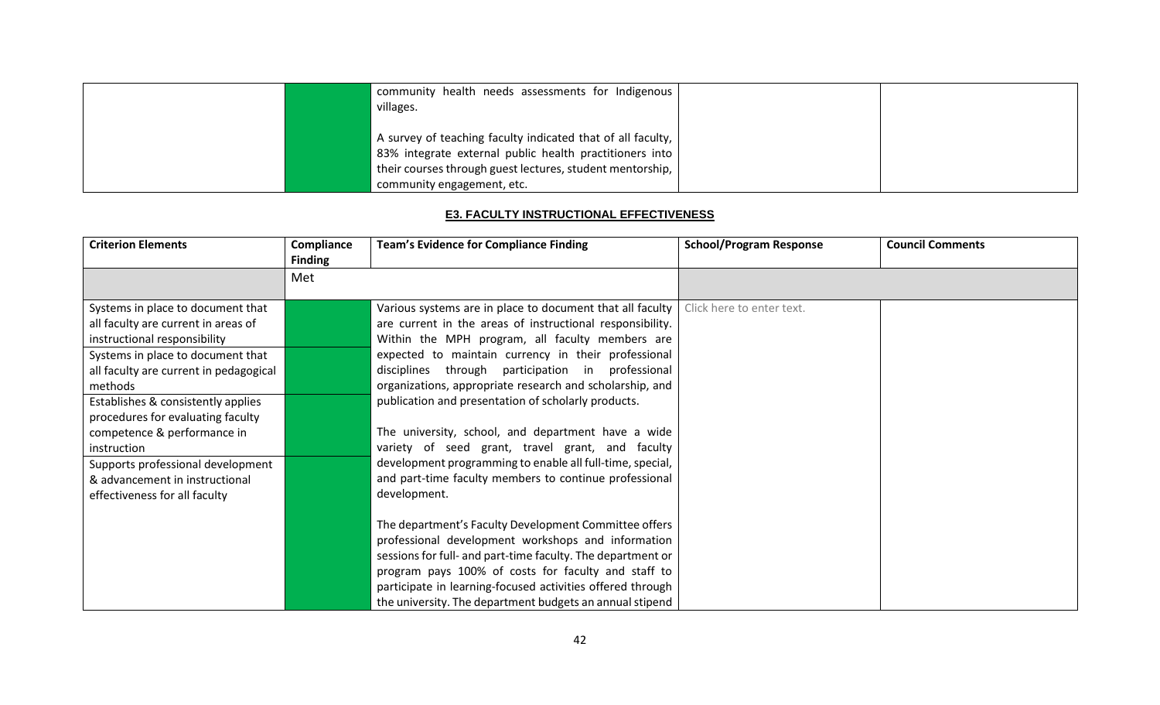| community health needs assessments for Indigenous<br>villages.                                                                                                                                                                                    |  |
|---------------------------------------------------------------------------------------------------------------------------------------------------------------------------------------------------------------------------------------------------|--|
| $'$ A survey of teaching faculty indicated that of all faculty, $ $<br>83% integrate external public health practitioners into<br>$\mathsf I$ their courses through guest lectures, student mentorship, $\mathsf I$<br>community engagement, etc. |  |

### **E3. FACULTY INSTRUCTIONAL EFFECTIVENESS**

| <b>Criterion Elements</b>                                                                                                                                                                                                                                                                                                                                                                                                           | Compliance<br><b>Finding</b> | <b>Team's Evidence for Compliance Finding</b>                                                                                                                                                                                                                                                                                                                                                                                                                                                                                                                                                                                                             | <b>School/Program Response</b> | <b>Council Comments</b> |
|-------------------------------------------------------------------------------------------------------------------------------------------------------------------------------------------------------------------------------------------------------------------------------------------------------------------------------------------------------------------------------------------------------------------------------------|------------------------------|-----------------------------------------------------------------------------------------------------------------------------------------------------------------------------------------------------------------------------------------------------------------------------------------------------------------------------------------------------------------------------------------------------------------------------------------------------------------------------------------------------------------------------------------------------------------------------------------------------------------------------------------------------------|--------------------------------|-------------------------|
|                                                                                                                                                                                                                                                                                                                                                                                                                                     | Met                          |                                                                                                                                                                                                                                                                                                                                                                                                                                                                                                                                                                                                                                                           |                                |                         |
| Systems in place to document that<br>all faculty are current in areas of<br>instructional responsibility<br>Systems in place to document that<br>all faculty are current in pedagogical<br>methods<br>Establishes & consistently applies<br>procedures for evaluating faculty<br>competence & performance in<br>instruction<br>Supports professional development<br>& advancement in instructional<br>effectiveness for all faculty |                              | Various systems are in place to document that all faculty<br>are current in the areas of instructional responsibility.<br>Within the MPH program, all faculty members are<br>expected to maintain currency in their professional<br>disciplines through participation in professional<br>organizations, appropriate research and scholarship, and<br>publication and presentation of scholarly products.<br>The university, school, and department have a wide<br>variety of seed grant, travel grant, and faculty<br>development programming to enable all full-time, special,<br>and part-time faculty members to continue professional<br>development. | Click here to enter text.      |                         |
|                                                                                                                                                                                                                                                                                                                                                                                                                                     |                              | The department's Faculty Development Committee offers<br>professional development workshops and information<br>sessions for full- and part-time faculty. The department or<br>program pays 100% of costs for faculty and staff to<br>participate in learning-focused activities offered through<br>the university. The department budgets an annual stipend                                                                                                                                                                                                                                                                                               |                                |                         |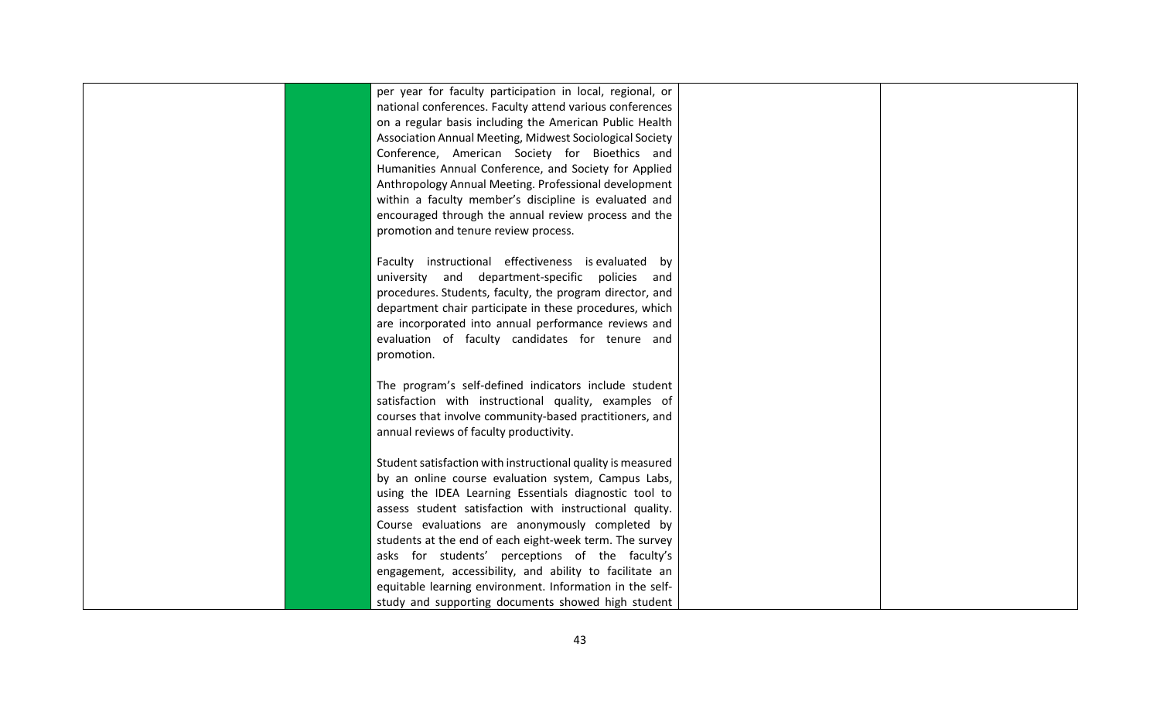| per year for faculty participation in local, regional, or   |  |
|-------------------------------------------------------------|--|
| national conferences. Faculty attend various conferences    |  |
| on a regular basis including the American Public Health     |  |
| Association Annual Meeting, Midwest Sociological Society    |  |
| Conference, American Society for Bioethics and              |  |
| Humanities Annual Conference, and Society for Applied       |  |
| Anthropology Annual Meeting. Professional development       |  |
| within a faculty member's discipline is evaluated and       |  |
| encouraged through the annual review process and the        |  |
| promotion and tenure review process.                        |  |
|                                                             |  |
| Faculty instructional effectiveness is evaluated by         |  |
| university and department-specific policies and             |  |
| procedures. Students, faculty, the program director, and    |  |
| department chair participate in these procedures, which     |  |
| are incorporated into annual performance reviews and        |  |
| evaluation of faculty candidates for tenure and             |  |
| promotion.                                                  |  |
|                                                             |  |
| The program's self-defined indicators include student       |  |
| satisfaction with instructional quality, examples of        |  |
| courses that involve community-based practitioners, and     |  |
| annual reviews of faculty productivity.                     |  |
|                                                             |  |
| Student satisfaction with instructional quality is measured |  |
| by an online course evaluation system, Campus Labs,         |  |
| using the IDEA Learning Essentials diagnostic tool to       |  |
| assess student satisfaction with instructional quality.     |  |
| Course evaluations are anonymously completed by             |  |
| students at the end of each eight-week term. The survey     |  |
| asks for students' perceptions of the faculty's             |  |
| engagement, accessibility, and ability to facilitate an     |  |
| equitable learning environment. Information in the self-    |  |
| study and supporting documents showed high student          |  |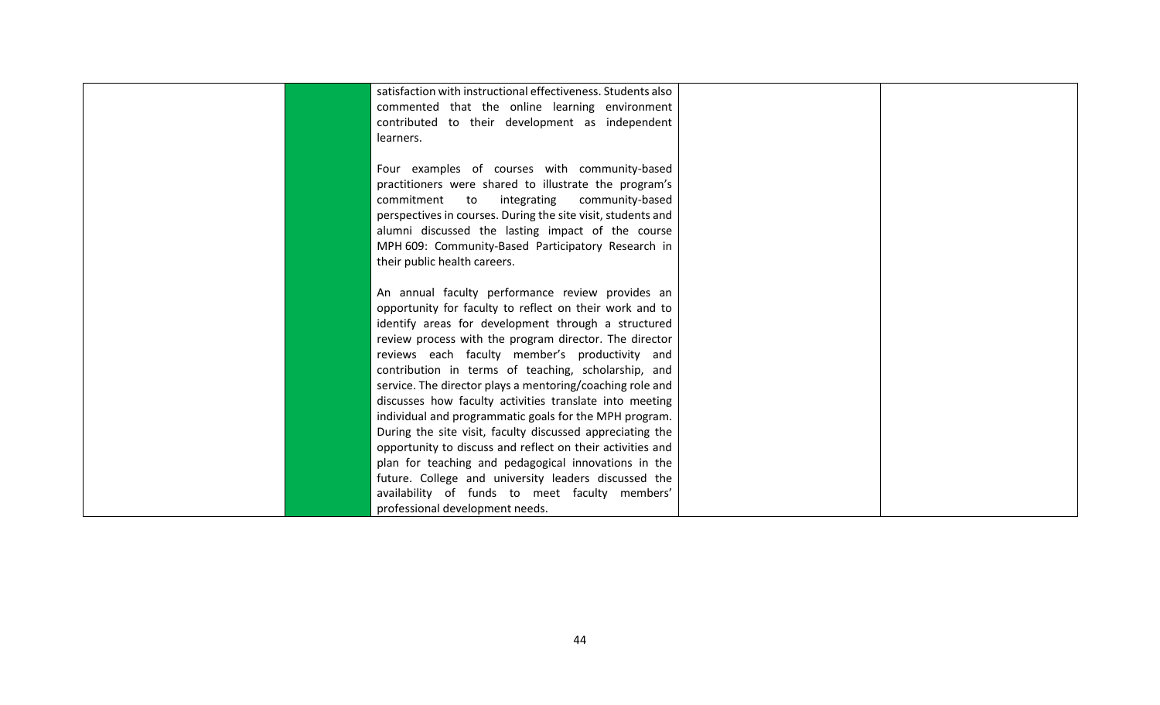| satisfaction with instructional effectiveness. Students also |  |
|--------------------------------------------------------------|--|
|                                                              |  |
| commented that the online learning environment               |  |
| contributed to their development as independent              |  |
| learners.                                                    |  |
|                                                              |  |
| Four examples of courses with community-based                |  |
| practitioners were shared to illustrate the program's        |  |
| integrating<br>community-based<br>commitment<br>to           |  |
| perspectives in courses. During the site visit, students and |  |
| alumni discussed the lasting impact of the course            |  |
| MPH 609: Community-Based Participatory Research in           |  |
| their public health careers.                                 |  |
|                                                              |  |
| An annual faculty performance review provides an             |  |
| opportunity for faculty to reflect on their work and to      |  |
| identify areas for development through a structured          |  |
| review process with the program director. The director       |  |
| reviews each faculty member's productivity and               |  |
| contribution in terms of teaching, scholarship, and          |  |
| service. The director plays a mentoring/coaching role and    |  |
| discusses how faculty activities translate into meeting      |  |
| individual and programmatic goals for the MPH program.       |  |
| During the site visit, faculty discussed appreciating the    |  |
| opportunity to discuss and reflect on their activities and   |  |
| plan for teaching and pedagogical innovations in the         |  |
| future. College and university leaders discussed the         |  |
| availability of funds to meet faculty members'               |  |
| professional development needs.                              |  |
|                                                              |  |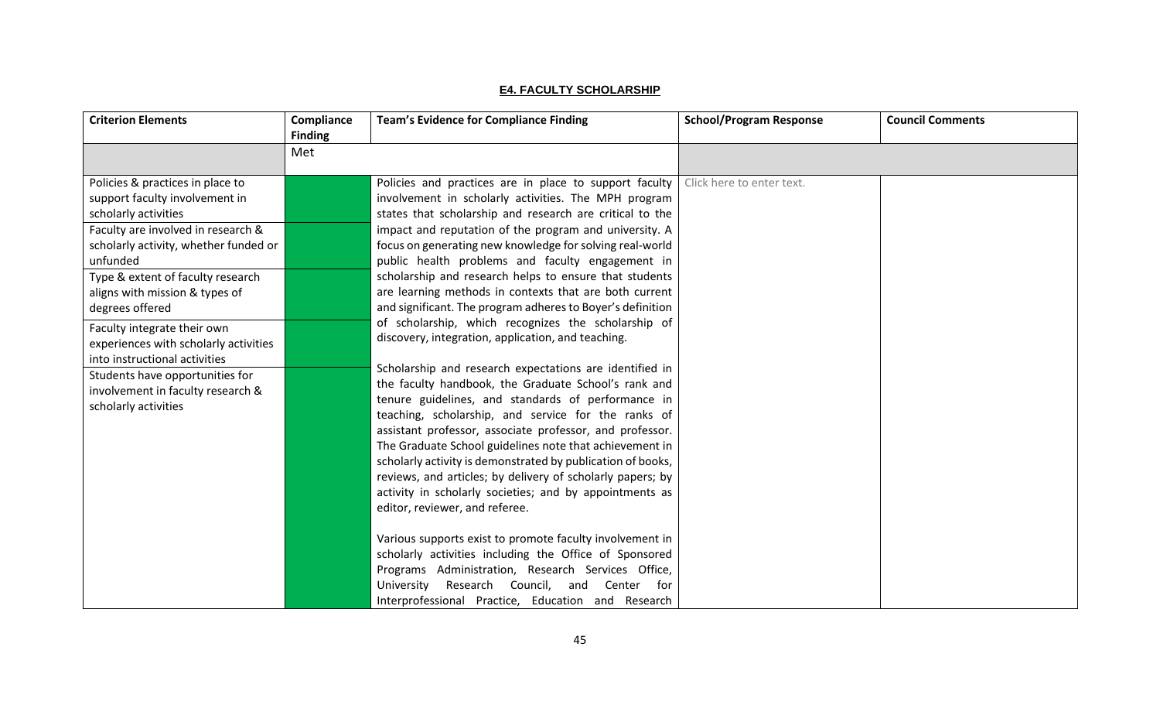## **E4. FACULTY SCHOLARSHIP**

| <b>Criterion Elements</b>                                                                                                                                                                                                                                                                                                                                                                | Compliance<br><b>Finding</b> | <b>Team's Evidence for Compliance Finding</b>                                                                                                                                                                                                                                                                                                                                                                                                                                                                                                                                                                                                                                                                                                                                                                | <b>School/Program Response</b> | <b>Council Comments</b> |
|------------------------------------------------------------------------------------------------------------------------------------------------------------------------------------------------------------------------------------------------------------------------------------------------------------------------------------------------------------------------------------------|------------------------------|--------------------------------------------------------------------------------------------------------------------------------------------------------------------------------------------------------------------------------------------------------------------------------------------------------------------------------------------------------------------------------------------------------------------------------------------------------------------------------------------------------------------------------------------------------------------------------------------------------------------------------------------------------------------------------------------------------------------------------------------------------------------------------------------------------------|--------------------------------|-------------------------|
|                                                                                                                                                                                                                                                                                                                                                                                          | Met                          |                                                                                                                                                                                                                                                                                                                                                                                                                                                                                                                                                                                                                                                                                                                                                                                                              |                                |                         |
| Policies & practices in place to<br>support faculty involvement in<br>scholarly activities<br>Faculty are involved in research &<br>scholarly activity, whether funded or<br>unfunded<br>Type & extent of faculty research<br>aligns with mission & types of<br>degrees offered<br>Faculty integrate their own<br>experiences with scholarly activities<br>into instructional activities |                              | Policies and practices are in place to support faculty  <br>involvement in scholarly activities. The MPH program<br>states that scholarship and research are critical to the<br>impact and reputation of the program and university. A<br>focus on generating new knowledge for solving real-world<br>public health problems and faculty engagement in<br>scholarship and research helps to ensure that students<br>are learning methods in contexts that are both current<br>and significant. The program adheres to Boyer's definition<br>of scholarship, which recognizes the scholarship of<br>discovery, integration, application, and teaching.<br>Scholarship and research expectations are identified in                                                                                             | Click here to enter text.      |                         |
| Students have opportunities for<br>involvement in faculty research &<br>scholarly activities                                                                                                                                                                                                                                                                                             |                              | the faculty handbook, the Graduate School's rank and<br>tenure guidelines, and standards of performance in<br>teaching, scholarship, and service for the ranks of<br>assistant professor, associate professor, and professor.<br>The Graduate School guidelines note that achievement in<br>scholarly activity is demonstrated by publication of books,<br>reviews, and articles; by delivery of scholarly papers; by<br>activity in scholarly societies; and by appointments as<br>editor, reviewer, and referee.<br>Various supports exist to promote faculty involvement in<br>scholarly activities including the Office of Sponsored<br>Programs Administration, Research Services Office,<br>University<br>Research Council,<br>and<br>Center for<br>Interprofessional Practice, Education and Research |                                |                         |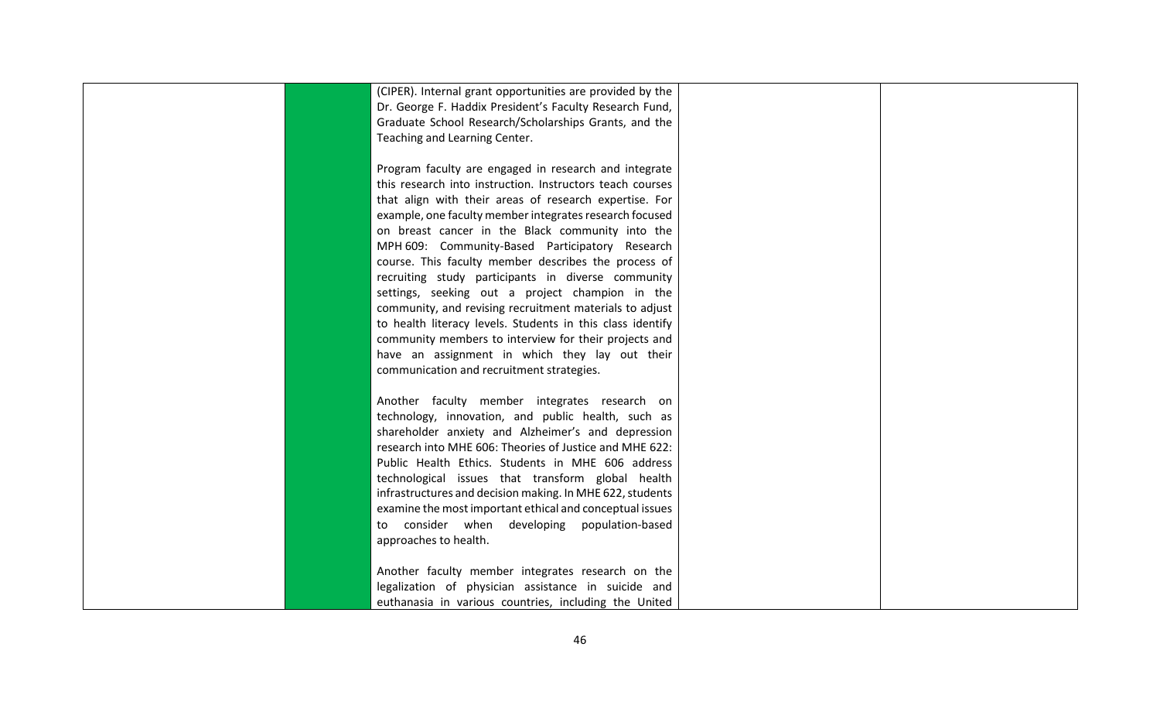| (CIPER). Internal grant opportunities are provided by the  |  |
|------------------------------------------------------------|--|
|                                                            |  |
| Dr. George F. Haddix President's Faculty Research Fund,    |  |
| Graduate School Research/Scholarships Grants, and the      |  |
| Teaching and Learning Center.                              |  |
|                                                            |  |
| Program faculty are engaged in research and integrate      |  |
| this research into instruction. Instructors teach courses  |  |
| that align with their areas of research expertise. For     |  |
| example, one faculty member integrates research focused    |  |
| on breast cancer in the Black community into the           |  |
| MPH 609: Community-Based Participatory Research            |  |
| course. This faculty member describes the process of       |  |
| recruiting study participants in diverse community         |  |
| settings, seeking out a project champion in the            |  |
| community, and revising recruitment materials to adjust    |  |
| to health literacy levels. Students in this class identify |  |
| community members to interview for their projects and      |  |
| have an assignment in which they lay out their             |  |
| communication and recruitment strategies.                  |  |
|                                                            |  |
| Another faculty member integrates research on              |  |
| technology, innovation, and public health, such as         |  |
|                                                            |  |
| shareholder anxiety and Alzheimer's and depression         |  |
| research into MHE 606: Theories of Justice and MHE 622:    |  |
| Public Health Ethics. Students in MHE 606 address          |  |
| technological issues that transform global health          |  |
| infrastructures and decision making. In MHE 622, students  |  |
| examine the most important ethical and conceptual issues   |  |
| consider when developing population-based<br>to            |  |
| approaches to health.                                      |  |
|                                                            |  |
| Another faculty member integrates research on the          |  |
| legalization of physician assistance in suicide and        |  |
| euthanasia in various countries, including the United      |  |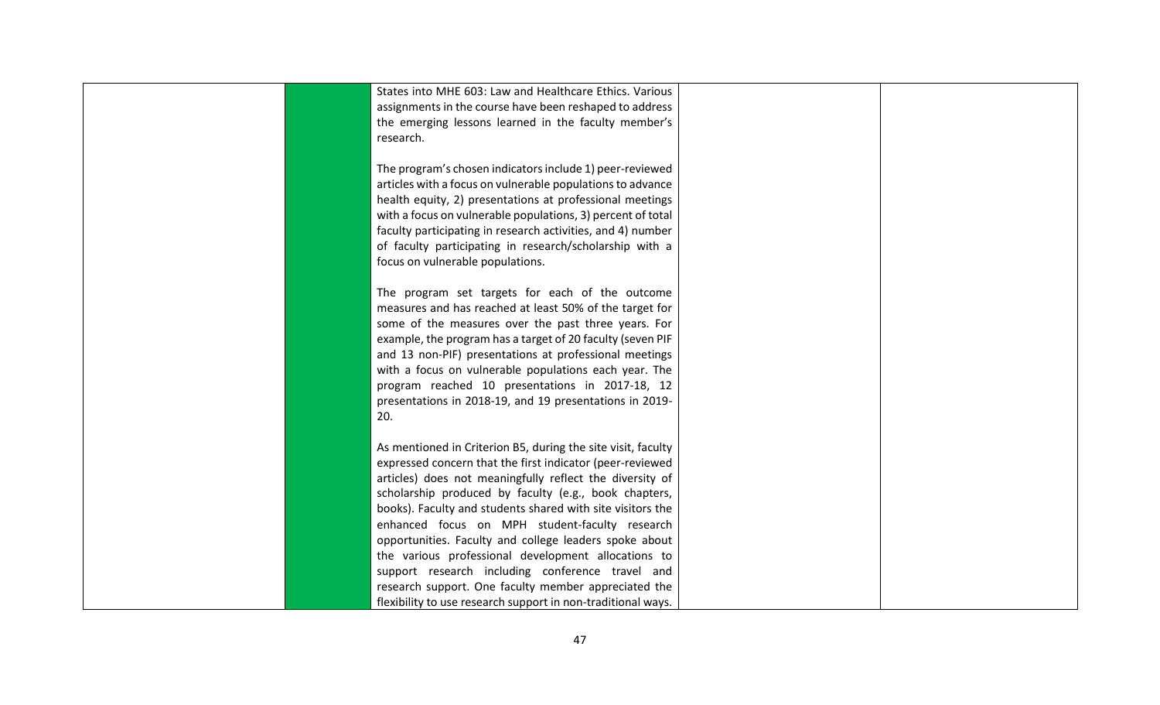| States into MHE 603: Law and Healthcare Ethics. Various<br>assignments in the course have been reshaped to address<br>the emerging lessons learned in the faculty member's<br>research.                                                                                                                                                                                                                                                                                                                                                                                                                                                                     |  |
|-------------------------------------------------------------------------------------------------------------------------------------------------------------------------------------------------------------------------------------------------------------------------------------------------------------------------------------------------------------------------------------------------------------------------------------------------------------------------------------------------------------------------------------------------------------------------------------------------------------------------------------------------------------|--|
| The program's chosen indicators include 1) peer-reviewed<br>articles with a focus on vulnerable populations to advance<br>health equity, 2) presentations at professional meetings<br>with a focus on vulnerable populations, 3) percent of total<br>faculty participating in research activities, and 4) number<br>of faculty participating in research/scholarship with a<br>focus on vulnerable populations.                                                                                                                                                                                                                                             |  |
| The program set targets for each of the outcome<br>measures and has reached at least 50% of the target for<br>some of the measures over the past three years. For<br>example, the program has a target of 20 faculty (seven PIF<br>and 13 non-PIF) presentations at professional meetings<br>with a focus on vulnerable populations each year. The<br>program reached 10 presentations in 2017-18, 12<br>presentations in 2018-19, and 19 presentations in 2019-<br>20.                                                                                                                                                                                     |  |
| As mentioned in Criterion B5, during the site visit, faculty<br>expressed concern that the first indicator (peer-reviewed<br>articles) does not meaningfully reflect the diversity of<br>scholarship produced by faculty (e.g., book chapters,<br>books). Faculty and students shared with site visitors the<br>enhanced focus on MPH student-faculty research<br>opportunities. Faculty and college leaders spoke about<br>the various professional development allocations to<br>support research including conference travel and<br>research support. One faculty member appreciated the<br>flexibility to use research support in non-traditional ways. |  |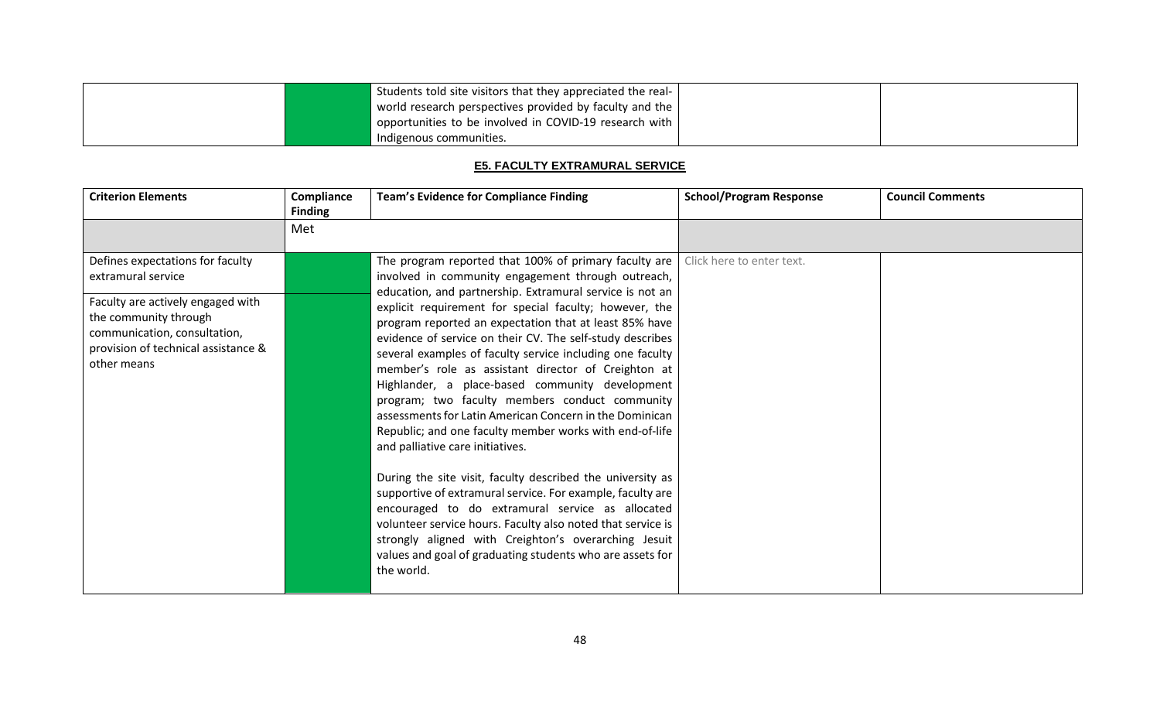|  | Students told site visitors that they appreciated the real- |  |
|--|-------------------------------------------------------------|--|
|  | world research perspectives provided by faculty and the $ $ |  |
|  | opportunities to be involved in COVID-19 research with $ $  |  |
|  | Indigenous communities.                                     |  |

# **E5. FACULTY EXTRAMURAL SERVICE**

| <b>Criterion Elements</b>                                                                                                                                                                                  | Compliance<br><b>Finding</b> | <b>Team's Evidence for Compliance Finding</b>                                                                                                                                                                                                                                                                                                                                                                                                                                                                                                                                                                                                                                                                                                                                                                                                                                                                                                                                                                                                                                                                                 | <b>School/Program Response</b> | <b>Council Comments</b> |
|------------------------------------------------------------------------------------------------------------------------------------------------------------------------------------------------------------|------------------------------|-------------------------------------------------------------------------------------------------------------------------------------------------------------------------------------------------------------------------------------------------------------------------------------------------------------------------------------------------------------------------------------------------------------------------------------------------------------------------------------------------------------------------------------------------------------------------------------------------------------------------------------------------------------------------------------------------------------------------------------------------------------------------------------------------------------------------------------------------------------------------------------------------------------------------------------------------------------------------------------------------------------------------------------------------------------------------------------------------------------------------------|--------------------------------|-------------------------|
|                                                                                                                                                                                                            | Met                          |                                                                                                                                                                                                                                                                                                                                                                                                                                                                                                                                                                                                                                                                                                                                                                                                                                                                                                                                                                                                                                                                                                                               |                                |                         |
| Defines expectations for faculty<br>extramural service<br>Faculty are actively engaged with<br>the community through<br>communication, consultation,<br>provision of technical assistance &<br>other means |                              | The program reported that 100% of primary faculty are<br>involved in community engagement through outreach,<br>education, and partnership. Extramural service is not an<br>explicit requirement for special faculty; however, the<br>program reported an expectation that at least 85% have<br>evidence of service on their CV. The self-study describes<br>several examples of faculty service including one faculty<br>member's role as assistant director of Creighton at<br>Highlander, a place-based community development<br>program; two faculty members conduct community<br>assessments for Latin American Concern in the Dominican<br>Republic; and one faculty member works with end-of-life<br>and palliative care initiatives.<br>During the site visit, faculty described the university as<br>supportive of extramural service. For example, faculty are<br>encouraged to do extramural service as allocated<br>volunteer service hours. Faculty also noted that service is<br>strongly aligned with Creighton's overarching Jesuit<br>values and goal of graduating students who are assets for<br>the world. | Click here to enter text.      |                         |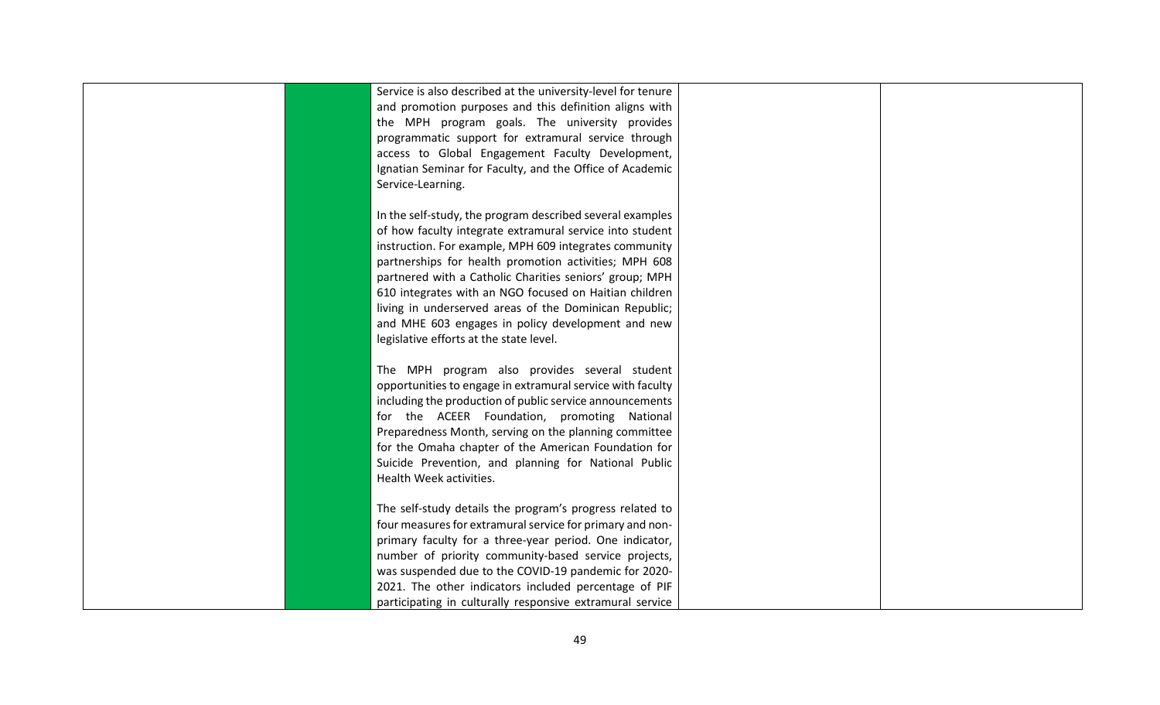| Service is also described at the university-level for tenure |  |
|--------------------------------------------------------------|--|
| and promotion purposes and this definition aligns with       |  |
| the MPH program goals. The university provides               |  |
| programmatic support for extramural service through          |  |
| access to Global Engagement Faculty Development,             |  |
| Ignatian Seminar for Faculty, and the Office of Academic     |  |
| Service-Learning.                                            |  |
|                                                              |  |
| In the self-study, the program described several examples    |  |
| of how faculty integrate extramural service into student     |  |
| instruction. For example, MPH 609 integrates community       |  |
| partnerships for health promotion activities; MPH 608        |  |
| partnered with a Catholic Charities seniors' group; MPH      |  |
| 610 integrates with an NGO focused on Haitian children       |  |
| living in underserved areas of the Dominican Republic;       |  |
| and MHE 603 engages in policy development and new            |  |
| legislative efforts at the state level.                      |  |
|                                                              |  |
| The MPH program also provides several student                |  |
| opportunities to engage in extramural service with faculty   |  |
| including the production of public service announcements     |  |
| for the ACEER Foundation, promoting National                 |  |
| Preparedness Month, serving on the planning committee        |  |
| for the Omaha chapter of the American Foundation for         |  |
| Suicide Prevention, and planning for National Public         |  |
| Health Week activities.                                      |  |
|                                                              |  |
| The self-study details the program's progress related to     |  |
| four measures for extramural service for primary and non-    |  |
| primary faculty for a three-year period. One indicator,      |  |
| number of priority community-based service projects,         |  |
| was suspended due to the COVID-19 pandemic for 2020-         |  |
| 2021. The other indicators included percentage of PIF        |  |
|                                                              |  |
| participating in culturally responsive extramural service    |  |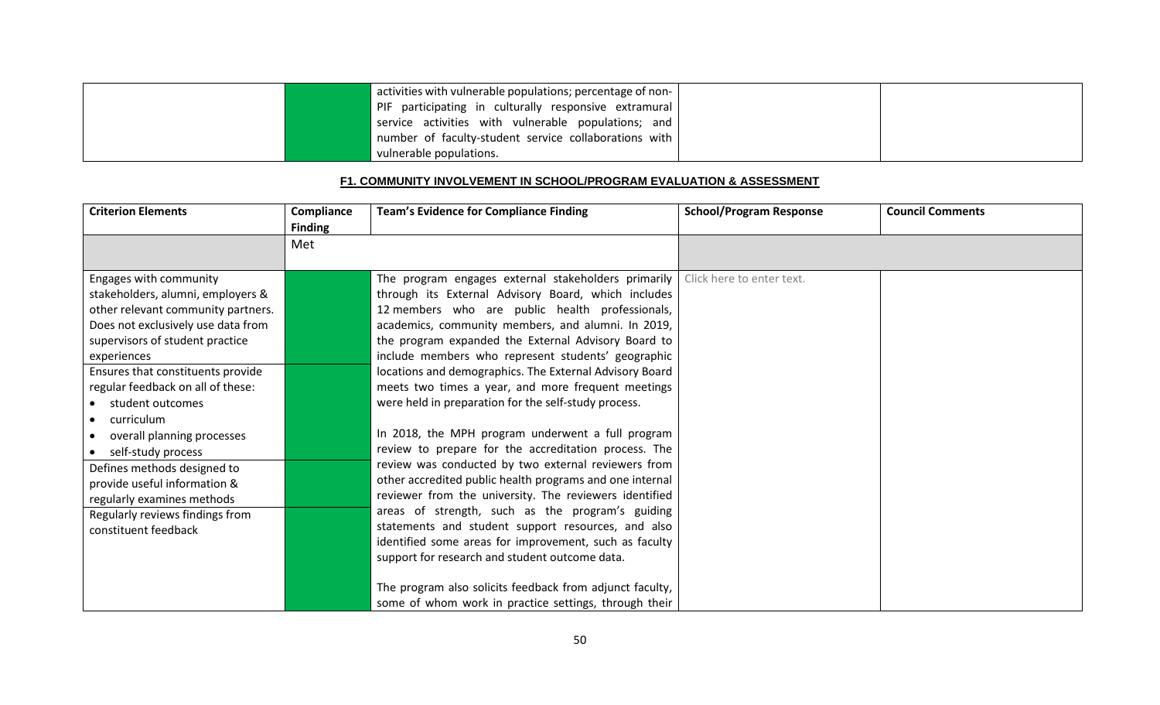|  | activities with vulnerable populations; percentage of non- |  |
|--|------------------------------------------------------------|--|
|  | PIF participating in culturally responsive extramural      |  |
|  | service activities with vulnerable populations; and        |  |
|  | number of faculty-student service collaborations with      |  |
|  | vulnerable populations.                                    |  |

### **F1. COMMUNITY INVOLVEMENT IN SCHOOL/PROGRAM EVALUATION & ASSESSMENT**

| <b>Criterion Elements</b>                                                                                                                                                                                                                                                                                                                                                                                                                                                                                         | Compliance<br><b>Finding</b> | <b>Team's Evidence for Compliance Finding</b>                                                                                                                                                                                                                                                                                                                                                                                                                                                                                                                                                                                                                                                                                                                                                                                                                                                                                                                                                                             | <b>School/Program Response</b> | <b>Council Comments</b> |
|-------------------------------------------------------------------------------------------------------------------------------------------------------------------------------------------------------------------------------------------------------------------------------------------------------------------------------------------------------------------------------------------------------------------------------------------------------------------------------------------------------------------|------------------------------|---------------------------------------------------------------------------------------------------------------------------------------------------------------------------------------------------------------------------------------------------------------------------------------------------------------------------------------------------------------------------------------------------------------------------------------------------------------------------------------------------------------------------------------------------------------------------------------------------------------------------------------------------------------------------------------------------------------------------------------------------------------------------------------------------------------------------------------------------------------------------------------------------------------------------------------------------------------------------------------------------------------------------|--------------------------------|-------------------------|
|                                                                                                                                                                                                                                                                                                                                                                                                                                                                                                                   | Met                          |                                                                                                                                                                                                                                                                                                                                                                                                                                                                                                                                                                                                                                                                                                                                                                                                                                                                                                                                                                                                                           |                                |                         |
| Engages with community<br>stakeholders, alumni, employers &<br>other relevant community partners.<br>Does not exclusively use data from<br>supervisors of student practice<br>experiences<br>Ensures that constituents provide<br>regular feedback on all of these:<br>student outcomes<br>curriculum<br>overall planning processes<br>self-study process<br>Defines methods designed to<br>provide useful information &<br>regularly examines methods<br>Regularly reviews findings from<br>constituent feedback |                              | The program engages external stakeholders primarily<br>through its External Advisory Board, which includes<br>12 members who are public health professionals,<br>academics, community members, and alumni. In 2019,<br>the program expanded the External Advisory Board to<br>include members who represent students' geographic<br>locations and demographics. The External Advisory Board<br>meets two times a year, and more frequent meetings<br>were held in preparation for the self-study process.<br>In 2018, the MPH program underwent a full program<br>review to prepare for the accreditation process. The<br>review was conducted by two external reviewers from<br>other accredited public health programs and one internal<br>reviewer from the university. The reviewers identified<br>areas of strength, such as the program's guiding<br>statements and student support resources, and also<br>identified some areas for improvement, such as faculty<br>support for research and student outcome data. | Click here to enter text.      |                         |
|                                                                                                                                                                                                                                                                                                                                                                                                                                                                                                                   |                              | The program also solicits feedback from adjunct faculty,<br>some of whom work in practice settings, through their                                                                                                                                                                                                                                                                                                                                                                                                                                                                                                                                                                                                                                                                                                                                                                                                                                                                                                         |                                |                         |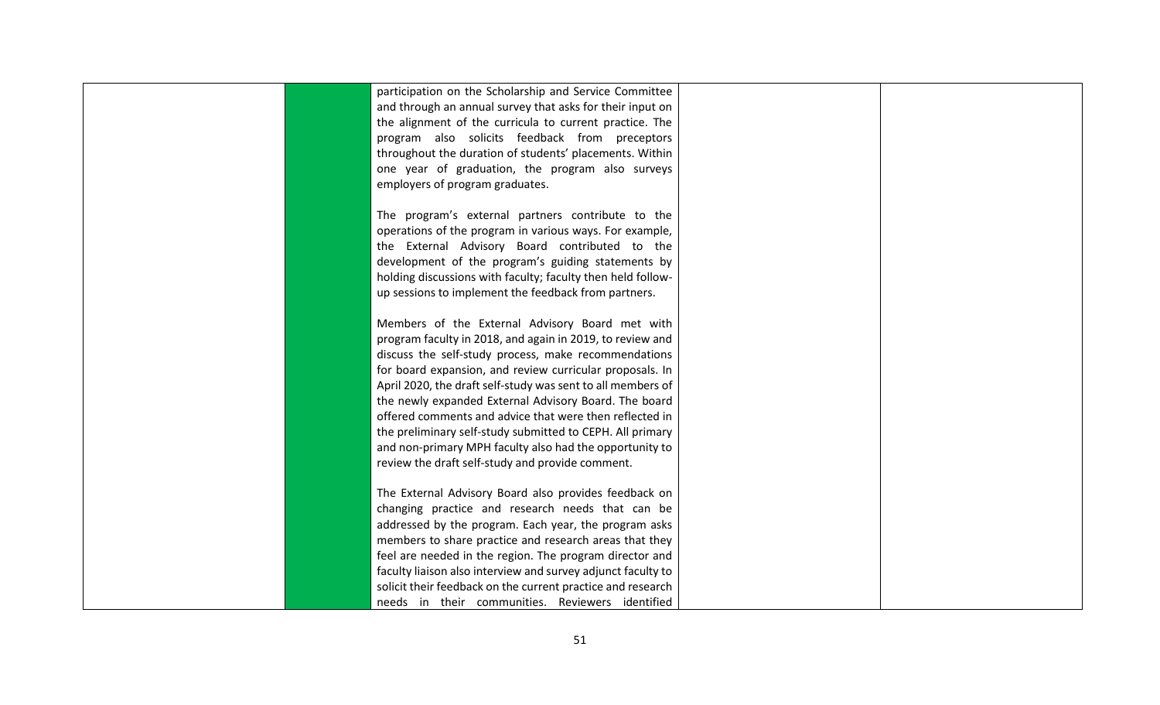| participation on the Scholarship and Service Committee       |  |
|--------------------------------------------------------------|--|
| and through an annual survey that asks for their input on    |  |
| the alignment of the curricula to current practice. The      |  |
| program also solicits feedback from preceptors               |  |
| throughout the duration of students' placements. Within      |  |
| one year of graduation, the program also surveys             |  |
| employers of program graduates.                              |  |
|                                                              |  |
| The program's external partners contribute to the            |  |
| operations of the program in various ways. For example,      |  |
| the External Advisory Board contributed to the               |  |
| development of the program's guiding statements by           |  |
| holding discussions with faculty; faculty then held follow-  |  |
| up sessions to implement the feedback from partners.         |  |
|                                                              |  |
| Members of the External Advisory Board met with              |  |
| program faculty in 2018, and again in 2019, to review and    |  |
| discuss the self-study process, make recommendations         |  |
| for board expansion, and review curricular proposals. In     |  |
| April 2020, the draft self-study was sent to all members of  |  |
| the newly expanded External Advisory Board. The board        |  |
| offered comments and advice that were then reflected in      |  |
| the preliminary self-study submitted to CEPH. All primary    |  |
| and non-primary MPH faculty also had the opportunity to      |  |
| review the draft self-study and provide comment.             |  |
|                                                              |  |
| The External Advisory Board also provides feedback on        |  |
| changing practice and research needs that can be             |  |
| addressed by the program. Each year, the program asks        |  |
| members to share practice and research areas that they       |  |
| feel are needed in the region. The program director and      |  |
| faculty liaison also interview and survey adjunct faculty to |  |
| solicit their feedback on the current practice and research  |  |
| needs in their communities. Reviewers identified             |  |
|                                                              |  |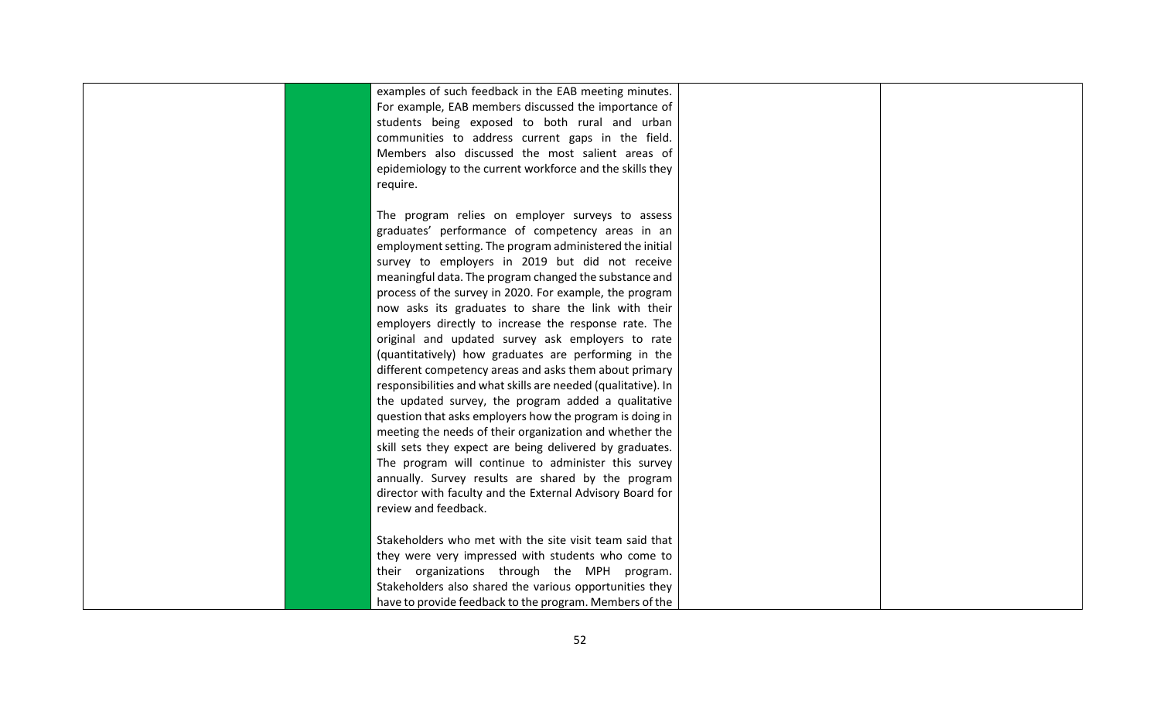| examples of such feedback in the EAB meeting minutes.         |  |
|---------------------------------------------------------------|--|
| For example, EAB members discussed the importance of          |  |
| students being exposed to both rural and urban                |  |
| communities to address current gaps in the field.             |  |
| Members also discussed the most salient areas of              |  |
| epidemiology to the current workforce and the skills they     |  |
| require.                                                      |  |
|                                                               |  |
| The program relies on employer surveys to assess              |  |
| graduates' performance of competency areas in an              |  |
| employment setting. The program administered the initial      |  |
| survey to employers in 2019 but did not receive               |  |
| meaningful data. The program changed the substance and        |  |
| process of the survey in 2020. For example, the program       |  |
| now asks its graduates to share the link with their           |  |
| employers directly to increase the response rate. The         |  |
| original and updated survey ask employers to rate             |  |
| (quantitatively) how graduates are performing in the          |  |
| different competency areas and asks them about primary        |  |
| responsibilities and what skills are needed (qualitative). In |  |
| the updated survey, the program added a qualitative           |  |
| question that asks employers how the program is doing in      |  |
| meeting the needs of their organization and whether the       |  |
| skill sets they expect are being delivered by graduates.      |  |
| The program will continue to administer this survey           |  |
| annually. Survey results are shared by the program            |  |
| director with faculty and the External Advisory Board for     |  |
| review and feedback.                                          |  |
|                                                               |  |
| Stakeholders who met with the site visit team said that       |  |
| they were very impressed with students who come to            |  |
| their organizations through the MPH program.                  |  |
| Stakeholders also shared the various opportunities they       |  |
| have to provide feedback to the program. Members of the       |  |
|                                                               |  |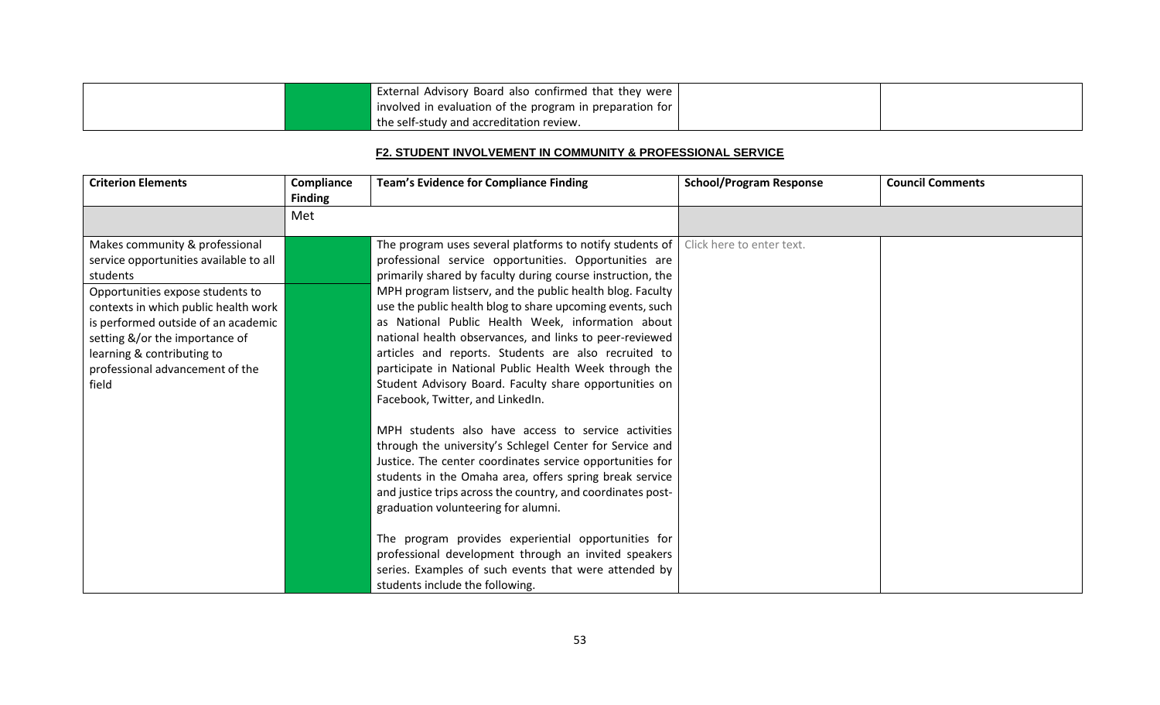|  | External Advisory Board also confirmed that they were    |  |
|--|----------------------------------------------------------|--|
|  | involved in evaluation of the program in preparation for |  |
|  | I the self-study and accreditation review.               |  |

### **F2. STUDENT INVOLVEMENT IN COMMUNITY & PROFESSIONAL SERVICE**

| <b>Criterion Elements</b>                                                                                                                                                                                                                                                                                           | Compliance<br><b>Finding</b> | <b>Team's Evidence for Compliance Finding</b>                                                                                                                                                                                                                                                                                                                                                                                                                                                                                                                                                                                             | <b>School/Program Response</b> | <b>Council Comments</b> |
|---------------------------------------------------------------------------------------------------------------------------------------------------------------------------------------------------------------------------------------------------------------------------------------------------------------------|------------------------------|-------------------------------------------------------------------------------------------------------------------------------------------------------------------------------------------------------------------------------------------------------------------------------------------------------------------------------------------------------------------------------------------------------------------------------------------------------------------------------------------------------------------------------------------------------------------------------------------------------------------------------------------|--------------------------------|-------------------------|
|                                                                                                                                                                                                                                                                                                                     | Met                          |                                                                                                                                                                                                                                                                                                                                                                                                                                                                                                                                                                                                                                           |                                |                         |
| Makes community & professional<br>service opportunities available to all<br>students<br>Opportunities expose students to<br>contexts in which public health work<br>is performed outside of an academic<br>setting &/or the importance of<br>learning & contributing to<br>professional advancement of the<br>field |                              | The program uses several platforms to notify students of<br>professional service opportunities. Opportunities are<br>primarily shared by faculty during course instruction, the<br>MPH program listserv, and the public health blog. Faculty<br>use the public health blog to share upcoming events, such<br>as National Public Health Week, information about<br>national health observances, and links to peer-reviewed<br>articles and reports. Students are also recruited to<br>participate in National Public Health Week through the<br>Student Advisory Board. Faculty share opportunities on<br>Facebook, Twitter, and LinkedIn. | Click here to enter text.      |                         |
|                                                                                                                                                                                                                                                                                                                     |                              | MPH students also have access to service activities<br>through the university's Schlegel Center for Service and<br>Justice. The center coordinates service opportunities for<br>students in the Omaha area, offers spring break service<br>and justice trips across the country, and coordinates post-<br>graduation volunteering for alumni.<br>The program provides experiential opportunities for<br>professional development through an invited speakers<br>series. Examples of such events that were attended by<br>students include the following.                                                                                  |                                |                         |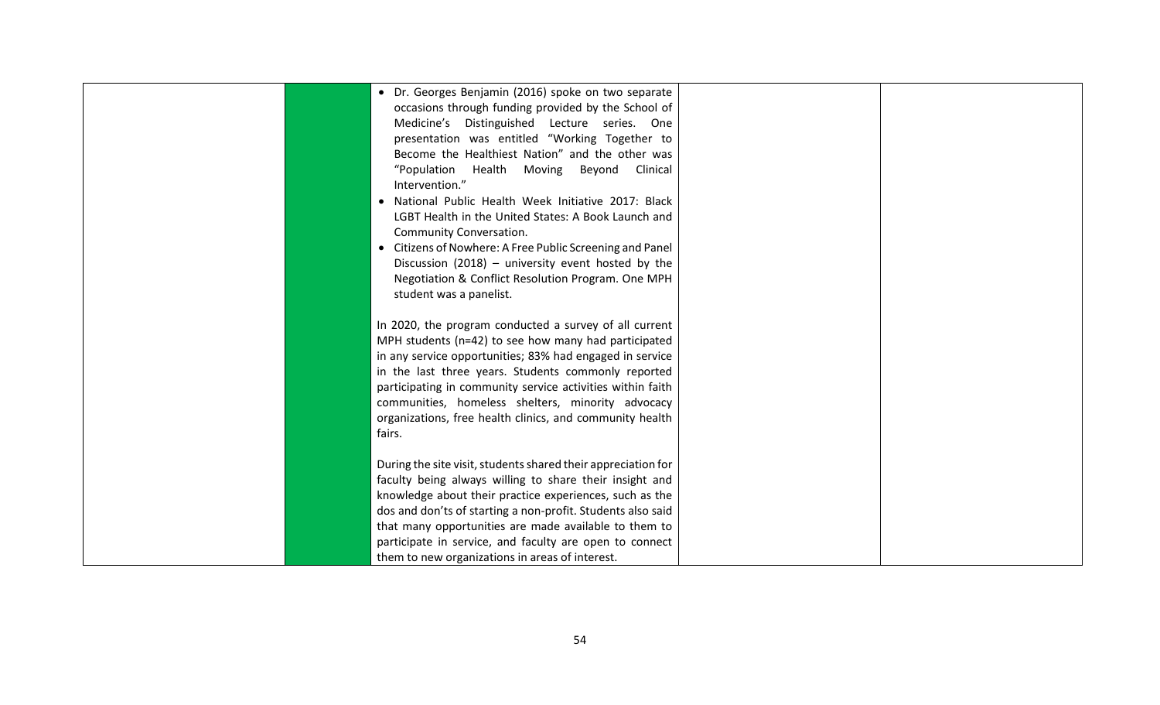| • Dr. Georges Benjamin (2016) spoke on two separate           |                                                                                                                                                                                                                                                                                                                                                                                                                                                                                                                                                                                                                                                                                                                                                                                                                               |                                                        |
|---------------------------------------------------------------|-------------------------------------------------------------------------------------------------------------------------------------------------------------------------------------------------------------------------------------------------------------------------------------------------------------------------------------------------------------------------------------------------------------------------------------------------------------------------------------------------------------------------------------------------------------------------------------------------------------------------------------------------------------------------------------------------------------------------------------------------------------------------------------------------------------------------------|--------------------------------------------------------|
|                                                               |                                                                                                                                                                                                                                                                                                                                                                                                                                                                                                                                                                                                                                                                                                                                                                                                                               |                                                        |
|                                                               |                                                                                                                                                                                                                                                                                                                                                                                                                                                                                                                                                                                                                                                                                                                                                                                                                               |                                                        |
|                                                               |                                                                                                                                                                                                                                                                                                                                                                                                                                                                                                                                                                                                                                                                                                                                                                                                                               |                                                        |
|                                                               |                                                                                                                                                                                                                                                                                                                                                                                                                                                                                                                                                                                                                                                                                                                                                                                                                               |                                                        |
|                                                               |                                                                                                                                                                                                                                                                                                                                                                                                                                                                                                                                                                                                                                                                                                                                                                                                                               |                                                        |
|                                                               |                                                                                                                                                                                                                                                                                                                                                                                                                                                                                                                                                                                                                                                                                                                                                                                                                               |                                                        |
| • National Public Health Week Initiative 2017: Black          |                                                                                                                                                                                                                                                                                                                                                                                                                                                                                                                                                                                                                                                                                                                                                                                                                               |                                                        |
| LGBT Health in the United States: A Book Launch and           |                                                                                                                                                                                                                                                                                                                                                                                                                                                                                                                                                                                                                                                                                                                                                                                                                               |                                                        |
| Community Conversation.                                       |                                                                                                                                                                                                                                                                                                                                                                                                                                                                                                                                                                                                                                                                                                                                                                                                                               |                                                        |
| • Citizens of Nowhere: A Free Public Screening and Panel      |                                                                                                                                                                                                                                                                                                                                                                                                                                                                                                                                                                                                                                                                                                                                                                                                                               |                                                        |
| Discussion (2018) - university event hosted by the            |                                                                                                                                                                                                                                                                                                                                                                                                                                                                                                                                                                                                                                                                                                                                                                                                                               |                                                        |
| Negotiation & Conflict Resolution Program. One MPH            |                                                                                                                                                                                                                                                                                                                                                                                                                                                                                                                                                                                                                                                                                                                                                                                                                               |                                                        |
| student was a panelist.                                       |                                                                                                                                                                                                                                                                                                                                                                                                                                                                                                                                                                                                                                                                                                                                                                                                                               |                                                        |
|                                                               |                                                                                                                                                                                                                                                                                                                                                                                                                                                                                                                                                                                                                                                                                                                                                                                                                               |                                                        |
|                                                               |                                                                                                                                                                                                                                                                                                                                                                                                                                                                                                                                                                                                                                                                                                                                                                                                                               |                                                        |
|                                                               |                                                                                                                                                                                                                                                                                                                                                                                                                                                                                                                                                                                                                                                                                                                                                                                                                               |                                                        |
|                                                               |                                                                                                                                                                                                                                                                                                                                                                                                                                                                                                                                                                                                                                                                                                                                                                                                                               |                                                        |
|                                                               |                                                                                                                                                                                                                                                                                                                                                                                                                                                                                                                                                                                                                                                                                                                                                                                                                               |                                                        |
|                                                               |                                                                                                                                                                                                                                                                                                                                                                                                                                                                                                                                                                                                                                                                                                                                                                                                                               |                                                        |
|                                                               |                                                                                                                                                                                                                                                                                                                                                                                                                                                                                                                                                                                                                                                                                                                                                                                                                               |                                                        |
|                                                               |                                                                                                                                                                                                                                                                                                                                                                                                                                                                                                                                                                                                                                                                                                                                                                                                                               |                                                        |
|                                                               |                                                                                                                                                                                                                                                                                                                                                                                                                                                                                                                                                                                                                                                                                                                                                                                                                               |                                                        |
|                                                               |                                                                                                                                                                                                                                                                                                                                                                                                                                                                                                                                                                                                                                                                                                                                                                                                                               |                                                        |
| During the site visit, students shared their appreciation for |                                                                                                                                                                                                                                                                                                                                                                                                                                                                                                                                                                                                                                                                                                                                                                                                                               |                                                        |
| faculty being always willing to share their insight and       |                                                                                                                                                                                                                                                                                                                                                                                                                                                                                                                                                                                                                                                                                                                                                                                                                               |                                                        |
|                                                               |                                                                                                                                                                                                                                                                                                                                                                                                                                                                                                                                                                                                                                                                                                                                                                                                                               |                                                        |
| dos and don'ts of starting a non-profit. Students also said   |                                                                                                                                                                                                                                                                                                                                                                                                                                                                                                                                                                                                                                                                                                                                                                                                                               |                                                        |
|                                                               |                                                                                                                                                                                                                                                                                                                                                                                                                                                                                                                                                                                                                                                                                                                                                                                                                               |                                                        |
|                                                               |                                                                                                                                                                                                                                                                                                                                                                                                                                                                                                                                                                                                                                                                                                                                                                                                                               |                                                        |
| them to new organizations in areas of interest.               |                                                                                                                                                                                                                                                                                                                                                                                                                                                                                                                                                                                                                                                                                                                                                                                                                               |                                                        |
|                                                               | occasions through funding provided by the School of<br>Medicine's Distinguished Lecture series. One<br>presentation was entitled "Working Together to<br>Become the Healthiest Nation" and the other was<br>"Population Health Moving Beyond<br>Clinical<br>Intervention."<br>MPH students (n=42) to see how many had participated<br>in any service opportunities; 83% had engaged in service<br>in the last three years. Students commonly reported<br>participating in community service activities within faith<br>communities, homeless shelters, minority advocacy<br>organizations, free health clinics, and community health<br>fairs.<br>knowledge about their practice experiences, such as the<br>that many opportunities are made available to them to<br>participate in service, and faculty are open to connect | In 2020, the program conducted a survey of all current |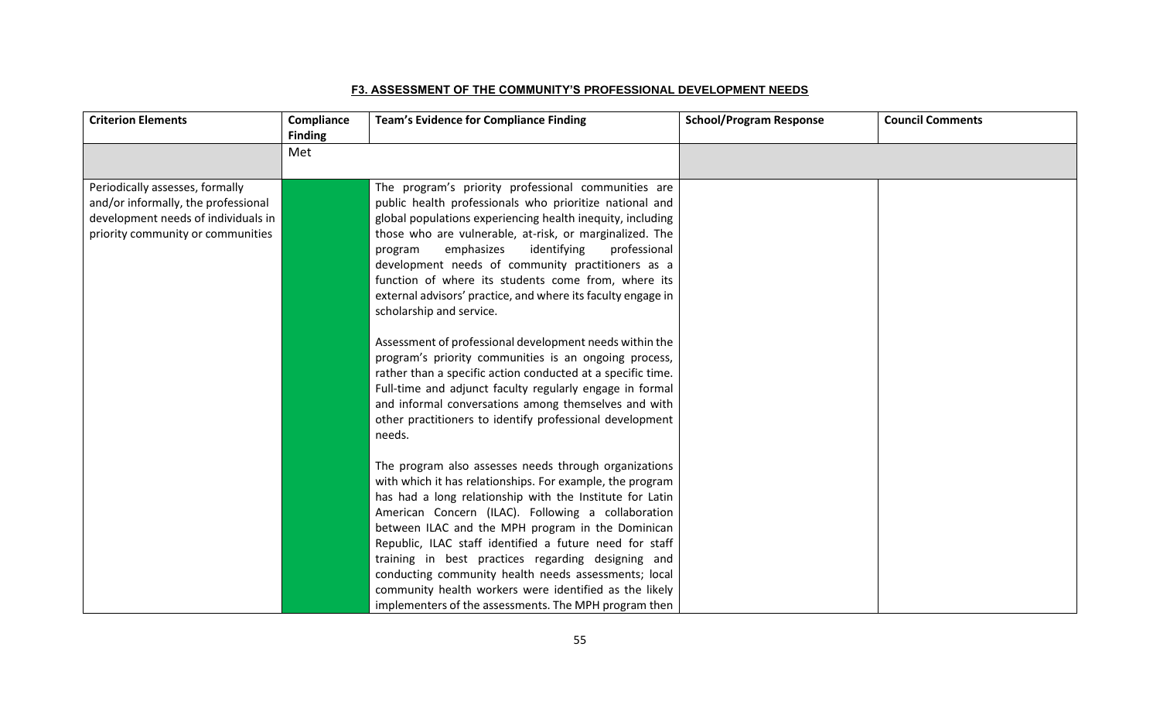#### **F3. ASSESSMENT OF THE COMMUNITY'S PROFESSIONAL DEVELOPMENT NEEDS**

| <b>Criterion Elements</b>           | Compliance<br><b>Finding</b> | <b>Team's Evidence for Compliance Finding</b>                | <b>School/Program Response</b> | <b>Council Comments</b> |
|-------------------------------------|------------------------------|--------------------------------------------------------------|--------------------------------|-------------------------|
|                                     | Met                          |                                                              |                                |                         |
|                                     |                              |                                                              |                                |                         |
| Periodically assesses, formally     |                              | The program's priority professional communities are          |                                |                         |
| and/or informally, the professional |                              | public health professionals who prioritize national and      |                                |                         |
| development needs of individuals in |                              | global populations experiencing health inequity, including   |                                |                         |
| priority community or communities   |                              | those who are vulnerable, at-risk, or marginalized. The      |                                |                         |
|                                     |                              | emphasizes<br>identifying<br>professional<br>program         |                                |                         |
|                                     |                              | development needs of community practitioners as a            |                                |                         |
|                                     |                              | function of where its students come from, where its          |                                |                         |
|                                     |                              | external advisors' practice, and where its faculty engage in |                                |                         |
|                                     |                              | scholarship and service.                                     |                                |                         |
|                                     |                              | Assessment of professional development needs within the      |                                |                         |
|                                     |                              | program's priority communities is an ongoing process,        |                                |                         |
|                                     |                              | rather than a specific action conducted at a specific time.  |                                |                         |
|                                     |                              | Full-time and adjunct faculty regularly engage in formal     |                                |                         |
|                                     |                              | and informal conversations among themselves and with         |                                |                         |
|                                     |                              | other practitioners to identify professional development     |                                |                         |
|                                     |                              | needs.                                                       |                                |                         |
|                                     |                              | The program also assesses needs through organizations        |                                |                         |
|                                     |                              | with which it has relationships. For example, the program    |                                |                         |
|                                     |                              | has had a long relationship with the Institute for Latin     |                                |                         |
|                                     |                              | American Concern (ILAC). Following a collaboration           |                                |                         |
|                                     |                              | between ILAC and the MPH program in the Dominican            |                                |                         |
|                                     |                              | Republic, ILAC staff identified a future need for staff      |                                |                         |
|                                     |                              | training in best practices regarding designing and           |                                |                         |
|                                     |                              | conducting community health needs assessments; local         |                                |                         |
|                                     |                              | community health workers were identified as the likely       |                                |                         |
|                                     |                              | implementers of the assessments. The MPH program then        |                                |                         |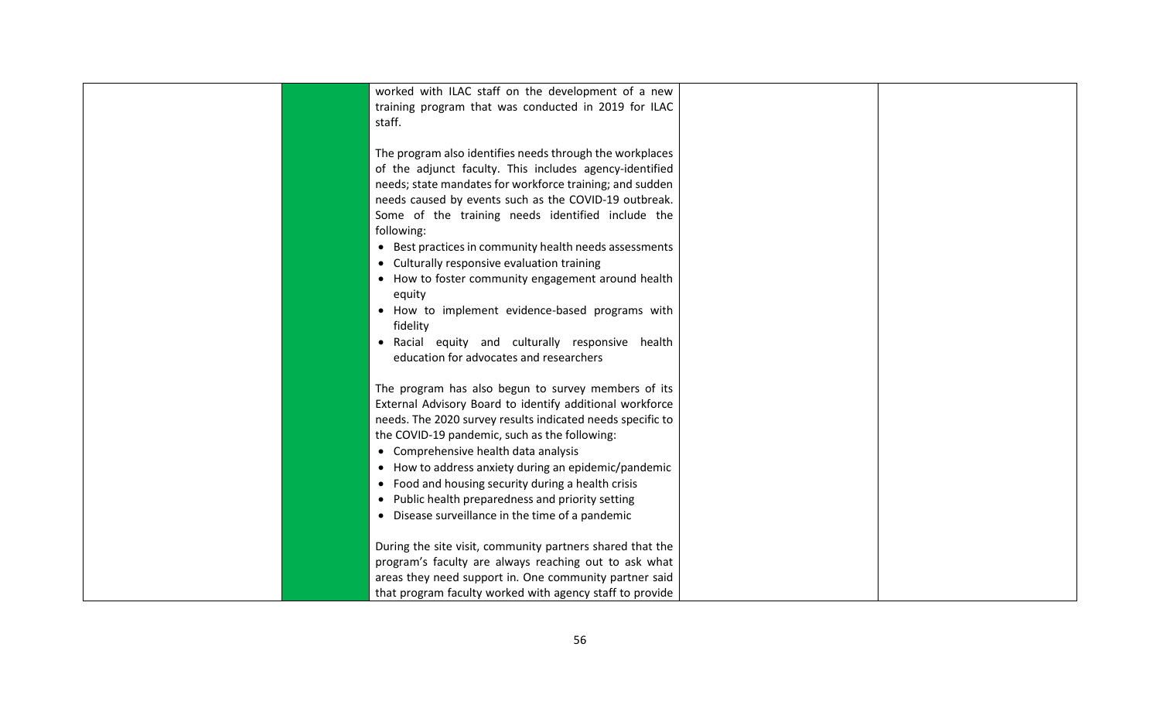| worked with ILAC staff on the development of a new<br>training program that was conducted in 2019 for ILAC<br>staff. |  |
|----------------------------------------------------------------------------------------------------------------------|--|
|                                                                                                                      |  |
| The program also identifies needs through the workplaces                                                             |  |
| of the adjunct faculty. This includes agency-identified                                                              |  |
| needs; state mandates for workforce training; and sudden                                                             |  |
| needs caused by events such as the COVID-19 outbreak.                                                                |  |
| Some of the training needs identified include the                                                                    |  |
| following:                                                                                                           |  |
| • Best practices in community health needs assessments                                                               |  |
| • Culturally responsive evaluation training                                                                          |  |
| • How to foster community engagement around health                                                                   |  |
| equity                                                                                                               |  |
| • How to implement evidence-based programs with                                                                      |  |
| fidelity                                                                                                             |  |
| • Racial equity and culturally responsive health                                                                     |  |
| education for advocates and researchers                                                                              |  |
|                                                                                                                      |  |
| The program has also begun to survey members of its                                                                  |  |
| External Advisory Board to identify additional workforce                                                             |  |
| needs. The 2020 survey results indicated needs specific to                                                           |  |
| the COVID-19 pandemic, such as the following:                                                                        |  |
| • Comprehensive health data analysis                                                                                 |  |
| • How to address anxiety during an epidemic/pandemic                                                                 |  |
| • Food and housing security during a health crisis                                                                   |  |
| • Public health preparedness and priority setting                                                                    |  |
| • Disease surveillance in the time of a pandemic                                                                     |  |
|                                                                                                                      |  |
| During the site visit, community partners shared that the                                                            |  |
| program's faculty are always reaching out to ask what                                                                |  |
| areas they need support in. One community partner said                                                               |  |
| that program faculty worked with agency staff to provide                                                             |  |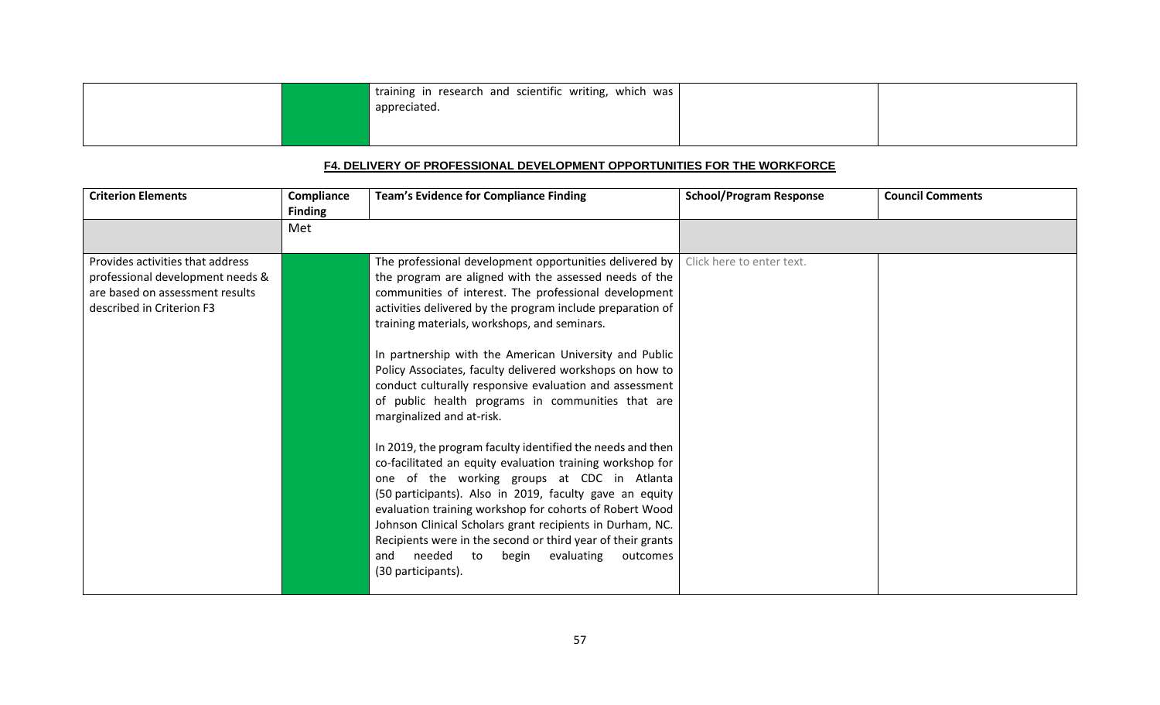|  | training in research and scientific writing, which was |  |
|--|--------------------------------------------------------|--|
|  | appreciated.                                           |  |
|  |                                                        |  |

### **F4. DELIVERY OF PROFESSIONAL DEVELOPMENT OPPORTUNITIES FOR THE WORKFORCE**

| <b>Criterion Elements</b>                                                                                                            | Compliance<br><b>Finding</b> | <b>Team's Evidence for Compliance Finding</b>                                                                                                                                                                                                                                                                                                                                                                                                                                                            | <b>School/Program Response</b> | <b>Council Comments</b> |
|--------------------------------------------------------------------------------------------------------------------------------------|------------------------------|----------------------------------------------------------------------------------------------------------------------------------------------------------------------------------------------------------------------------------------------------------------------------------------------------------------------------------------------------------------------------------------------------------------------------------------------------------------------------------------------------------|--------------------------------|-------------------------|
|                                                                                                                                      | Met                          |                                                                                                                                                                                                                                                                                                                                                                                                                                                                                                          |                                |                         |
| Provides activities that address<br>professional development needs &<br>are based on assessment results<br>described in Criterion F3 |                              | The professional development opportunities delivered by<br>the program are aligned with the assessed needs of the<br>communities of interest. The professional development<br>activities delivered by the program include preparation of<br>training materials, workshops, and seminars.                                                                                                                                                                                                                 | Click here to enter text.      |                         |
|                                                                                                                                      |                              | In partnership with the American University and Public<br>Policy Associates, faculty delivered workshops on how to<br>conduct culturally responsive evaluation and assessment<br>of public health programs in communities that are<br>marginalized and at-risk.                                                                                                                                                                                                                                          |                                |                         |
|                                                                                                                                      |                              | In 2019, the program faculty identified the needs and then<br>co-facilitated an equity evaluation training workshop for<br>one of the working groups at CDC in Atlanta<br>(50 participants). Also in 2019, faculty gave an equity<br>evaluation training workshop for cohorts of Robert Wood<br>Johnson Clinical Scholars grant recipients in Durham, NC.<br>Recipients were in the second or third year of their grants<br>needed<br>to<br>begin<br>evaluating<br>and<br>outcomes<br>(30 participants). |                                |                         |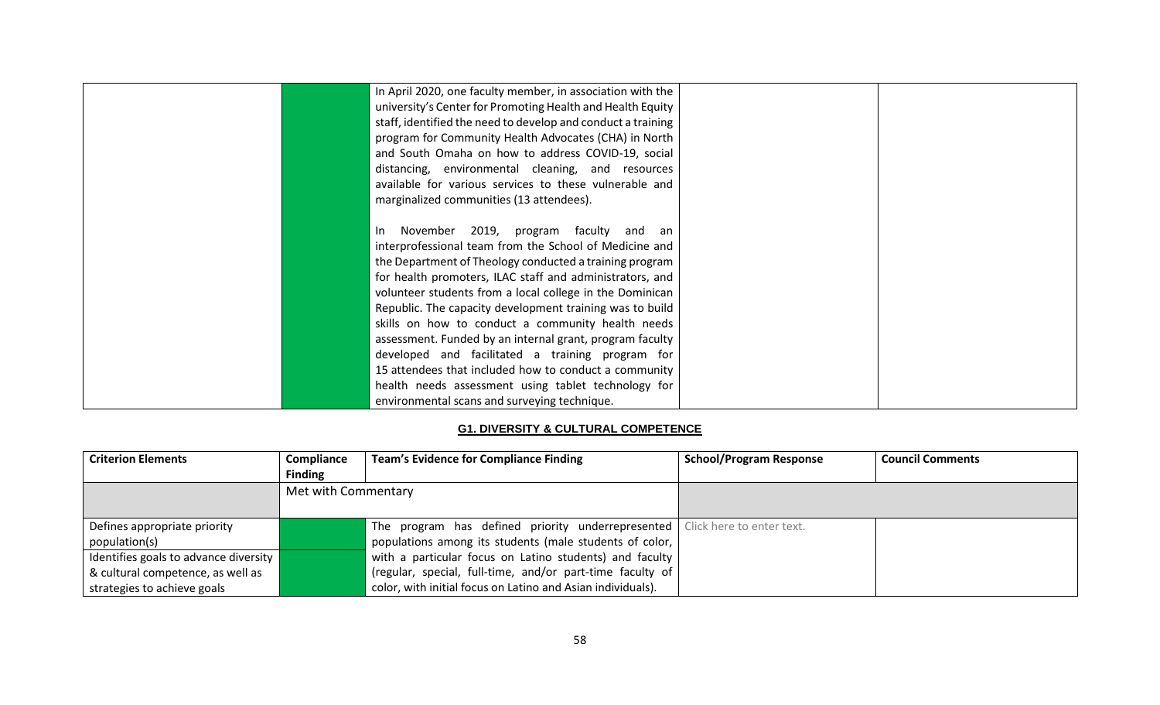| In April 2020, one faculty member, in association with the   |  |
|--------------------------------------------------------------|--|
| university's Center for Promoting Health and Health Equity   |  |
| staff, identified the need to develop and conduct a training |  |
| program for Community Health Advocates (CHA) in North        |  |
| and South Omaha on how to address COVID-19, social           |  |
| distancing, environmental cleaning, and resources            |  |
| available for various services to these vulnerable and       |  |
| marginalized communities (13 attendees).                     |  |
|                                                              |  |
| November 2019, program faculty and an<br>-In                 |  |
| interprofessional team from the School of Medicine and       |  |
| the Department of Theology conducted a training program      |  |
| for health promoters, ILAC staff and administrators, and     |  |
| volunteer students from a local college in the Dominican     |  |
| Republic. The capacity development training was to build     |  |
| skills on how to conduct a community health needs            |  |
| assessment. Funded by an internal grant, program faculty     |  |
| developed and facilitated a training program for             |  |
| 15 attendees that included how to conduct a community        |  |
| health needs assessment using tablet technology for          |  |
| environmental scans and surveying technique.                 |  |

### **G1. DIVERSITY & CULTURAL COMPETENCE**

| <b>Criterion Elements</b>             | Compliance          | <b>Team's Evidence for Compliance Finding</b>                                 | <b>School/Program Response</b> | <b>Council Comments</b> |
|---------------------------------------|---------------------|-------------------------------------------------------------------------------|--------------------------------|-------------------------|
|                                       | <b>Finding</b>      |                                                                               |                                |                         |
|                                       | Met with Commentary |                                                                               |                                |                         |
|                                       |                     |                                                                               |                                |                         |
| Defines appropriate priority          |                     | The program has defined priority underrepresented   Click here to enter text. |                                |                         |
| population(s)                         |                     | populations among its students (male students of color,                       |                                |                         |
| Identifies goals to advance diversity |                     | with a particular focus on Latino students) and faculty                       |                                |                         |
| & cultural competence, as well as     |                     | (regular, special, full-time, and/or part-time faculty of                     |                                |                         |
| strategies to achieve goals           |                     | color, with initial focus on Latino and Asian individuals).                   |                                |                         |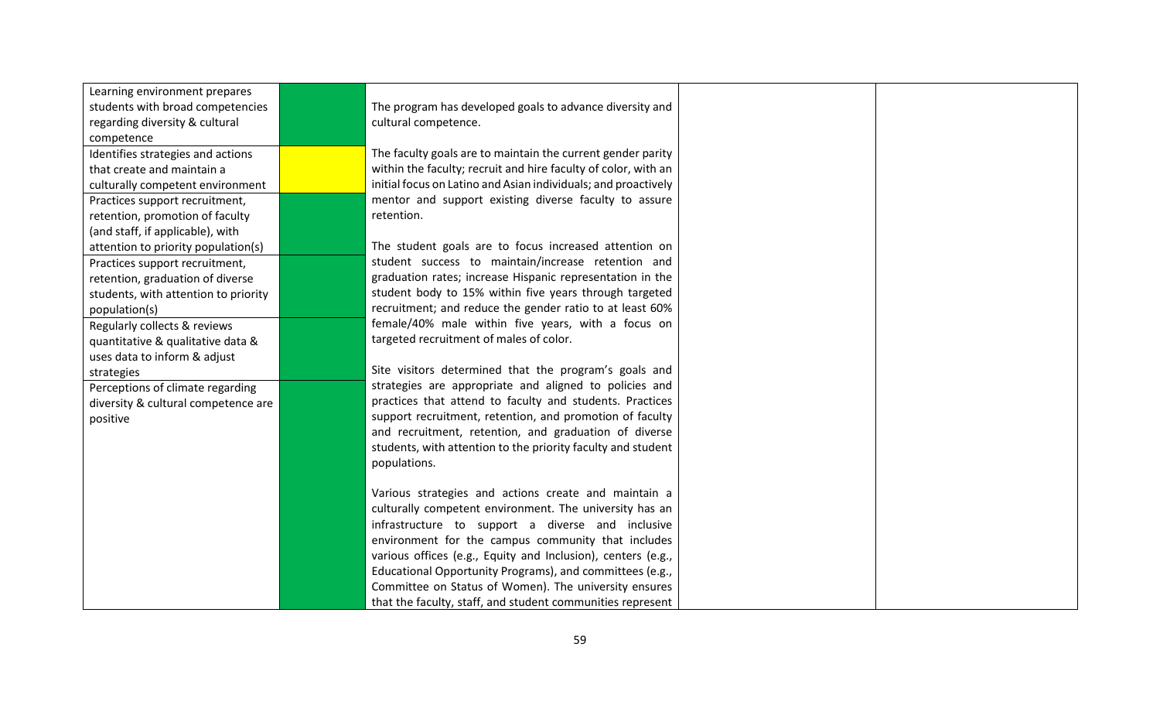| Learning environment prepares        |                                                                |  |
|--------------------------------------|----------------------------------------------------------------|--|
| students with broad competencies     | The program has developed goals to advance diversity and       |  |
| regarding diversity & cultural       | cultural competence.                                           |  |
| competence                           |                                                                |  |
| Identifies strategies and actions    | The faculty goals are to maintain the current gender parity    |  |
| that create and maintain a           | within the faculty; recruit and hire faculty of color, with an |  |
| culturally competent environment     | initial focus on Latino and Asian individuals; and proactively |  |
| Practices support recruitment,       | mentor and support existing diverse faculty to assure          |  |
| retention, promotion of faculty      | retention.                                                     |  |
| (and staff, if applicable), with     |                                                                |  |
| attention to priority population(s)  | The student goals are to focus increased attention on          |  |
| Practices support recruitment,       | student success to maintain/increase retention and             |  |
| retention, graduation of diverse     | graduation rates; increase Hispanic representation in the      |  |
| students, with attention to priority | student body to 15% within five years through targeted         |  |
| population(s)                        | recruitment; and reduce the gender ratio to at least 60%       |  |
| Regularly collects & reviews         | female/40% male within five years, with a focus on             |  |
| quantitative & qualitative data &    | targeted recruitment of males of color.                        |  |
| uses data to inform & adjust         |                                                                |  |
| strategies                           | Site visitors determined that the program's goals and          |  |
| Perceptions of climate regarding     | strategies are appropriate and aligned to policies and         |  |
| diversity & cultural competence are  | practices that attend to faculty and students. Practices       |  |
| positive                             | support recruitment, retention, and promotion of faculty       |  |
|                                      | and recruitment, retention, and graduation of diverse          |  |
|                                      | students, with attention to the priority faculty and student   |  |
|                                      | populations.                                                   |  |
|                                      |                                                                |  |
|                                      | Various strategies and actions create and maintain a           |  |
|                                      | culturally competent environment. The university has an        |  |
|                                      | infrastructure to support a diverse and inclusive              |  |
|                                      | environment for the campus community that includes             |  |
|                                      | various offices (e.g., Equity and Inclusion), centers (e.g.,   |  |
|                                      | Educational Opportunity Programs), and committees (e.g.,       |  |
|                                      | Committee on Status of Women). The university ensures          |  |
|                                      | that the faculty, staff, and student communities represent     |  |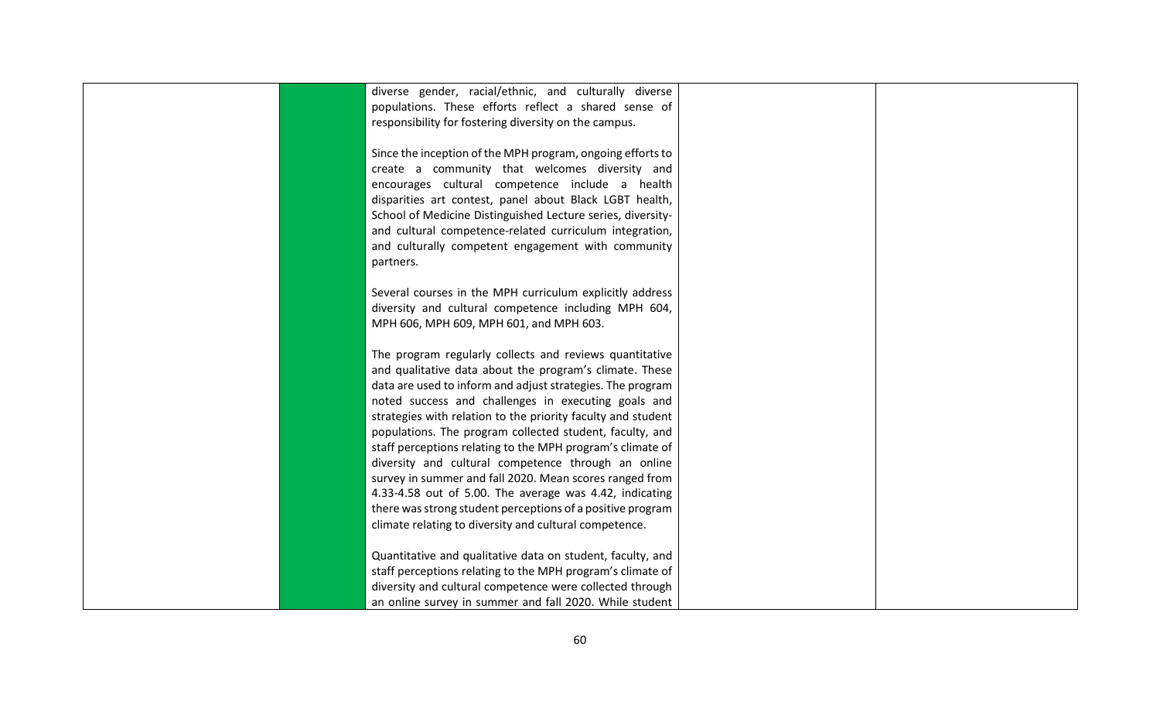| diverse gender, racial/ethnic, and culturally diverse        |  |
|--------------------------------------------------------------|--|
| populations. These efforts reflect a shared sense of         |  |
| responsibility for fostering diversity on the campus.        |  |
|                                                              |  |
| Since the inception of the MPH program, ongoing efforts to   |  |
| create a community that welcomes diversity and               |  |
| encourages cultural competence include a health              |  |
| disparities art contest, panel about Black LGBT health,      |  |
| School of Medicine Distinguished Lecture series, diversity-  |  |
| and cultural competence-related curriculum integration,      |  |
| and culturally competent engagement with community           |  |
| partners.                                                    |  |
|                                                              |  |
| Several courses in the MPH curriculum explicitly address     |  |
| diversity and cultural competence including MPH 604,         |  |
| MPH 606, MPH 609, MPH 601, and MPH 603.                      |  |
|                                                              |  |
| The program regularly collects and reviews quantitative      |  |
| and qualitative data about the program's climate. These      |  |
| data are used to inform and adjust strategies. The program   |  |
| noted success and challenges in executing goals and          |  |
| strategies with relation to the priority faculty and student |  |
| populations. The program collected student, faculty, and     |  |
| staff perceptions relating to the MPH program's climate of   |  |
| diversity and cultural competence through an online          |  |
| survey in summer and fall 2020. Mean scores ranged from      |  |
| 4.33-4.58 out of 5.00. The average was 4.42, indicating      |  |
| there was strong student perceptions of a positive program   |  |
| climate relating to diversity and cultural competence.       |  |
|                                                              |  |
| Quantitative and qualitative data on student, faculty, and   |  |
| staff perceptions relating to the MPH program's climate of   |  |
| diversity and cultural competence were collected through     |  |
| an online survey in summer and fall 2020. While student      |  |
|                                                              |  |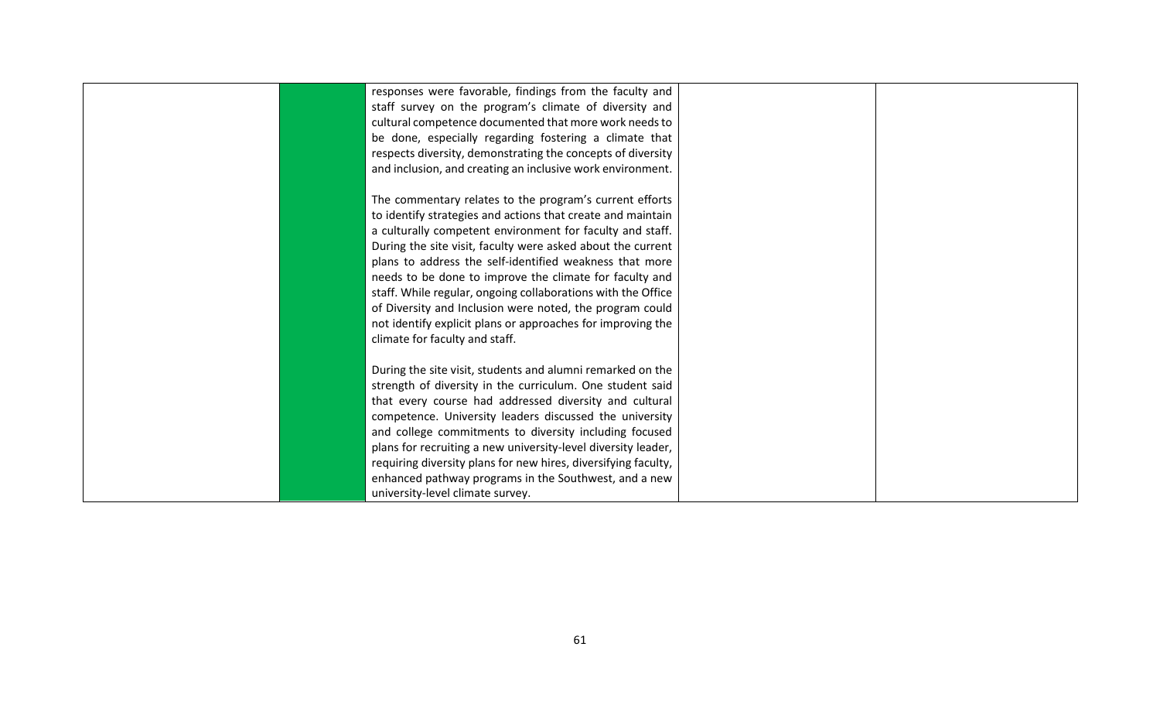| responses were favorable, findings from the faculty and        |  |
|----------------------------------------------------------------|--|
| staff survey on the program's climate of diversity and         |  |
| cultural competence documented that more work needs to         |  |
| be done, especially regarding fostering a climate that         |  |
| respects diversity, demonstrating the concepts of diversity    |  |
| and inclusion, and creating an inclusive work environment.     |  |
|                                                                |  |
| The commentary relates to the program's current efforts        |  |
| to identify strategies and actions that create and maintain    |  |
| a culturally competent environment for faculty and staff.      |  |
| During the site visit, faculty were asked about the current    |  |
| plans to address the self-identified weakness that more        |  |
| needs to be done to improve the climate for faculty and        |  |
| staff. While regular, ongoing collaborations with the Office   |  |
| of Diversity and Inclusion were noted, the program could       |  |
| not identify explicit plans or approaches for improving the    |  |
| climate for faculty and staff.                                 |  |
|                                                                |  |
| During the site visit, students and alumni remarked on the     |  |
| strength of diversity in the curriculum. One student said      |  |
| that every course had addressed diversity and cultural         |  |
| competence. University leaders discussed the university        |  |
| and college commitments to diversity including focused         |  |
| plans for recruiting a new university-level diversity leader,  |  |
| requiring diversity plans for new hires, diversifying faculty, |  |
| enhanced pathway programs in the Southwest, and a new          |  |
| university-level climate survey.                               |  |
|                                                                |  |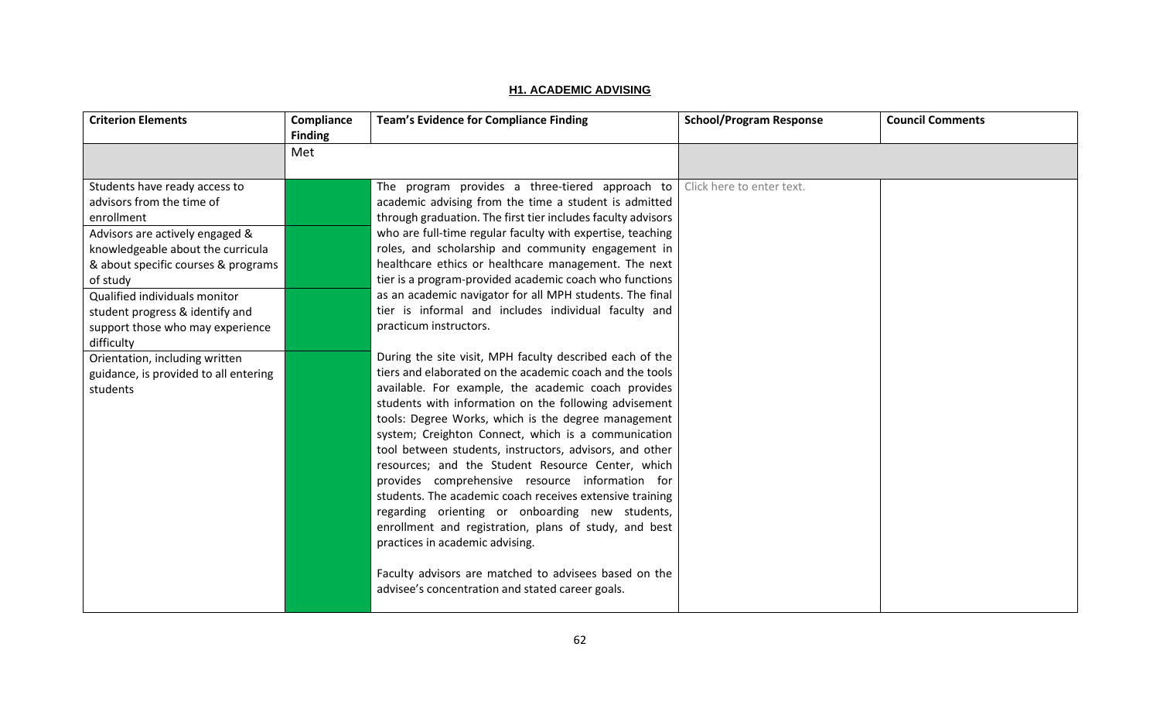|--|

| <b>Criterion Elements</b>             | Compliance<br><b>Finding</b> | <b>Team's Evidence for Compliance Finding</b>                                                             | <b>School/Program Response</b> | <b>Council Comments</b> |
|---------------------------------------|------------------------------|-----------------------------------------------------------------------------------------------------------|--------------------------------|-------------------------|
|                                       | Met                          |                                                                                                           |                                |                         |
|                                       |                              |                                                                                                           |                                |                         |
| Students have ready access to         |                              | The program provides a three-tiered approach to $\vert$ Click here to enter text.                         |                                |                         |
| advisors from the time of             |                              | academic advising from the time a student is admitted                                                     |                                |                         |
| enrollment                            |                              | through graduation. The first tier includes faculty advisors                                              |                                |                         |
| Advisors are actively engaged &       |                              | who are full-time regular faculty with expertise, teaching                                                |                                |                         |
| knowledgeable about the curricula     |                              | roles, and scholarship and community engagement in                                                        |                                |                         |
| & about specific courses & programs   |                              | healthcare ethics or healthcare management. The next                                                      |                                |                         |
| of study                              |                              | tier is a program-provided academic coach who functions                                                   |                                |                         |
| Qualified individuals monitor         |                              | as an academic navigator for all MPH students. The final                                                  |                                |                         |
| student progress & identify and       |                              | tier is informal and includes individual faculty and                                                      |                                |                         |
| support those who may experience      |                              | practicum instructors.                                                                                    |                                |                         |
| difficulty                            |                              |                                                                                                           |                                |                         |
| Orientation, including written        |                              | During the site visit, MPH faculty described each of the                                                  |                                |                         |
| guidance, is provided to all entering |                              | tiers and elaborated on the academic coach and the tools                                                  |                                |                         |
| students                              |                              | available. For example, the academic coach provides                                                       |                                |                         |
|                                       |                              | students with information on the following advisement                                                     |                                |                         |
|                                       |                              | tools: Degree Works, which is the degree management                                                       |                                |                         |
|                                       |                              | system; Creighton Connect, which is a communication                                                       |                                |                         |
|                                       |                              | tool between students, instructors, advisors, and other                                                   |                                |                         |
|                                       |                              | resources; and the Student Resource Center, which                                                         |                                |                         |
|                                       |                              | provides comprehensive resource information for                                                           |                                |                         |
|                                       |                              | students. The academic coach receives extensive training                                                  |                                |                         |
|                                       |                              | regarding orienting or onboarding new students,                                                           |                                |                         |
|                                       |                              | enrollment and registration, plans of study, and best                                                     |                                |                         |
|                                       |                              | practices in academic advising.                                                                           |                                |                         |
|                                       |                              |                                                                                                           |                                |                         |
|                                       |                              | Faculty advisors are matched to advisees based on the<br>advisee's concentration and stated career goals. |                                |                         |
|                                       |                              |                                                                                                           |                                |                         |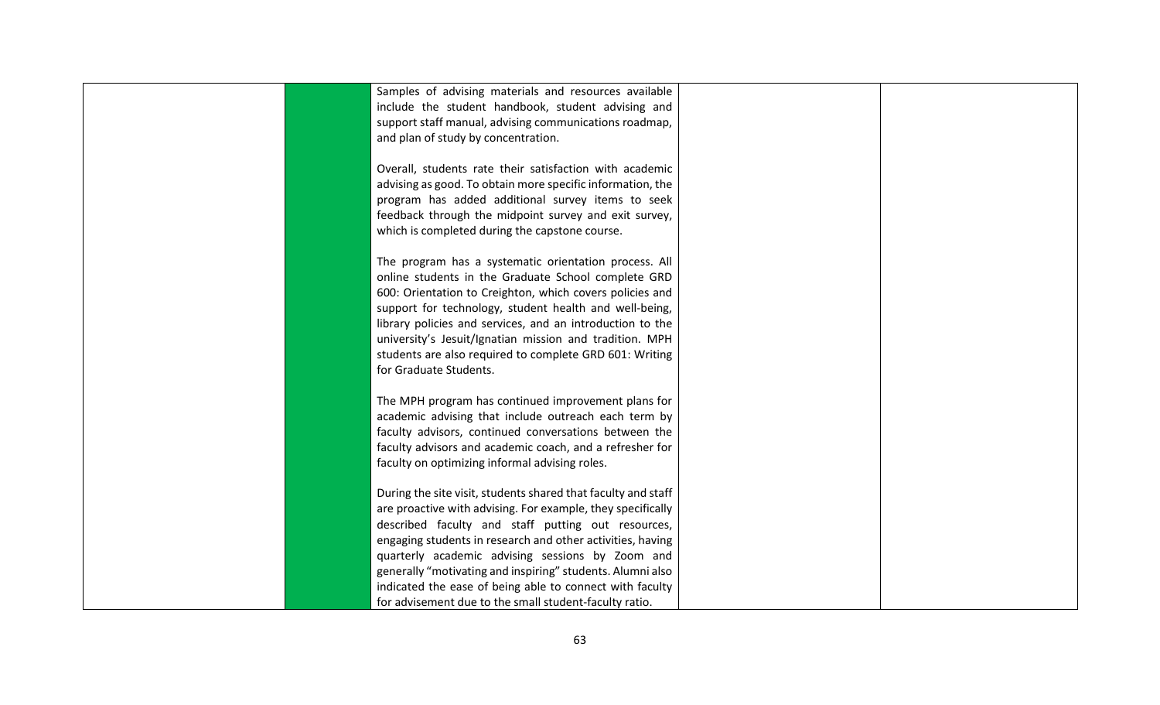| Samples of advising materials and resources available                                                   |  |
|---------------------------------------------------------------------------------------------------------|--|
| include the student handbook, student advising and                                                      |  |
| support staff manual, advising communications roadmap,                                                  |  |
| and plan of study by concentration.                                                                     |  |
| Overall, students rate their satisfaction with academic                                                 |  |
| advising as good. To obtain more specific information, the                                              |  |
| program has added additional survey items to seek                                                       |  |
|                                                                                                         |  |
| feedback through the midpoint survey and exit survey,<br>which is completed during the capstone course. |  |
|                                                                                                         |  |
| The program has a systematic orientation process. All                                                   |  |
| online students in the Graduate School complete GRD                                                     |  |
| 600: Orientation to Creighton, which covers policies and                                                |  |
| support for technology, student health and well-being,                                                  |  |
| library policies and services, and an introduction to the                                               |  |
| university's Jesuit/Ignatian mission and tradition. MPH                                                 |  |
| students are also required to complete GRD 601: Writing                                                 |  |
| for Graduate Students.                                                                                  |  |
|                                                                                                         |  |
| The MPH program has continued improvement plans for                                                     |  |
| academic advising that include outreach each term by                                                    |  |
| faculty advisors, continued conversations between the                                                   |  |
| faculty advisors and academic coach, and a refresher for                                                |  |
| faculty on optimizing informal advising roles.                                                          |  |
|                                                                                                         |  |
| During the site visit, students shared that faculty and staff                                           |  |
| are proactive with advising. For example, they specifically                                             |  |
| described faculty and staff putting out resources,                                                      |  |
| engaging students in research and other activities, having                                              |  |
| quarterly academic advising sessions by Zoom and                                                        |  |
| generally "motivating and inspiring" students. Alumni also                                              |  |
| indicated the ease of being able to connect with faculty                                                |  |
| for advisement due to the small student-faculty ratio.                                                  |  |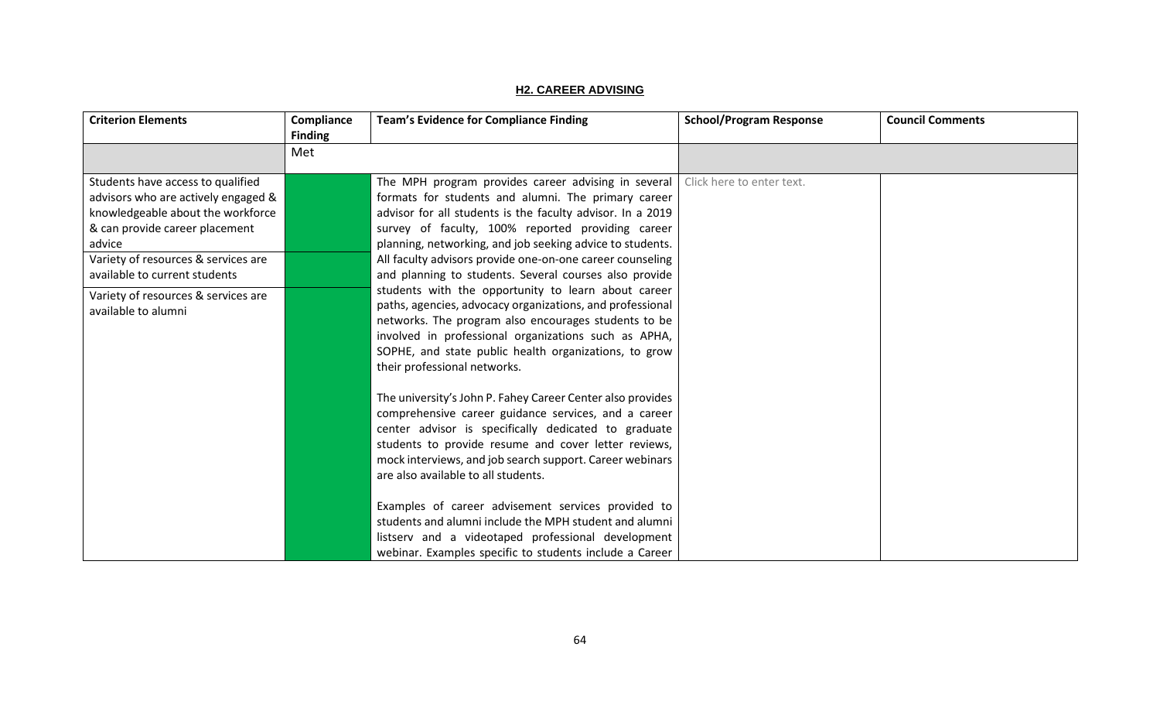## **H2. CAREER ADVISING**

| <b>Criterion Elements</b>                                                                                                                                                                                                         | Compliance<br><b>Finding</b> | <b>Team's Evidence for Compliance Finding</b>                                                                                                                                                                                                                                                                                                                                                                     | <b>School/Program Response</b> | <b>Council Comments</b> |
|-----------------------------------------------------------------------------------------------------------------------------------------------------------------------------------------------------------------------------------|------------------------------|-------------------------------------------------------------------------------------------------------------------------------------------------------------------------------------------------------------------------------------------------------------------------------------------------------------------------------------------------------------------------------------------------------------------|--------------------------------|-------------------------|
|                                                                                                                                                                                                                                   | Met                          |                                                                                                                                                                                                                                                                                                                                                                                                                   |                                |                         |
| Students have access to qualified<br>advisors who are actively engaged &<br>knowledgeable about the workforce<br>& can provide career placement<br>advice<br>Variety of resources & services are<br>available to current students |                              | The MPH program provides career advising in several<br>formats for students and alumni. The primary career<br>advisor for all students is the faculty advisor. In a 2019<br>survey of faculty, 100% reported providing career<br>planning, networking, and job seeking advice to students.<br>All faculty advisors provide one-on-one career counseling<br>and planning to students. Several courses also provide | Click here to enter text.      |                         |
| Variety of resources & services are<br>available to alumni                                                                                                                                                                        |                              | students with the opportunity to learn about career<br>paths, agencies, advocacy organizations, and professional<br>networks. The program also encourages students to be<br>involved in professional organizations such as APHA,<br>SOPHE, and state public health organizations, to grow<br>their professional networks.                                                                                         |                                |                         |
|                                                                                                                                                                                                                                   |                              | The university's John P. Fahey Career Center also provides<br>comprehensive career guidance services, and a career<br>center advisor is specifically dedicated to graduate<br>students to provide resume and cover letter reviews,<br>mock interviews, and job search support. Career webinars<br>are also available to all students.                                                                             |                                |                         |
|                                                                                                                                                                                                                                   |                              | Examples of career advisement services provided to<br>students and alumni include the MPH student and alumni<br>listserv and a videotaped professional development<br>webinar. Examples specific to students include a Career                                                                                                                                                                                     |                                |                         |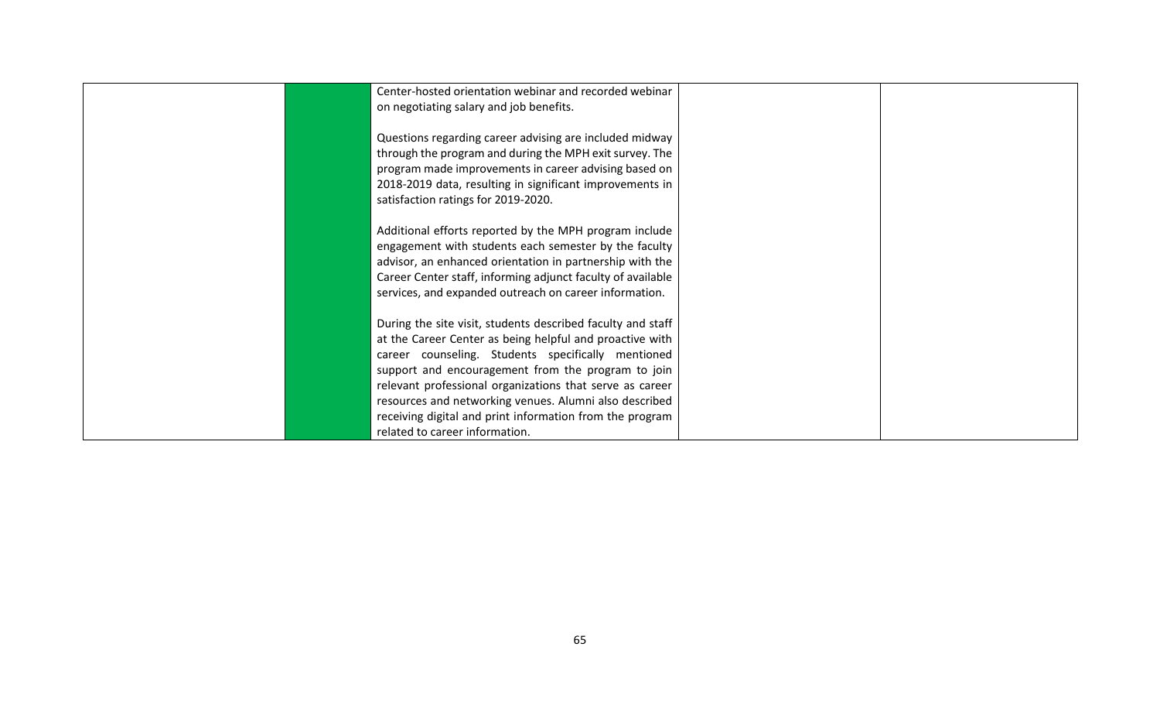| Center-hosted orientation webinar and recorded webinar      |  |
|-------------------------------------------------------------|--|
| on negotiating salary and job benefits.                     |  |
|                                                             |  |
| Questions regarding career advising are included midway     |  |
| through the program and during the MPH exit survey. The     |  |
| program made improvements in career advising based on       |  |
| 2018-2019 data, resulting in significant improvements in    |  |
| satisfaction ratings for 2019-2020.                         |  |
|                                                             |  |
| Additional efforts reported by the MPH program include      |  |
| engagement with students each semester by the faculty       |  |
| advisor, an enhanced orientation in partnership with the    |  |
| Career Center staff, informing adjunct faculty of available |  |
| services, and expanded outreach on career information.      |  |
|                                                             |  |
| During the site visit, students described faculty and staff |  |
| at the Career Center as being helpful and proactive with    |  |
| career counseling. Students specifically mentioned          |  |
| support and encouragement from the program to join          |  |
| relevant professional organizations that serve as career    |  |
| resources and networking venues. Alumni also described      |  |
| receiving digital and print information from the program    |  |
| related to career information.                              |  |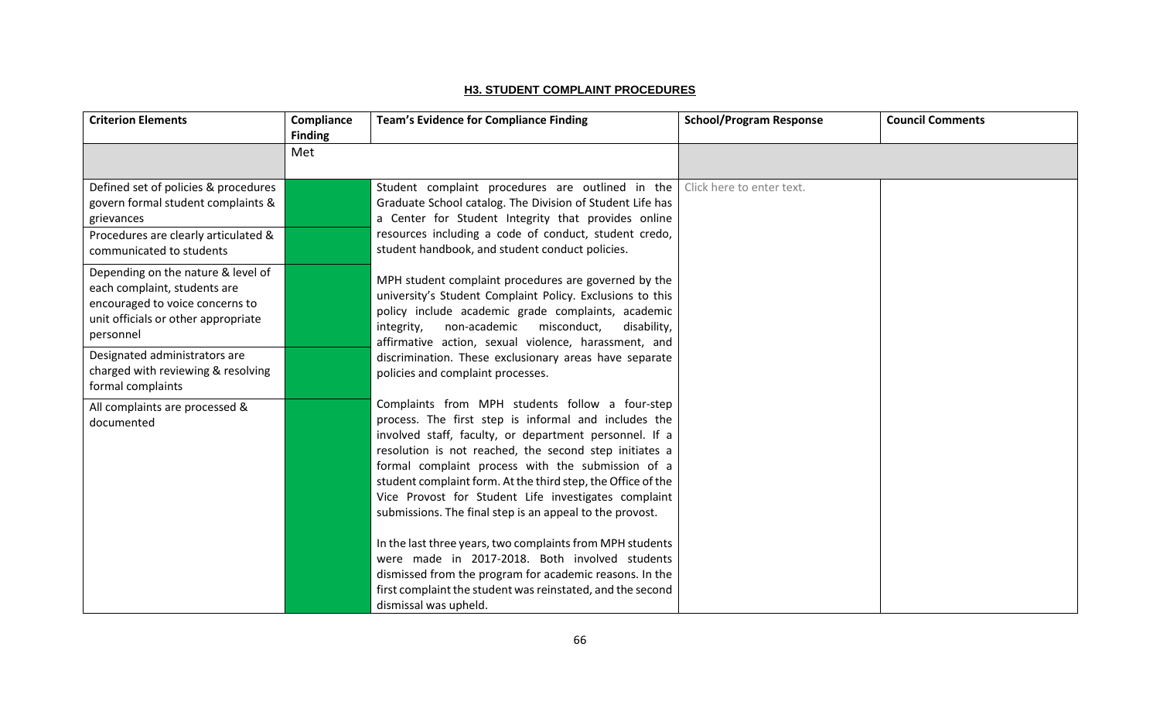### **H3. STUDENT COMPLAINT PROCEDURES**

| <b>Criterion Elements</b>                                                                                                                                    | Compliance<br><b>Finding</b> | <b>Team's Evidence for Compliance Finding</b>                                                                                                                                                                                                                                                                                                                                                                                                                                                                                                                                                                                                                                                                                         | <b>School/Program Response</b> | <b>Council Comments</b> |
|--------------------------------------------------------------------------------------------------------------------------------------------------------------|------------------------------|---------------------------------------------------------------------------------------------------------------------------------------------------------------------------------------------------------------------------------------------------------------------------------------------------------------------------------------------------------------------------------------------------------------------------------------------------------------------------------------------------------------------------------------------------------------------------------------------------------------------------------------------------------------------------------------------------------------------------------------|--------------------------------|-------------------------|
|                                                                                                                                                              | Met                          |                                                                                                                                                                                                                                                                                                                                                                                                                                                                                                                                                                                                                                                                                                                                       |                                |                         |
| Defined set of policies & procedures<br>govern formal student complaints &<br>grievances<br>Procedures are clearly articulated &<br>communicated to students |                              | Student complaint procedures are outlined in the<br>Graduate School catalog. The Division of Student Life has<br>a Center for Student Integrity that provides online<br>resources including a code of conduct, student credo,<br>student handbook, and student conduct policies.                                                                                                                                                                                                                                                                                                                                                                                                                                                      | Click here to enter text.      |                         |
| Depending on the nature & level of<br>each complaint, students are<br>encouraged to voice concerns to<br>unit officials or other appropriate<br>personnel    |                              | MPH student complaint procedures are governed by the<br>university's Student Complaint Policy. Exclusions to this<br>policy include academic grade complaints, academic<br>non-academic<br>integrity,<br>misconduct,<br>disability,<br>affirmative action, sexual violence, harassment, and                                                                                                                                                                                                                                                                                                                                                                                                                                           |                                |                         |
| Designated administrators are<br>charged with reviewing & resolving<br>formal complaints                                                                     |                              | discrimination. These exclusionary areas have separate<br>policies and complaint processes.                                                                                                                                                                                                                                                                                                                                                                                                                                                                                                                                                                                                                                           |                                |                         |
| All complaints are processed &<br>documented                                                                                                                 |                              | Complaints from MPH students follow a four-step<br>process. The first step is informal and includes the<br>involved staff, faculty, or department personnel. If a<br>resolution is not reached, the second step initiates a<br>formal complaint process with the submission of a<br>student complaint form. At the third step, the Office of the<br>Vice Provost for Student Life investigates complaint<br>submissions. The final step is an appeal to the provost.<br>In the last three years, two complaints from MPH students<br>were made in 2017-2018. Both involved students<br>dismissed from the program for academic reasons. In the<br>first complaint the student was reinstated, and the second<br>dismissal was upheld. |                                |                         |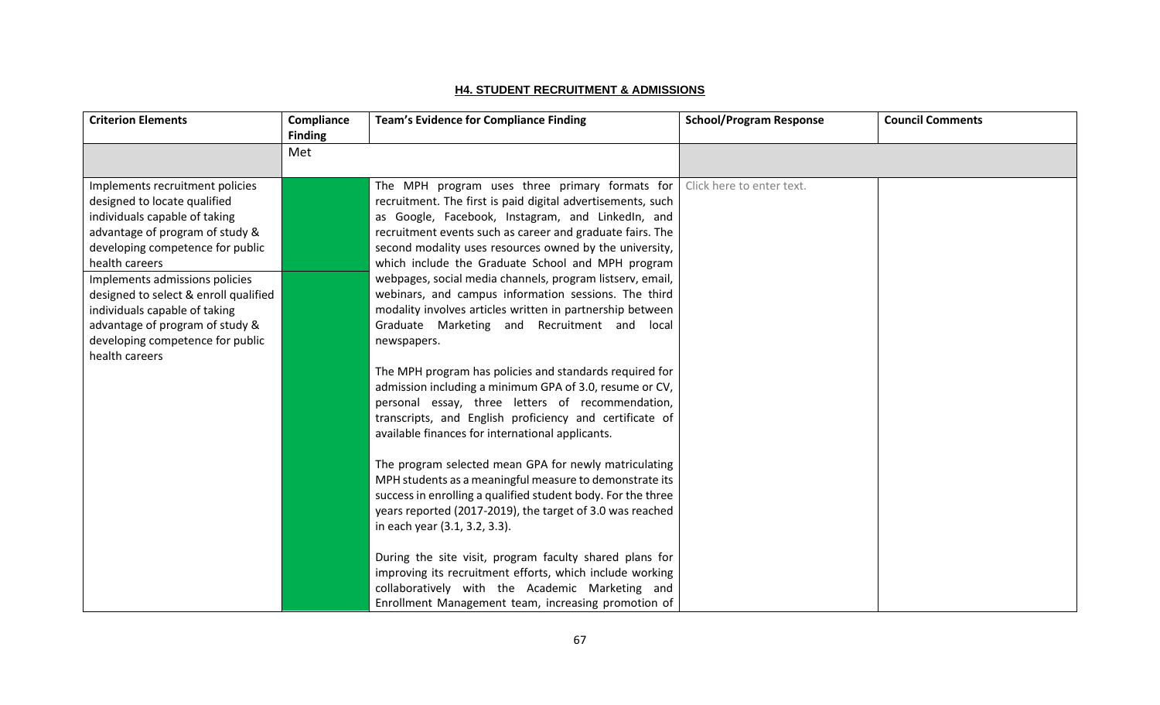### **H4. STUDENT RECRUITMENT & ADMISSIONS**

| <b>Criterion Elements</b>                                                                                                                                                                                                                                                                                                                | Compliance<br><b>Finding</b> | <b>Team's Evidence for Compliance Finding</b>                                                                                                                                                                                                                                                                                                                                                                                                                                                                                                                                             | <b>School/Program Response</b> | <b>Council Comments</b> |
|------------------------------------------------------------------------------------------------------------------------------------------------------------------------------------------------------------------------------------------------------------------------------------------------------------------------------------------|------------------------------|-------------------------------------------------------------------------------------------------------------------------------------------------------------------------------------------------------------------------------------------------------------------------------------------------------------------------------------------------------------------------------------------------------------------------------------------------------------------------------------------------------------------------------------------------------------------------------------------|--------------------------------|-------------------------|
|                                                                                                                                                                                                                                                                                                                                          | Met                          |                                                                                                                                                                                                                                                                                                                                                                                                                                                                                                                                                                                           |                                |                         |
| Implements recruitment policies<br>designed to locate qualified<br>individuals capable of taking<br>advantage of program of study &<br>developing competence for public<br>health careers<br>Implements admissions policies<br>designed to select & enroll qualified<br>individuals capable of taking<br>advantage of program of study & |                              | The MPH program uses three primary formats for $\vert$<br>recruitment. The first is paid digital advertisements, such<br>as Google, Facebook, Instagram, and LinkedIn, and<br>recruitment events such as career and graduate fairs. The<br>second modality uses resources owned by the university,<br>which include the Graduate School and MPH program<br>webpages, social media channels, program listserv, email,<br>webinars, and campus information sessions. The third<br>modality involves articles written in partnership between<br>Graduate Marketing and Recruitment and local | Click here to enter text.      |                         |
| developing competence for public<br>health careers                                                                                                                                                                                                                                                                                       |                              | newspapers.<br>The MPH program has policies and standards required for<br>admission including a minimum GPA of 3.0, resume or CV,<br>personal essay, three letters of recommendation,<br>transcripts, and English proficiency and certificate of<br>available finances for international applicants.                                                                                                                                                                                                                                                                                      |                                |                         |
|                                                                                                                                                                                                                                                                                                                                          |                              | The program selected mean GPA for newly matriculating<br>MPH students as a meaningful measure to demonstrate its<br>success in enrolling a qualified student body. For the three<br>years reported (2017-2019), the target of 3.0 was reached<br>in each year (3.1, 3.2, 3.3).                                                                                                                                                                                                                                                                                                            |                                |                         |
|                                                                                                                                                                                                                                                                                                                                          |                              | During the site visit, program faculty shared plans for<br>improving its recruitment efforts, which include working<br>collaboratively with the Academic Marketing and<br>Enrollment Management team, increasing promotion of                                                                                                                                                                                                                                                                                                                                                             |                                |                         |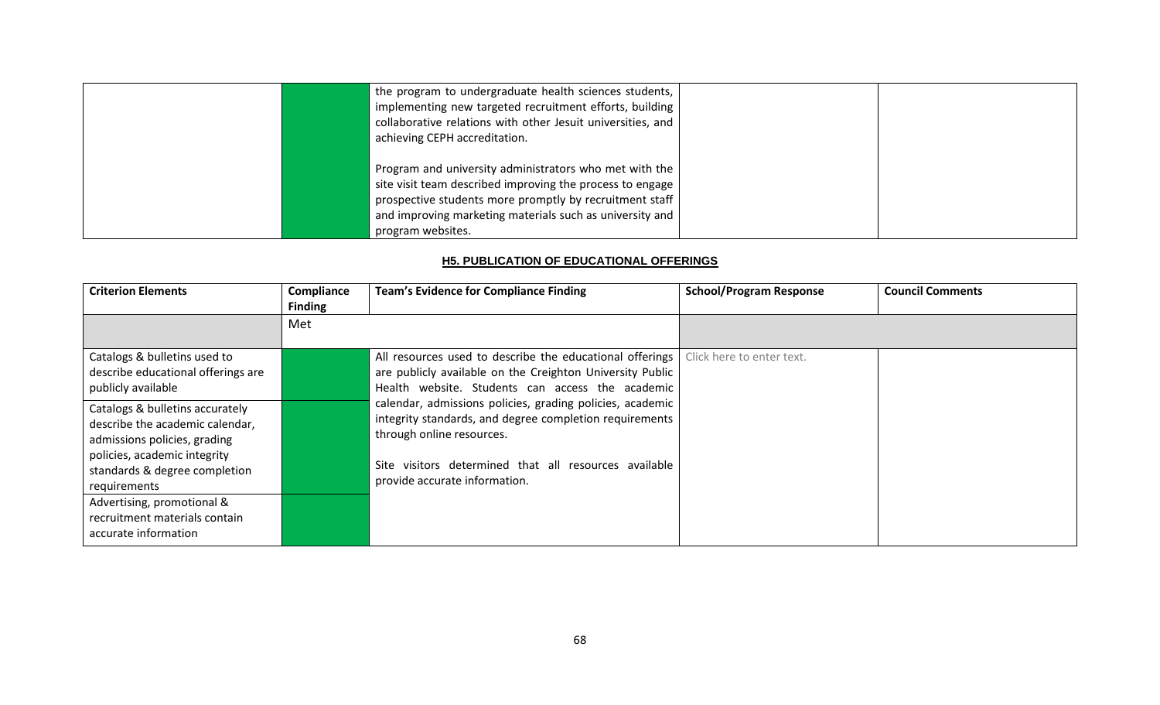| the program to undergraduate health sciences students,<br>implementing new targeted recruitment efforts, building<br>collaborative relations with other Jesuit universities, and<br>achieving CEPH accreditation.                                               |  |
|-----------------------------------------------------------------------------------------------------------------------------------------------------------------------------------------------------------------------------------------------------------------|--|
| Program and university administrators who met with the<br>site visit team described improving the process to engage<br>prospective students more promptly by recruitment staff<br>and improving marketing materials such as university and<br>program websites. |  |

### **H5. PUBLICATION OF EDUCATIONAL OFFERINGS**

| <b>Criterion Elements</b>                                                                                                                                                           | Compliance<br><b>Finding</b> | <b>Team's Evidence for Compliance Finding</b>                                                                                                                                                                                               | <b>School/Program Response</b> | <b>Council Comments</b> |
|-------------------------------------------------------------------------------------------------------------------------------------------------------------------------------------|------------------------------|---------------------------------------------------------------------------------------------------------------------------------------------------------------------------------------------------------------------------------------------|--------------------------------|-------------------------|
|                                                                                                                                                                                     | Met                          |                                                                                                                                                                                                                                             |                                |                         |
| Catalogs & bulletins used to<br>describe educational offerings are<br>publicly available                                                                                            |                              | All resources used to describe the educational offerings<br>are publicly available on the Creighton University Public<br>Health website. Students can access the academic                                                                   | Click here to enter text.      |                         |
| Catalogs & bulletins accurately<br>describe the academic calendar,<br>admissions policies, grading<br>policies, academic integrity<br>standards & degree completion<br>requirements |                              | calendar, admissions policies, grading policies, academic<br>integrity standards, and degree completion requirements<br>through online resources.<br>Site visitors determined that all resources available<br>provide accurate information. |                                |                         |
| Advertising, promotional &<br>recruitment materials contain<br>accurate information                                                                                                 |                              |                                                                                                                                                                                                                                             |                                |                         |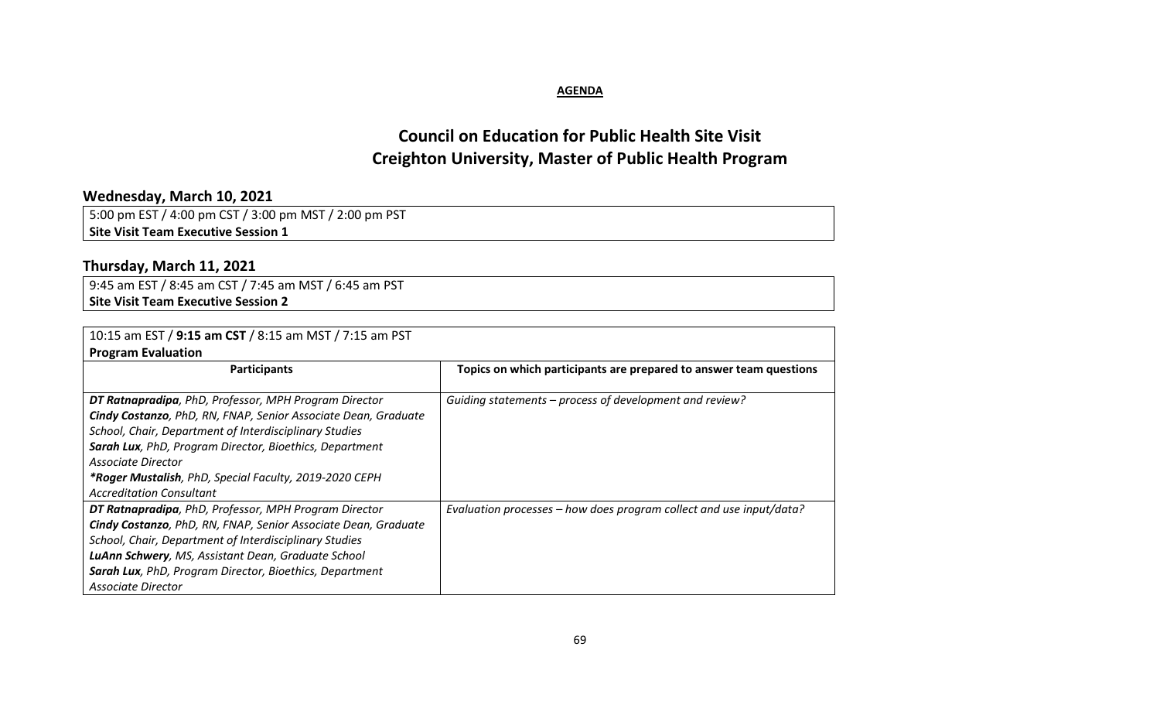### **AGENDA**

# **Council on Education for Public Health Site Visit Creighton University, Master of Public Health Program**

# **Wednesday, March 10, 2021**

5:00 pm EST / 4:00 pm CST / 3:00 pm MST / 2:00 pm PST **Site Visit Team Executive Session 1**

# **Thursday, March 11, 2021**

9:45 am EST / 8:45 am CST / 7:45 am MST / 6:45 am PST **Site Visit Team Executive Session 2**

| 10:15 am EST / 9:15 am CST / 8:15 am MST / 7:15 am PST                                                                  |                                                                     |  |  |
|-------------------------------------------------------------------------------------------------------------------------|---------------------------------------------------------------------|--|--|
| <b>Program Evaluation</b>                                                                                               |                                                                     |  |  |
| <b>Participants</b>                                                                                                     | Topics on which participants are prepared to answer team questions  |  |  |
| DT Ratnapradipa, PhD, Professor, MPH Program Director<br>Cindy Costanzo, PhD, RN, FNAP, Senior Associate Dean, Graduate | Guiding statements – process of development and review?             |  |  |
| School, Chair, Department of Interdisciplinary Studies                                                                  |                                                                     |  |  |
| Sarah Lux, PhD, Program Director, Bioethics, Department                                                                 |                                                                     |  |  |
| Associate Director                                                                                                      |                                                                     |  |  |
| *Roger Mustalish, PhD, Special Faculty, 2019-2020 CEPH                                                                  |                                                                     |  |  |
| <b>Accreditation Consultant</b>                                                                                         |                                                                     |  |  |
| DT Ratnapradipa, PhD, Professor, MPH Program Director                                                                   | Evaluation processes - how does program collect and use input/data? |  |  |
| Cindy Costanzo, PhD, RN, FNAP, Senior Associate Dean, Graduate                                                          |                                                                     |  |  |
| School, Chair, Department of Interdisciplinary Studies                                                                  |                                                                     |  |  |
| LuAnn Schwery, MS, Assistant Dean, Graduate School                                                                      |                                                                     |  |  |
| Sarah Lux, PhD, Program Director, Bioethics, Department                                                                 |                                                                     |  |  |
| Associate Director                                                                                                      |                                                                     |  |  |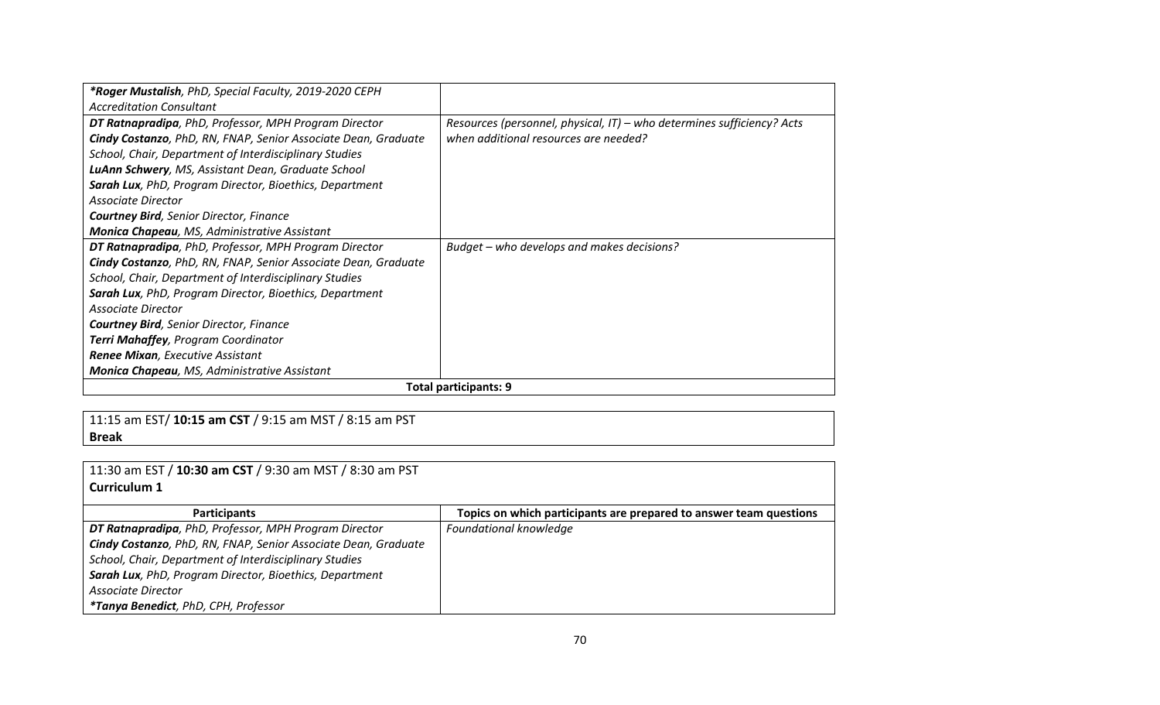| *Roger Mustalish, PhD, Special Faculty, 2019-2020 CEPH                 |                                                                        |
|------------------------------------------------------------------------|------------------------------------------------------------------------|
| <b>Accreditation Consultant</b>                                        |                                                                        |
| DT Ratnapradipa, PhD, Professor, MPH Program Director                  | Resources (personnel, physical, IT) - who determines sufficiency? Acts |
| <b>Cindy Costanzo</b> , PhD, RN, FNAP, Senior Associate Dean, Graduate | when additional resources are needed?                                  |
| School, Chair, Department of Interdisciplinary Studies                 |                                                                        |
| LuAnn Schwery, MS, Assistant Dean, Graduate School                     |                                                                        |
| Sarah Lux, PhD, Program Director, Bioethics, Department                |                                                                        |
| Associate Director                                                     |                                                                        |
| <b>Courtney Bird, Senior Director, Finance</b>                         |                                                                        |
| Monica Chapeau, MS, Administrative Assistant                           |                                                                        |
| DT Ratnapradipa, PhD, Professor, MPH Program Director                  | Budget - who develops and makes decisions?                             |
| Cindy Costanzo, PhD, RN, FNAP, Senior Associate Dean, Graduate         |                                                                        |
| School, Chair, Department of Interdisciplinary Studies                 |                                                                        |
| Sarah Lux, PhD, Program Director, Bioethics, Department                |                                                                        |
| <b>Associate Director</b>                                              |                                                                        |
| <b>Courtney Bird, Senior Director, Finance</b>                         |                                                                        |
| Terri Mahaffey, Program Coordinator                                    |                                                                        |
| <b>Renee Mixan, Executive Assistant</b>                                |                                                                        |
| <b>Monica Chapeau</b> , MS, Administrative Assistant                   |                                                                        |
| <b>Total participants: 9</b>                                           |                                                                        |

11:15 am EST/ **10:15 am CST** / 9:15 am MST / 8:15 am PST **Break**

11:30 am EST / **10:30 am CST** / 9:30 am MST / 8:30 am PST **Curriculum 1 Participants Topics on which participants are prepared to answer team questions** *DT Ratnapradipa, PhD, Professor, MPH Program Director Cindy Costanzo, PhD, RN, FNAP, Senior Associate Dean, Graduate School, Chair, Department of Interdisciplinary Studies Sarah Lux, PhD, Program Director, Bioethics, Department Associate Director \*Tanya Benedict, PhD, CPH, Professor Foundational knowledge*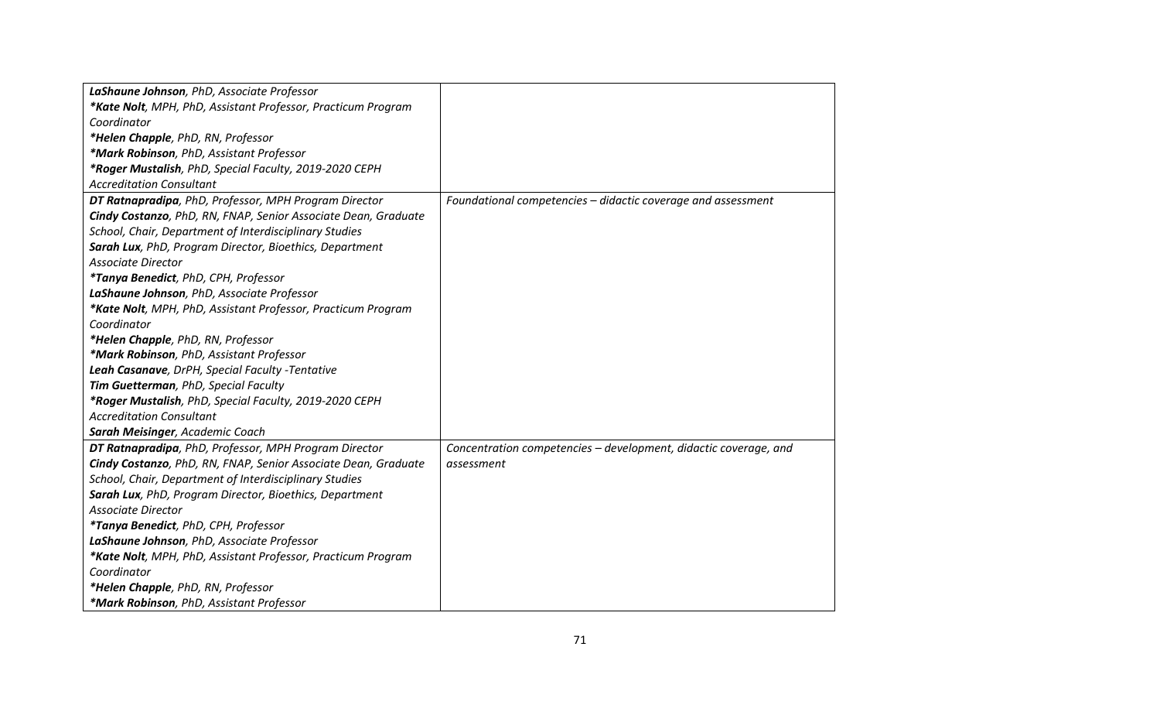| LaShaune Johnson, PhD, Associate Professor                     |                                                                  |
|----------------------------------------------------------------|------------------------------------------------------------------|
| *Kate Nolt, MPH, PhD, Assistant Professor, Practicum Program   |                                                                  |
| Coordinator                                                    |                                                                  |
| *Helen Chapple, PhD, RN, Professor                             |                                                                  |
| *Mark Robinson, PhD, Assistant Professor                       |                                                                  |
| *Roger Mustalish, PhD, Special Faculty, 2019-2020 CEPH         |                                                                  |
| <b>Accreditation Consultant</b>                                |                                                                  |
| DT Ratnapradipa, PhD, Professor, MPH Program Director          | Foundational competencies - didactic coverage and assessment     |
| Cindy Costanzo, PhD, RN, FNAP, Senior Associate Dean, Graduate |                                                                  |
| School, Chair, Department of Interdisciplinary Studies         |                                                                  |
| Sarah Lux, PhD, Program Director, Bioethics, Department        |                                                                  |
| <b>Associate Director</b>                                      |                                                                  |
| *Tanya Benedict, PhD, CPH, Professor                           |                                                                  |
| LaShaune Johnson, PhD, Associate Professor                     |                                                                  |
| *Kate Nolt, MPH, PhD, Assistant Professor, Practicum Program   |                                                                  |
| Coordinator                                                    |                                                                  |
| *Helen Chapple, PhD, RN, Professor                             |                                                                  |
| *Mark Robinson, PhD, Assistant Professor                       |                                                                  |
| Leah Casanave, DrPH, Special Faculty - Tentative               |                                                                  |
| Tim Guetterman, PhD, Special Faculty                           |                                                                  |
| *Roger Mustalish, PhD, Special Faculty, 2019-2020 CEPH         |                                                                  |
| <b>Accreditation Consultant</b>                                |                                                                  |
| Sarah Meisinger, Academic Coach                                |                                                                  |
| DT Ratnapradipa, PhD, Professor, MPH Program Director          | Concentration competencies - development, didactic coverage, and |
| Cindy Costanzo, PhD, RN, FNAP, Senior Associate Dean, Graduate | assessment                                                       |
| School, Chair, Department of Interdisciplinary Studies         |                                                                  |
| Sarah Lux, PhD, Program Director, Bioethics, Department        |                                                                  |
| Associate Director                                             |                                                                  |
| *Tanya Benedict, PhD, CPH, Professor                           |                                                                  |
| LaShaune Johnson, PhD, Associate Professor                     |                                                                  |
| *Kate Nolt, MPH, PhD, Assistant Professor, Practicum Program   |                                                                  |
| Coordinator                                                    |                                                                  |
| *Helen Chapple, PhD, RN, Professor                             |                                                                  |
| *Mark Robinson, PhD, Assistant Professor                       |                                                                  |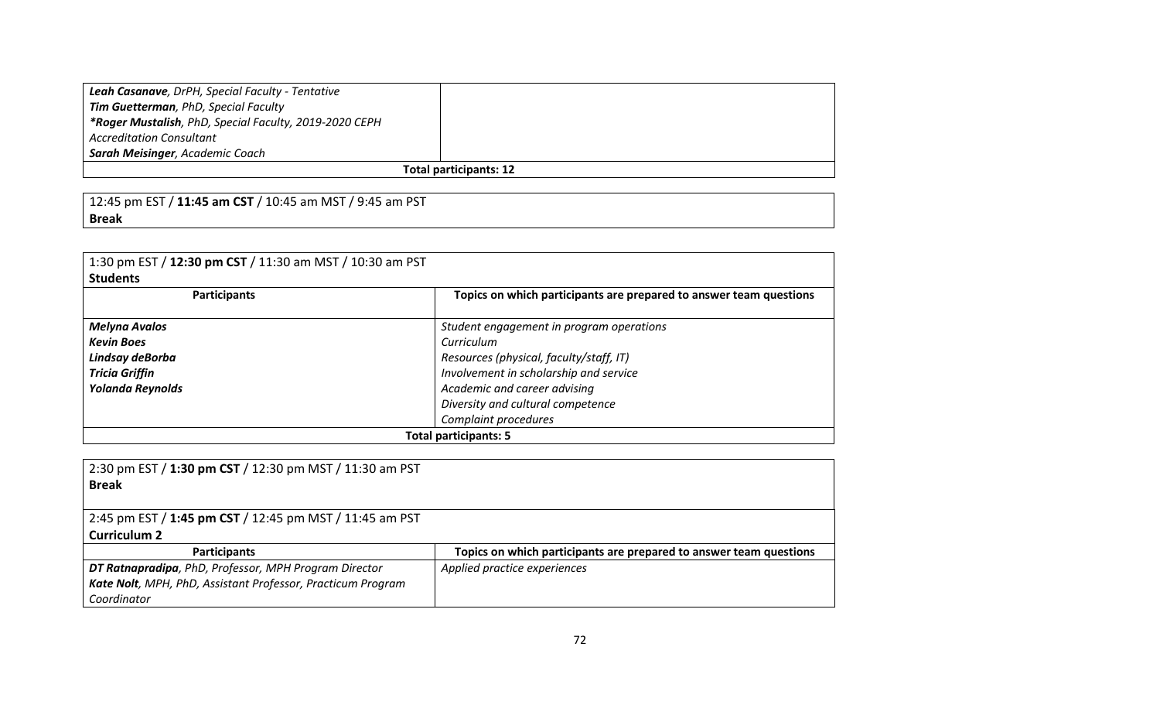| Leah Casanave, DrPH, Special Faculty - Tentative       |  |
|--------------------------------------------------------|--|
| Tim Guetterman, PhD, Special Faculty                   |  |
| *Roger Mustalish, PhD, Special Faculty, 2019-2020 CEPH |  |
| <b>Accreditation Consultant</b>                        |  |
| <b>Sarah Meisinger, Academic Coach</b>                 |  |
| <b>Total participants: 12</b>                          |  |

12:45 pm EST / **11:45 am CST** / 10:45 am MST / 9:45 am PST **Break**

| 1:30 pm EST / 12:30 pm CST / 11:30 am MST / 10:30 am PST<br><b>Students</b> |                                                                    |
|-----------------------------------------------------------------------------|--------------------------------------------------------------------|
| <b>Participants</b>                                                         | Topics on which participants are prepared to answer team questions |
| <b>Melyna Avalos</b>                                                        | Student engagement in program operations                           |
| <b>Kevin Boes</b>                                                           | Curriculum                                                         |
| Lindsay deBorba                                                             | Resources (physical, faculty/staff, IT)                            |
| <b>Tricia Griffin</b>                                                       | Involvement in scholarship and service                             |
| <b>Yolanda Reynolds</b>                                                     | Academic and career advising                                       |
|                                                                             | Diversity and cultural competence                                  |
|                                                                             | Complaint procedures                                               |
| <b>Total participants: 5</b>                                                |                                                                    |

| 2:30 pm EST / 1:30 pm CST / 12:30 pm MST / 11:30 am PST<br><b>Break</b> |                                                                    |
|-------------------------------------------------------------------------|--------------------------------------------------------------------|
| 2:45 pm EST / 1:45 pm CST / 12:45 pm MST / 11:45 am PST                 |                                                                    |
| <b>Curriculum 2</b>                                                     |                                                                    |
| <b>Participants</b>                                                     | Topics on which participants are prepared to answer team questions |
| DT Ratnapradipa, PhD, Professor, MPH Program Director                   | Applied practice experiences                                       |
| Kate Nolt, MPH, PhD, Assistant Professor, Practicum Program             |                                                                    |
| Coordinator                                                             |                                                                    |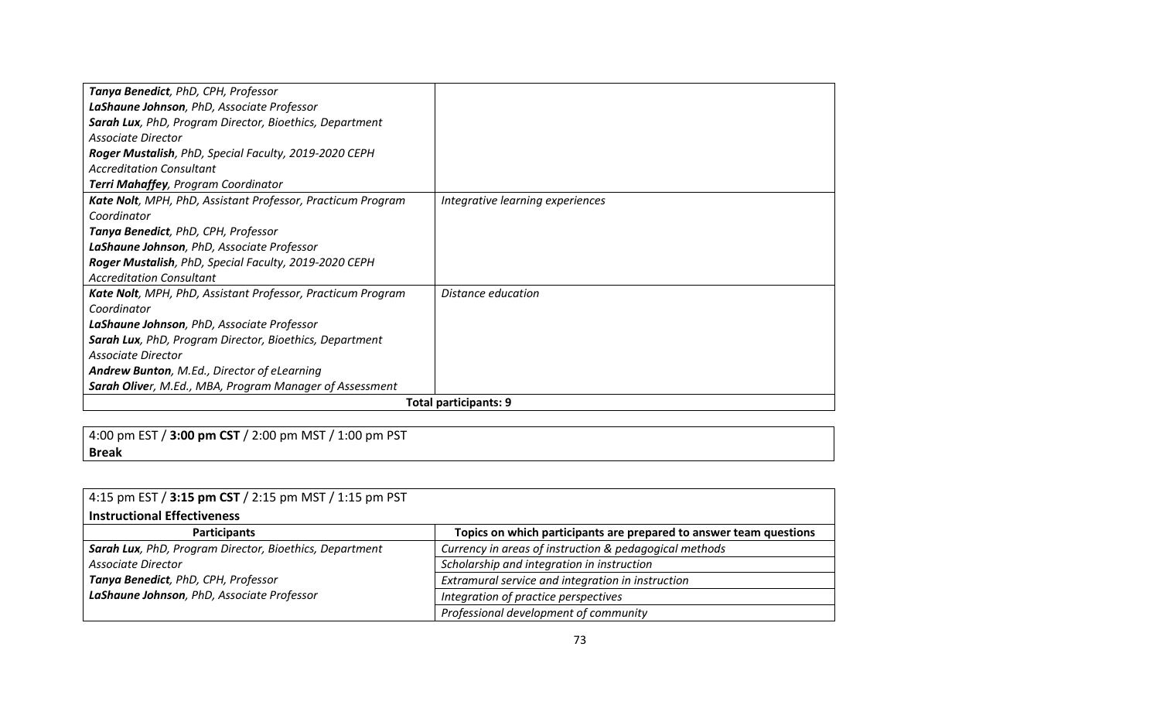| Tanya Benedict, PhD, CPH, Professor                             |                                  |
|-----------------------------------------------------------------|----------------------------------|
| LaShaune Johnson, PhD, Associate Professor                      |                                  |
| Sarah Lux, PhD, Program Director, Bioethics, Department         |                                  |
| Associate Director                                              |                                  |
| Roger Mustalish, PhD, Special Faculty, 2019-2020 CEPH           |                                  |
| <b>Accreditation Consultant</b>                                 |                                  |
| Terri Mahaffey, Program Coordinator                             |                                  |
| Kate Nolt, MPH, PhD, Assistant Professor, Practicum Program     | Integrative learning experiences |
| Coordinator                                                     |                                  |
| Tanya Benedict, PhD, CPH, Professor                             |                                  |
| LaShaune Johnson, PhD, Associate Professor                      |                                  |
| Roger Mustalish, PhD, Special Faculty, 2019-2020 CEPH           |                                  |
| <b>Accreditation Consultant</b>                                 |                                  |
| Kate Nolt, MPH, PhD, Assistant Professor, Practicum Program     | Distance education               |
| Coordinator                                                     |                                  |
| LaShaune Johnson, PhD, Associate Professor                      |                                  |
| Sarah Lux, PhD, Program Director, Bioethics, Department         |                                  |
| Associate Director                                              |                                  |
| <b>Andrew Bunton, M.Ed., Director of eLearning</b>              |                                  |
| <b>Sarah Olive</b> r, M.Ed., MBA, Program Manager of Assessment |                                  |
| <b>Total participants: 9</b>                                    |                                  |

4:00 pm EST / **3:00 pm CST** / 2:00 pm MST / 1:00 pm PST **Break**

| 4:15 pm EST / 3:15 pm CST / 2:15 pm MST / 1:15 pm PST   |                                                                    |
|---------------------------------------------------------|--------------------------------------------------------------------|
| <b>Instructional Effectiveness</b>                      |                                                                    |
| <b>Participants</b>                                     | Topics on which participants are prepared to answer team questions |
| Sarah Lux, PhD, Program Director, Bioethics, Department | Currency in areas of instruction & pedagogical methods             |
| Associate Director                                      | Scholarship and integration in instruction                         |
| Tanya Benedict, PhD, CPH, Professor                     | Extramural service and integration in instruction                  |
| LaShaune Johnson, PhD, Associate Professor              | Integration of practice perspectives                               |
|                                                         | Professional development of community                              |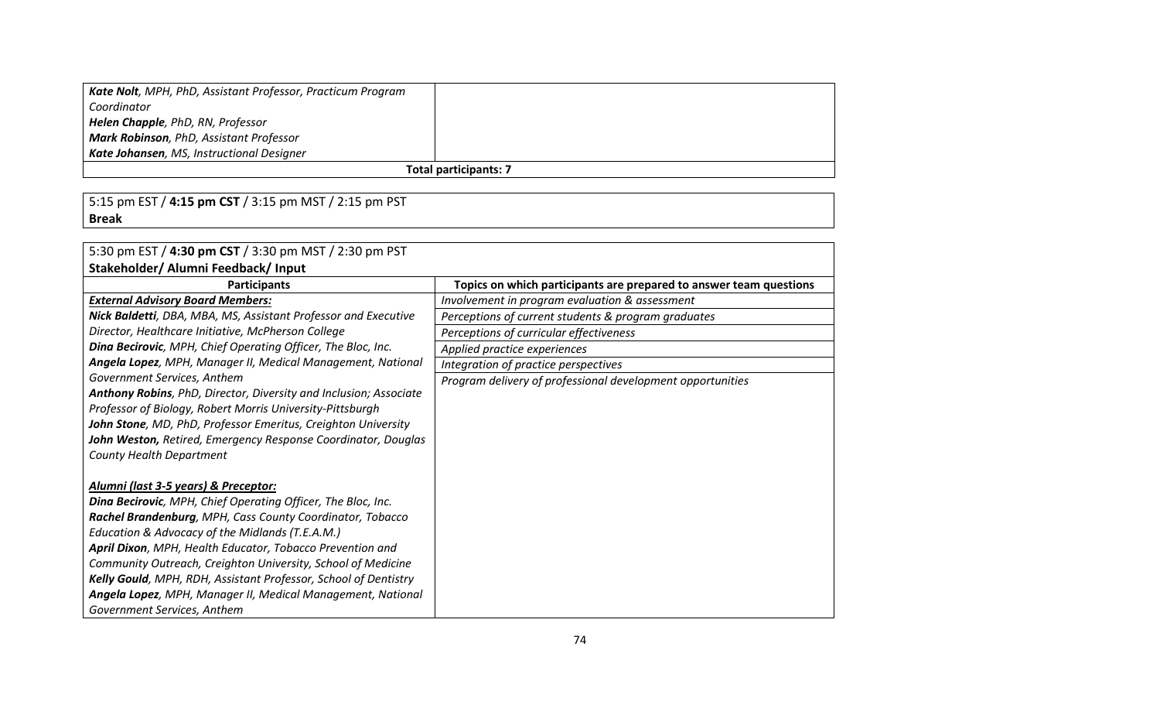| Kate Nolt, MPH, PhD, Assistant Professor, Practicum Program |  |
|-------------------------------------------------------------|--|
| Coordinator                                                 |  |
| Helen Chapple, PhD, RN, Professor                           |  |
| Mark Robinson, PhD, Assistant Professor                     |  |
| Kate Johansen, MS, Instructional Designer                   |  |
| <b>Total participants: 7</b>                                |  |

5:15 pm EST / **4:15 pm CST** / 3:15 pm MST / 2:15 pm PST **Break**

| 5:30 pm EST / 4:30 pm CST / 3:30 pm MST / 2:30 pm PST             |                                                                    |
|-------------------------------------------------------------------|--------------------------------------------------------------------|
| Stakeholder/ Alumni Feedback/ Input                               |                                                                    |
| <b>Participants</b>                                               | Topics on which participants are prepared to answer team questions |
| <b>External Advisory Board Members:</b>                           | Involvement in program evaluation & assessment                     |
| Nick Baldetti, DBA, MBA, MS, Assistant Professor and Executive    | Perceptions of current students & program graduates                |
| Director, Healthcare Initiative, McPherson College                | Perceptions of curricular effectiveness                            |
| Dina Becirovic, MPH, Chief Operating Officer, The Bloc, Inc.      | Applied practice experiences                                       |
| Angela Lopez, MPH, Manager II, Medical Management, National       | Integration of practice perspectives                               |
| Government Services, Anthem                                       | Program delivery of professional development opportunities         |
| Anthony Robins, PhD, Director, Diversity and Inclusion; Associate |                                                                    |
| Professor of Biology, Robert Morris University-Pittsburgh         |                                                                    |
| John Stone, MD, PhD, Professor Emeritus, Creighton University     |                                                                    |
| John Weston, Retired, Emergency Response Coordinator, Douglas     |                                                                    |
| <b>County Health Department</b>                                   |                                                                    |
|                                                                   |                                                                    |
| Alumni (last 3-5 years) & Preceptor:                              |                                                                    |
| Dina Becirovic, MPH, Chief Operating Officer, The Bloc, Inc.      |                                                                    |
| Rachel Brandenburg, MPH, Cass County Coordinator, Tobacco         |                                                                    |
| Education & Advocacy of the Midlands (T.E.A.M.)                   |                                                                    |
| April Dixon, MPH, Health Educator, Tobacco Prevention and         |                                                                    |
| Community Outreach, Creighton University, School of Medicine      |                                                                    |
| Kelly Gould, MPH, RDH, Assistant Professor, School of Dentistry   |                                                                    |
| Angela Lopez, MPH, Manager II, Medical Management, National       |                                                                    |
| Government Services, Anthem                                       |                                                                    |